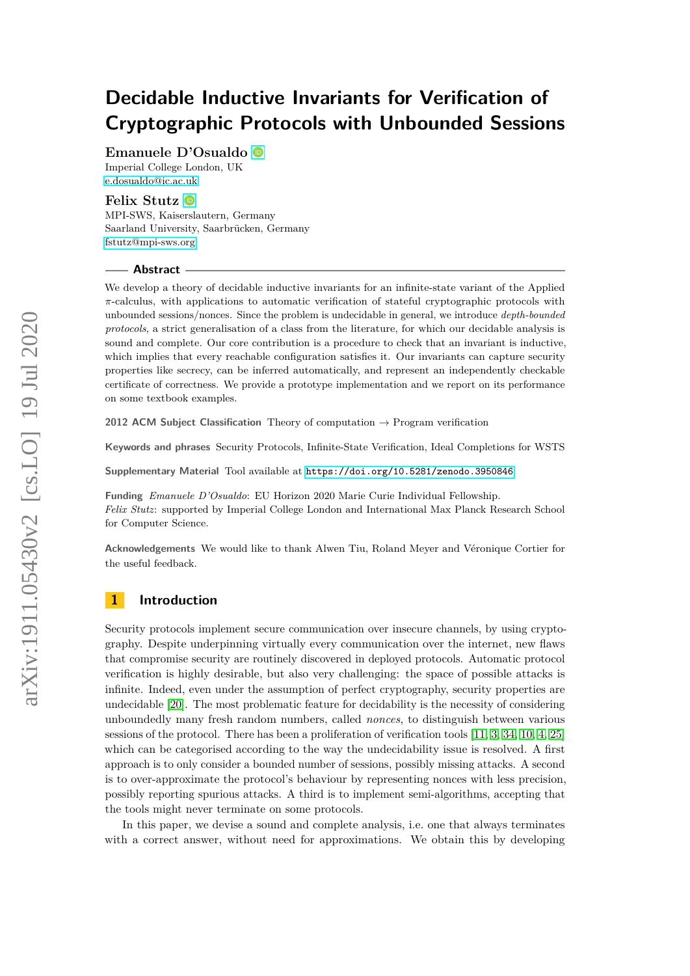# **Decidable Inductive Invariants for Verification of Cryptographic Protocols with Unbounded Sessions**

**Emanuele D'Osualdo**

Imperial College London, UK [e.dosualdo@ic.ac.uk](mailto:e.dosualdo@ic.ac.uk)

# **Felix Stutz**

MPI-SWS, Kaiserslautern, Germany Saarland University, Saarbrücken, Germany [fstutz@mpi-sws.org](mailto:fstutz@mpi-sws.org)

#### **Abstract**

We develop a theory of decidable inductive invariants for an infinite-state variant of the Applied *π*-calculus, with applications to automatic verification of stateful cryptographic protocols with unbounded sessions/nonces. Since the problem is undecidable in general, we introduce *depth-bounded protocols*, a strict generalisation of a class from the literature, for which our decidable analysis is sound and complete. Our core contribution is a procedure to check that an invariant is inductive, which implies that every reachable configuration satisfies it. Our invariants can capture security properties like secrecy, can be inferred automatically, and represent an independently checkable certificate of correctness. We provide a prototype implementation and we report on its performance on some textbook examples.

**2012 ACM Subject Classification** Theory of computation → Program verification

**Keywords and phrases** Security Protocols, Infinite-State Verification, Ideal Completions for WSTS

**Supplementary Material** Tool available at <https://doi.org/10.5281/zenodo.3950846>

**Funding** *Emanuele D'Osualdo*: EU Horizon 2020 Marie Curie Individual Fellowship. *Felix Stutz*: supported by Imperial College London and International Max Planck Research School for Computer Science.

**Acknowledgements** We would like to thank Alwen Tiu, Roland Meyer and Véronique Cortier for the useful feedback.

## **1 Introduction**

Security protocols implement secure communication over insecure channels, by using cryptography. Despite underpinning virtually every communication over the internet, new flaws that compromise security are routinely discovered in deployed protocols. Automatic protocol verification is highly desirable, but also very challenging: the space of possible attacks is infinite. Indeed, even under the assumption of perfect cryptography, security properties are undecidable [\[20\]](#page-17-0). The most problematic feature for decidability is the necessity of considering unboundedly many fresh random numbers, called *nonces*, to distinguish between various sessions of the protocol. There has been a proliferation of verification tools [\[11,](#page-16-0) [3,](#page-16-1) [34,](#page-17-1) [10,](#page-16-2) [4,](#page-16-3) [25\]](#page-17-2) which can be categorised according to the way the undecidability issue is resolved. A first approach is to only consider a bounded number of sessions, possibly missing attacks. A second is to over-approximate the protocol's behaviour by representing nonces with less precision, possibly reporting spurious attacks. A third is to implement semi-algorithms, accepting that the tools might never terminate on some protocols.

In this paper, we devise a sound and complete analysis, i.e. one that always terminates with a correct answer, without need for approximations. We obtain this by developing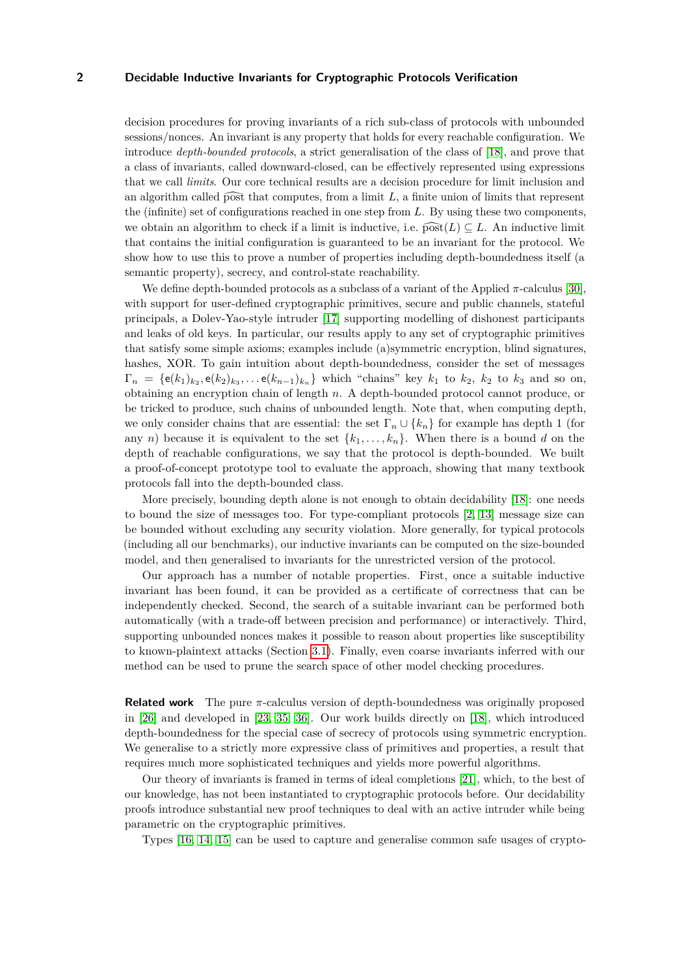decision procedures for proving invariants of a rich sub-class of protocols with unbounded sessions/nonces. An invariant is any property that holds for every reachable configuration. We introduce *depth-bounded protocols*, a strict generalisation of the class of [\[18\]](#page-16-4), and prove that a class of invariants, called downward-closed, can be effectively represented using expressions that we call *limits*. Our core technical results are a decision procedure for limit inclusion and an algorithm called  $\widehat{post}$  that computes, from a limit  $L$ , a finite union of limits that represent the (infinite) set of configurations reached in one step from *L*. By using these two components, we obtain an algorithm to check if a limit is inductive, i.e.  $\widehat{\text{post}}(L) \subseteq L$ . An inductive limit that contains the initial configuration is guaranteed to be an invariant for the protocol. We show how to use this to prove a number of properties including depth-boundedness itself (a semantic property), secrecy, and control-state reachability.

We define depth-bounded protocols as a subclass of a variant of the Applied *π*-calculus [\[30\]](#page-17-3), with support for user-defined cryptographic primitives, secure and public channels, stateful principals, a Dolev-Yao-style intruder [\[17\]](#page-16-5) supporting modelling of dishonest participants and leaks of old keys. In particular, our results apply to any set of cryptographic primitives that satisfy some simple axioms; examples include (a)symmetric encryption, blind signatures, hashes, XOR. To gain intuition about depth-boundedness, consider the set of messages  $\Gamma_n = \{e(k_1)_{k_2}, e(k_2)_{k_3}, \ldots e(k_{n-1})_{k_n}\}\$  which "chains" key  $k_1$  to  $k_2$ ,  $k_2$  to  $k_3$  and so on, obtaining an encryption chain of length *n*. A depth-bounded protocol cannot produce, or be tricked to produce, such chains of unbounded length. Note that, when computing depth, we only consider chains that are essential: the set  $\Gamma_n \cup \{k_n\}$  for example has depth 1 (for any *n*) because it is equivalent to the set  $\{k_1, \ldots, k_n\}$ . When there is a bound *d* on the depth of reachable configurations, we say that the protocol is depth-bounded. We built a proof-of-concept prototype tool to evaluate the approach, showing that many textbook protocols fall into the depth-bounded class.

More precisely, bounding depth alone is not enough to obtain decidability [\[18\]](#page-16-4): one needs to bound the size of messages too. For type-compliant protocols [\[2,](#page-16-6) [13\]](#page-16-7) message size can be bounded without excluding any security violation. More generally, for typical protocols (including all our benchmarks), our inductive invariants can be computed on the size-bounded model, and then generalised to invariants for the unrestricted version of the protocol.

Our approach has a number of notable properties. First, once a suitable inductive invariant has been found, it can be provided as a certificate of correctness that can be independently checked. Second, the search of a suitable invariant can be performed both automatically (with a trade-off between precision and performance) or interactively. Third, supporting unbounded nonces makes it possible to reason about properties like susceptibility to known-plaintext attacks (Section [3.1\)](#page-8-0). Finally, even coarse invariants inferred with our method can be used to prune the search space of other model checking procedures.

**Related work** The pure *π*-calculus version of depth-boundedness was originally proposed in [\[26\]](#page-17-4) and developed in [\[23,](#page-17-5) [35,](#page-17-6) [36\]](#page-17-7). Our work builds directly on [\[18\]](#page-16-4), which introduced depth-boundedness for the special case of secrecy of protocols using symmetric encryption. We generalise to a strictly more expressive class of primitives and properties, a result that requires much more sophisticated techniques and yields more powerful algorithms.

Our theory of invariants is framed in terms of ideal completions [\[21\]](#page-17-8), which, to the best of our knowledge, has not been instantiated to cryptographic protocols before. Our decidability proofs introduce substantial new proof techniques to deal with an active intruder while being parametric on the cryptographic primitives.

Types [\[16,](#page-16-8) [14,](#page-16-9) [15\]](#page-16-10) can be used to capture and generalise common safe usages of crypto-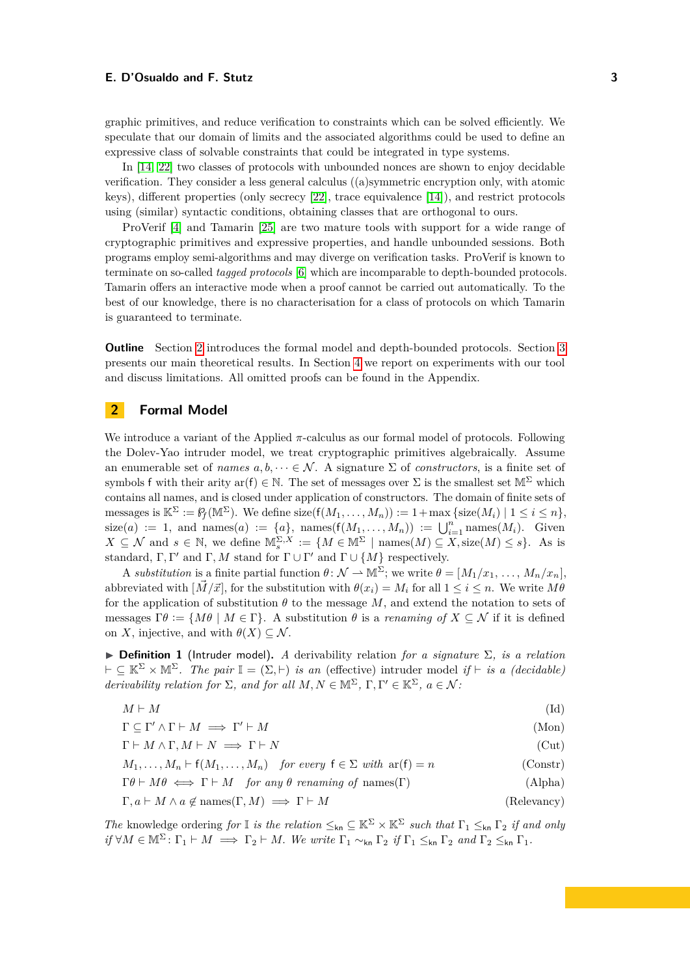graphic primitives, and reduce verification to constraints which can be solved efficiently. We speculate that our domain of limits and the associated algorithms could be used to define an expressive class of solvable constraints that could be integrated in type systems.

In [\[14,](#page-16-9) [22\]](#page-17-9) two classes of protocols with unbounded nonces are shown to enjoy decidable verification. They consider a less general calculus ((a)symmetric encryption only, with atomic keys), different properties (only secrecy [\[22\]](#page-17-9), trace equivalence [\[14\]](#page-16-9)), and restrict protocols using (similar) syntactic conditions, obtaining classes that are orthogonal to ours.

ProVerif [\[4\]](#page-16-3) and Tamarin [\[25\]](#page-17-2) are two mature tools with support for a wide range of cryptographic primitives and expressive properties, and handle unbounded sessions. Both programs employ semi-algorithms and may diverge on verification tasks. ProVerif is known to terminate on so-called *tagged protocols* [\[6\]](#page-16-11) which are incomparable to depth-bounded protocols. Tamarin offers an interactive mode when a proof cannot be carried out automatically. To the best of our knowledge, there is no characterisation for a class of protocols on which Tamarin is guaranteed to terminate.

**Outline** Section [2](#page-2-0) introduces the formal model and depth-bounded protocols. Section [3](#page-7-0) presents our main theoretical results. In Section [4](#page-14-0) we report on experiments with our tool and discuss limitations. All omitted proofs can be found in the Appendix.

# <span id="page-2-0"></span>**2 Formal Model**

We introduce a variant of the Applied *π*-calculus as our formal model of protocols. Following the Dolev-Yao intruder model, we treat cryptographic primitives algebraically. Assume an enumerable set of *names*  $a, b, \dots \in \mathcal{N}$ . A signature  $\Sigma$  of *constructors*, is a finite set of symbols f with their arity ar(f)  $\in \mathbb{N}$ . The set of messages over  $\Sigma$  is the smallest set  $\mathbb{M}^{\Sigma}$  which contains all names, and is closed under application of constructors. The domain of finite sets of messages is  $\mathbb{K}^{\Sigma} := \mathcal{C}_f(\mathbb{M}^{\Sigma})$ . We define size( $f(M_1, \ldots, M_n)$ ) := 1+max {size( $M_i$ ) | 1 ≤ *i* ≤ *n* },  $size(a) := 1$ , and names(*a*)  $:= \{a\}$ , names( $f(M_1, \ldots, M_n)$ )  $:= \bigcup_{i=1}^n \text{names}(M_i)$ . Given  $X \subseteq \mathcal{N}$  and  $s \in \mathbb{N}$ , we define  $\mathbb{M}_{s}^{\Sigma,X} := \{M \in \mathbb{M}^{\Sigma} \mid \text{names}(M) \subseteq X, \text{size}(M) \leq s\}.$  As is standard,  $\Gamma, \Gamma'$  and  $\Gamma, M$  stand for  $\Gamma \cup \Gamma'$  and  $\Gamma \cup \{M\}$  respectively.

A *substitution* is a finite partial function  $\theta \colon \mathcal{N} \to \mathbb{M}^{\Sigma}$ ; we write  $\theta = [M_1/x_1, \ldots, M_n/x_n]$ . abbreviated with  $[\vec{M}/\vec{x}]$ , for the substitution with  $\theta(x_i) = M_i$  for all  $1 \leq i \leq n$ . We write  $M\theta$ for the application of substitution *θ* to the message *M*, and extend the notation to sets of messages  $\Gamma \theta := \{ M \theta \mid M \in \Gamma \}$ . A substitution  $\theta$  is a *renaming of*  $X \subseteq \mathcal{N}$  if it is defined on *X*, injective, and with  $\theta(X) \subseteq \mathcal{N}$ .

<span id="page-2-7"></span>I **Definition 1** (Intruder model)**.** *A* derivability relation *for a signature* Σ*, is a relation*  $\vdash \subset \mathbb{K}^{\Sigma} \times \mathbb{M}^{\Sigma}$ . The pair  $\mathbb{I} = (\Sigma, \vdash)$  *is an* (effective) intruder model *if*  $\vdash$  *is a (decidable) derivability relation for*  $\Sigma$ *, and for all*  $M, N \in \mathbb{M}^{\Sigma}$ ,  $\Gamma, \Gamma' \in \mathbb{K}^{\Sigma}$ ,  $a \in \mathcal{N}$ *:* 

$$
M \vdash M
$$
\n
$$
\Gamma \subseteq \Gamma' \land \Gamma \vdash M \implies \Gamma' \vdash M
$$
\n
$$
(Mon)
$$

<span id="page-2-3"></span><span id="page-2-2"></span><span id="page-2-1"></span> $\Gamma \vdash M \land \Gamma, M \vdash N \implies \Gamma \vdash N$  (Cut)

<span id="page-2-6"></span><span id="page-2-5"></span><span id="page-2-4"></span>
$$
M_1, \ldots, M_n \vdash f(M_1, \ldots, M_n) \quad \text{for every } f \in \Sigma \text{ with } ar(f) = n \tag{Constr}
$$
\n
$$
\Gamma \theta \vdash M \theta \iff \Gamma \vdash M \quad \text{for any } \theta \text{ renaming of names}(\Gamma) \tag{Alpha}
$$
\n
$$
\Gamma, a \vdash M \land a \notin \text{names}(\Gamma, M) \implies \Gamma \vdash M \tag{Relevarcy}
$$

*The* knowledge ordering *for*  $\mathbb{I}$  *is the relation*  $\leq_{kn} \mathbb{I} \leq \mathbb{K}^{\Sigma} \times \mathbb{K}^{\Sigma}$  *such that*  $\Gamma_1 \leq_{kn} \Gamma_2$  *if and only*  $if \forall M \in \mathbb{M}^{\Sigma} \colon \Gamma_1 \vdash M \implies \Gamma_2 \vdash M.$  We write  $\Gamma_1 \sim_{\mathsf{kn}} \Gamma_2$  if  $\Gamma_1 \leq_{\mathsf{kn}} \Gamma_2$  and  $\Gamma_2 \leq_{\mathsf{kn}} \Gamma_1$ .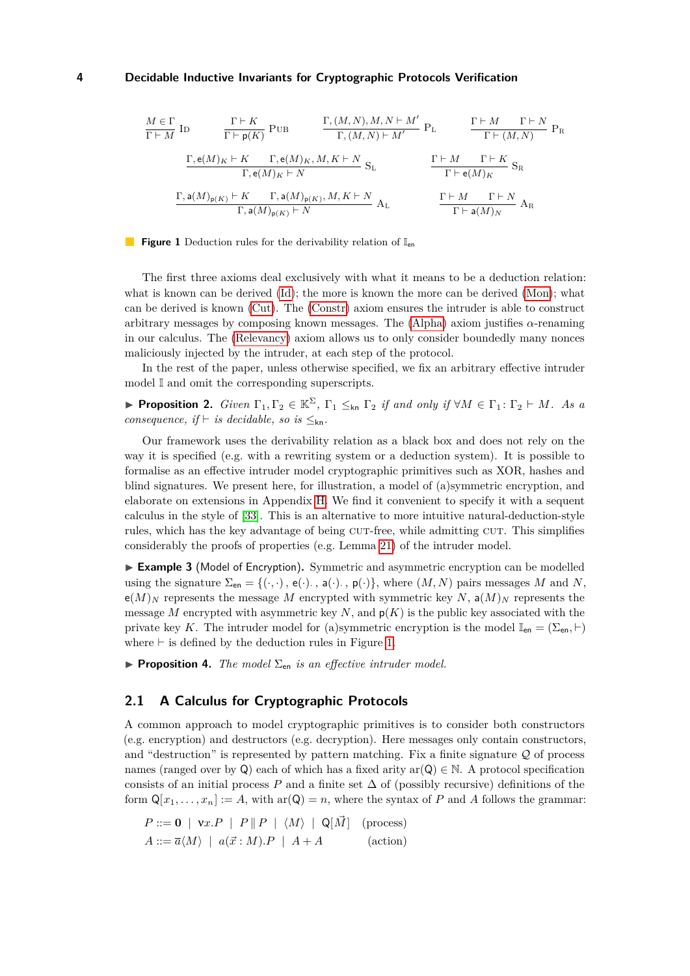<span id="page-3-8"></span><span id="page-3-7"></span><span id="page-3-6"></span><span id="page-3-5"></span><span id="page-3-4"></span><span id="page-3-3"></span><span id="page-3-2"></span><span id="page-3-0"></span>
$$
\frac{M \in \Gamma}{\Gamma \vdash M} \text{ ID } \frac{\Gamma \vdash K}{\Gamma \vdash \mathsf{p}(K)} \text{ PUB } \frac{\Gamma, (M, N), M, N \vdash M'}{\Gamma, (M, N) \vdash M'} \text{ P}_L \frac{\Gamma \vdash M \quad \Gamma \vdash N}{\Gamma \vdash (M, N)} \text{ P}_R
$$
\n
$$
\frac{\Gamma, \mathsf{e}(M)_K \vdash K \quad \Gamma, \mathsf{e}(M)_K, M, K \vdash N}{\Gamma, \mathsf{e}(M)_K \vdash N} \text{ S}_L \frac{\Gamma \vdash M \quad \Gamma \vdash K}{\Gamma \vdash \mathsf{e}(M)_K} \text{ S}_R
$$
\n
$$
\frac{\Gamma, \mathsf{a}(M)_{\mathsf{p}(K)} \vdash K \quad \Gamma, \mathsf{a}(M)_{\mathsf{p}(K)}, M, K \vdash N}{\Gamma, \mathsf{a}(M)_{\mathsf{p}(K)} \vdash N} \text{ A}_L \frac{\Gamma \vdash M \quad \Gamma \vdash N}{\Gamma \vdash \mathsf{a}(M)_N} \text{ A}_R
$$

#### **Figure 1** Deduction rules for the derivability relation of  $I_{en}$

The first three axioms deal exclusively with what it means to be a deduction relation: what is known can be derived [\(Id\)](#page-2-1); the more is known the more can be derived [\(Mon\)](#page-2-2); what can be derived is known [\(Cut\)](#page-2-3). The [\(Constr\)](#page-2-4) axiom ensures the intruder is able to construct arbitrary messages by composing known messages. The [\(Alpha\)](#page-2-5) axiom justifies *α*-renaming in our calculus. The [\(Relevancy\)](#page-2-6) axiom allows us to only consider boundedly many nonces maliciously injected by the intruder, at each step of the protocol.

In the rest of the paper, unless otherwise specified, we fix an arbitrary effective intruder model I and omit the corresponding superscripts.

<span id="page-3-9"></span>**Proposition 2.** *Given*  $\Gamma_1, \Gamma_2 \in \mathbb{K}^{\Sigma}$ ,  $\Gamma_1 \leq_{kn} \Gamma_2$  *if and only if*  $\forall M \in \Gamma_1 : \Gamma_2 \vdash M$ *. As a consequence, if*  $\vdash$  *is decidable, so is*  $\leq_{kn}$ *.* 

Our framework uses the derivability relation as a black box and does not rely on the way it is specified (e.g. with a rewriting system or a deduction system). It is possible to formalise as an effective intruder model cryptographic primitives such as XOR, hashes and blind signatures. We present here, for illustration, a model of (a)symmetric encryption, and elaborate on extensions in Appendix [H.](#page-34-0) We find it convenient to specify it with a sequent calculus in the style of [\[33\]](#page-17-10). This is an alternative to more intuitive natural-deduction-style rules, which has the key advantage of being CUT-free, while admitting CUT. This simplifies considerably the proofs of properties (e.g. Lemma [21\)](#page-11-0) of the intruder model.

► **Example 3** (Model of Encryption). Symmetric and asymmetric encryption can be modelled using the signature  $\Sigma_{en} = \{(\cdot, \cdot), e(\cdot), a(\cdot), p(\cdot)\},\$  where  $(M, N)$  pairs messages *M* and *N*,  $e(M)_N$  represents the message M encrypted with symmetric key N,  $a(M)_N$  represents the message *M* encrypted with asymmetric key  $N$ , and  $p(K)$  is the public key associated with the private key *K*. The intruder model for (a)symmetric encryption is the model  $\mathbb{I}_{en} = (\Sigma_{en}, \vdash)$ where  $\vdash$  is defined by the deduction rules in Figure [1.](#page-3-0)

<span id="page-3-1"></span>**Proposition 4.** *The model*  $\Sigma_{en}$  *is an effective intruder model.* 

## **2.1 A Calculus for Cryptographic Protocols**

A common approach to model cryptographic primitives is to consider both constructors (e.g. encryption) and destructors (e.g. decryption). Here messages only contain constructors, and "destruction" is represented by pattern matching. Fix a finite signature  $Q$  of process names (ranged over by Q) each of which has a fixed arity ar( $Q$ )  $\in \mathbb{N}$ . A protocol specification consists of an initial process *P* and a finite set  $\Delta$  of (possibly recursive) definitions of the form  $Q[x_1, \ldots, x_n] := A$ , with ar $(Q) = n$ , where the syntax of *P* and *A* follows the grammar:

$$
P ::= \mathbf{0} \mid \mathbf{v}x.P \mid P \parallel P \mid \langle M \rangle \mid \mathbf{Q}[\vec{M}] \quad \text{(process)}
$$

$$
A ::= \overline{a}\langle M \rangle \mid a(\vec{x} : M).P \mid A + A \quad \text{(action)}
$$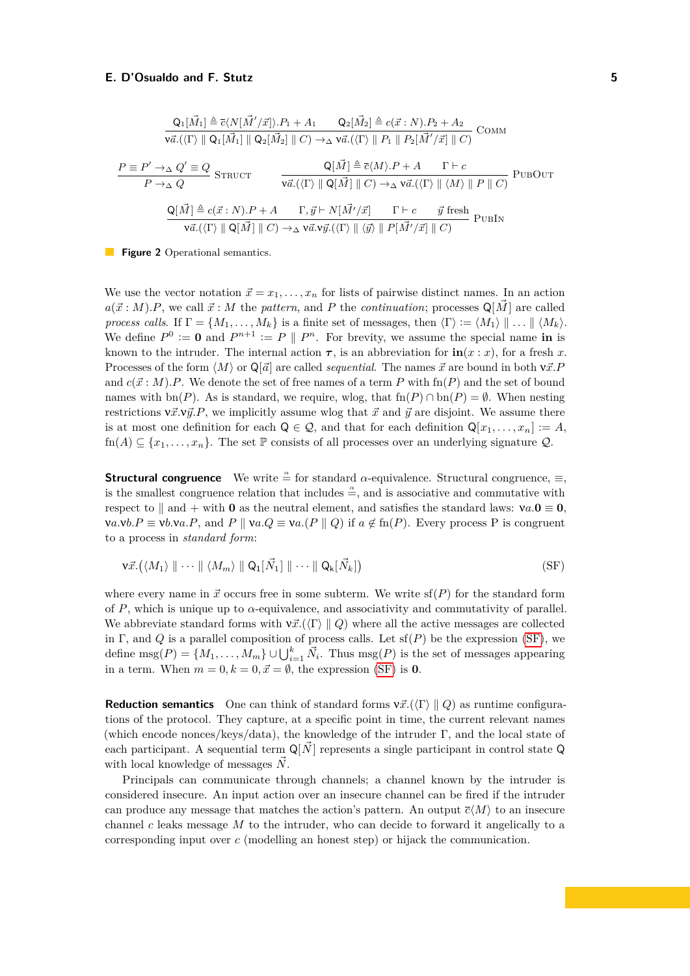<span id="page-4-2"></span><span id="page-4-1"></span>
$$
\frac{Q_1[\vec{M}_1] \triangleq \overline{c}\langle N[\vec{M}'/\vec{x}] \rangle. P_1 + A_1 \qquad Q_2[\vec{M}_2] \triangleq c(\vec{x}:N).P_2 + A_2}{\nu \vec{a}.\langle \langle \Gamma \rangle \parallel Q_1[\vec{M}_1] \parallel Q_2[\vec{M}_2] \parallel C) \rightarrow_{\Delta} \nu \vec{a}.\langle \langle \Gamma \rangle \parallel P_1 \parallel P_2[\vec{M}'/\vec{x}] \parallel C)}
$$
COMM\n
$$
\frac{P \equiv P' \rightarrow_{\Delta} Q' \equiv Q}{P \rightarrow_{\Delta} Q} \text{ STRUCT} \qquad \frac{Q[\vec{M}] \triangleq \overline{c}\langle M \rangle. P + A \qquad \Gamma \vdash c}{\nu \vec{a}.\langle \langle \Gamma \rangle \parallel Q[\vec{M}] \parallel C) \rightarrow_{\Delta} \nu \vec{a}.\langle \langle \Gamma \rangle \parallel \langle M \rangle \parallel P \parallel C)}
$$
PUBOUT\n
$$
\frac{Q[\vec{M}] \triangleq c(\vec{x}:N).P + A \qquad \Gamma, \vec{y} \vdash N[\vec{M}'/\vec{x}] \qquad \Gamma \vdash c \qquad \vec{y} \text{ fresh} \qquad \text{PUBIN}
$$
\n
$$
\frac{\nu \vec{a}.(\langle \Gamma \rangle \parallel Q[\vec{M}] \parallel C) \rightarrow_{\Delta} \nu \vec{a}. \nu \vec{y}.(\langle \Gamma \rangle \parallel \langle \vec{y} \rangle \parallel P[\vec{M}'/\vec{x}] \parallel C)}{\nu \vec{a}.(\langle \Gamma \rangle \parallel Q[\vec{M}] \parallel C) \rightarrow_{\Delta} \nu \vec{a}. \nu \vec{y}.(\langle \Gamma \rangle \parallel \langle \vec{y} \rangle \parallel P[\vec{M}'/\vec{x}] \parallel C)}
$$

**Figure 2** Operational semantics.

We use the vector notation  $\vec{x} = x_1, \ldots, x_n$  for lists of pairwise distinct names. In an action  $a(\vec{x}:M)$ *.P*, we call  $\vec{x}:M$  the *pattern*, and *P* the *continuation*; processes  $\mathbb{Q}[\vec{M}]$  are called *process calls.* If  $\Gamma = \{M_1, \ldots, M_k\}$  is a finite set of messages, then  $\langle \Gamma \rangle := \langle M_1 \rangle \parallel \ldots \parallel \langle M_k \rangle$ . We define  $P^0 := \mathbf{0}$  and  $P^{n+1} := P \parallel P^n$ . For brevity, we assume the special name in is known to the intruder. The internal action  $\tau$ , is an abbreviation for  $\textbf{in}(x:x)$ , for a fresh *x*. Processes of the form  $\langle M \rangle$  or  $\mathbb{Q}[{\vec{a}}]$  are called *sequential*. The names  ${\vec{x}}$  are bound in both  $v{\vec{x}}.P$ and  $c(\vec{x}: M)$ . We denote the set of free names of a term P with  $\text{fn}(P)$  and the set of bound names with bn(*P*). As is standard, we require, wlog, that  $\text{fn}(P) \cap \text{bn}(P) = \emptyset$ . When nesting restrictions  $v\vec{x}.v\vec{y}.P$ , we implicitly assume wlog that  $\vec{x}$  and  $\vec{y}$  are disjoint. We assume there is at most one definition for each  $Q \in \mathcal{Q}$ , and that for each definition  $Q[x_1, \ldots, x_n] := A$ ,  $fn(A) \subseteq \{x_1, \ldots, x_n\}$ . The set  $\mathbb P$  consists of all processes over an underlying signature  $\mathcal Q$ .

**Structural congruence** We write  $\stackrel{a}{=}$  for standard *α*-equivalence. Structural congruence,  $\equiv$ , is the smallest congruence relation that includes  $\stackrel{\sim}{=}$ , and is associative and commutative with respect to  $\parallel$  and + with **0** as the neutral element, and satisfies the standard laws:  $v a.$ **0**  $\equiv$  **0**,  $\mathbf{v}a.\mathbf{v}b.P \equiv \mathbf{v}b.\mathbf{v}a.P$ , and  $P \parallel \mathbf{v}a.Q \equiv \mathbf{v}a.(P \parallel Q)$  if  $a \notin \operatorname{fn}(P)$ . Every process P is congruent to a process in *standard form*:

<span id="page-4-0"></span>
$$
\mathbf{v}\vec{x}.(\langle M_1 \rangle \parallel \cdots \parallel \langle M_m \rangle \parallel \mathsf{Q}_1[\vec{N}_1] \parallel \cdots \parallel \mathsf{Q}_k[\vec{N}_k])
$$
 (SF)

where every name in  $\vec{x}$  occurs free in some subterm. We write  $\text{sf}(P)$  for the standard form of *P*, which is unique up to  $\alpha$ -equivalence, and associativity and commutativity of parallel. We abbreviate standard forms with  $v\vec{x}$ .( $\Gamma$ )  $\parallel Q$ ) where all the active messages are collected in Γ, and *Q* is a parallel composition of process calls. Let sf(*P*) be the expression [\(SF\)](#page-4-0), we define  $\text{msg}(P) = \{M_1, \ldots, M_m\} \cup \bigcup_{i=1}^k \vec{N}_i$ . Thus  $\text{msg}(P)$  is the set of messages appearing in a term. When  $m = 0, k = 0, \vec{x} = \emptyset$ , the expression [\(SF\)](#page-4-0) is **0**.

**Reduction semantics** One can think of standard forms  $v\vec{x}$ .( $\langle \Gamma \rangle \parallel Q$ ) as runtime configurations of the protocol. They capture, at a specific point in time, the current relevant names (which encode nonces/keys/data), the knowledge of the intruder  $\Gamma$ , and the local state of each participant. A sequential term  $\mathbb{Q}[\vec{N}]$  represents a single participant in control state Q with local knowledge of messages  $\vec{N}$ .

Principals can communicate through channels; a channel known by the intruder is considered insecure. An input action over an insecure channel can be fired if the intruder can produce any message that matches the action's pattern. An output  $\bar{c}(M)$  to an insecure channel *c* leaks message *M* to the intruder, who can decide to forward it angelically to a corresponding input over *c* (modelling an honest step) or hijack the communication.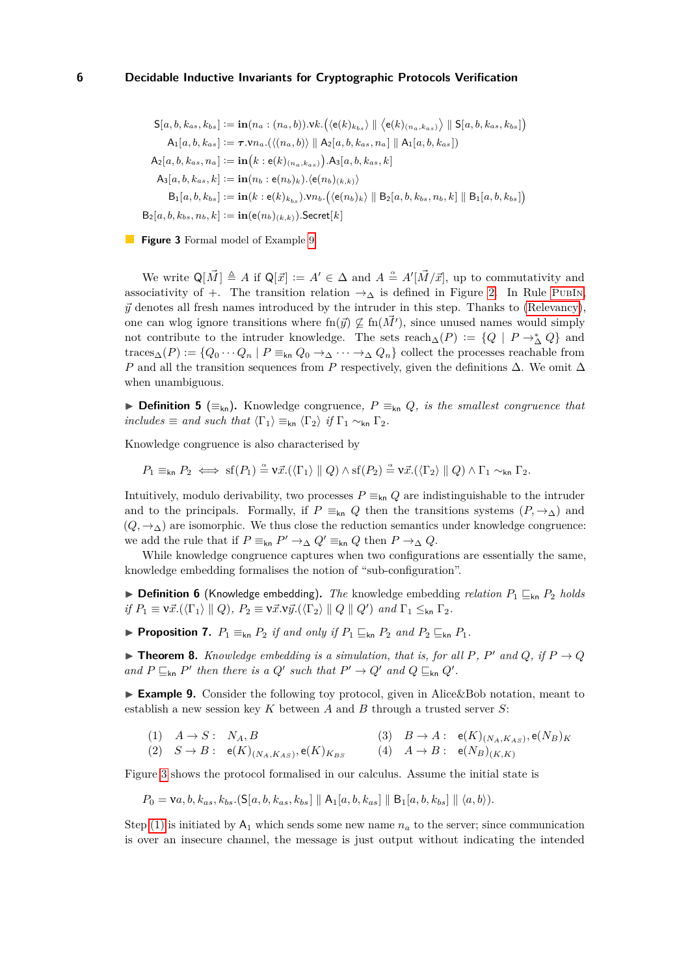<span id="page-5-1"></span>
$$
S[a, b, k_{as}, k_{bs}] := \mathbf{in}(n_a : (n_a, b)).\n\mathbf{v}k. \left( \langle e(k)_{k_{bs}} \rangle \parallel \langle e(k)_{(n_a, k_{as})} \rangle \parallel S[a, b, k_{as}, k_{bs}] \right)
$$
\n
$$
A_1[a, b, k_{as}] := \tau . \mathbf{v}n_a. \left( \langle (n_a, b) \rangle \parallel A_2[a, b, k_{as}, n_a] \parallel A_1[a, b, k_{as}] \right)
$$
\n
$$
A_2[a, b, k_{as}, n_a] := \mathbf{in}(k : e(k)_{(n_a, k_{as})}).\n\mathbf{A}_3[a, b, k_{as}, k]
$$
\n
$$
A_3[a, b, k_{as}, k] := \mathbf{in}(n_b : e(n_b)_k). \left\langle e(n_b)_{(k,k)} \right\rangle
$$
\n
$$
B_1[a, b, k_{bs}] := \mathbf{in}(k : e(k)_{k_{bs}}). \mathbf{v}n_b. \left( \langle e(n_b)_k \rangle \parallel B_2[a, b, k_{bs}, n_b, k] \parallel B_1[a, b, k_{bs}] \right)
$$
\n
$$
B_2[a, b, k_{bs}, n_b, k] := \mathbf{in}(e(n_b)_{(k,k)}). \text{Secret}[k]
$$

**Figure 3** Formal model of Example [9.](#page-5-0)

We write  $\mathsf{Q}[\vec{M}] \triangleq A$  if  $\mathsf{Q}[\vec{x}] := A' \in \Delta$  and  $A \triangleq A'[\vec{M}/\vec{x}]$ , up to commutativity and associativity of +. The transition relation  $\rightarrow_{\Delta}$  is defined in Figure [2.](#page-4-1) In Rule [PubIn](#page-4-2),  $\vec{y}$  denotes all fresh names introduced by the intruder in this step. Thanks to [\(Relevancy\)](#page-2-6), one can wlog ignore transitions where  $\text{fn}(\vec{y}) \nsubseteq \text{fn}(\vec{M}')$ , since unused names would simply not contribute to the intruder knowledge. The sets  $\text{reach}_{\Delta}(P) := \{Q \mid P \to^*_{\Delta} Q\}$  and traces<sub>△</sub>(*P*) := { $Q_0 \cdots Q_n$  |  $P \equiv_{kn} Q_0 \rightarrow_{\Delta} \cdots \rightarrow_{\Delta} Q_n$ } collect the processes reachable from *P* and all the transition sequences from *P* respectively, given the definitions ∆. We omit ∆ when unambiguous.

**► Definition 5** ( $\equiv_{\text{kn}}$ ). Knowledge congruence,  $P \equiv_{\text{kn}} Q$ *, is the smallest congruence that includes*  $\equiv$  *and such that*  $\langle \Gamma_1 \rangle \equiv_{kn} \langle \Gamma_2 \rangle$  *if*  $\Gamma_1 \sim_{kn} \Gamma_2$ *.* 

Knowledge congruence is also characterised by

$$
P_1 \equiv_{\mathsf{kn}} P_2 \iff \mathrm{sf}(P_1) \stackrel{\alpha}{=} \mathsf{v}\vec{x}. (\langle \Gamma_1 \rangle \parallel Q) \land \mathrm{sf}(P_2) \stackrel{\alpha}{=} \mathsf{v}\vec{x}. (\langle \Gamma_2 \rangle \parallel Q) \land \Gamma_1 \sim_{\mathsf{kn}} \Gamma_2.
$$

Intuitively, modulo derivability, two processes  $P \equiv_{kn} Q$  are indistinguishable to the intruder and to the principals. Formally, if  $P \equiv_{kn} Q$  then the transitions systems  $(P, \rightarrow_{\Delta})$  and  $(Q, \rightarrow_{\Delta})$  are isomorphic. We thus close the reduction semantics under knowledge congruence: we add the rule that if  $P \equiv_{kn} P' \rightarrow_{\Delta} Q' \equiv_{kn} Q$  then  $P \rightarrow_{\Delta} Q$ .

While knowledge congruence captures when two configurations are essentially the same, knowledge embedding formalises the notion of "sub-configuration".

 $\triangleright$  **Definition 6** (Knowledge embedding). *The* knowledge embedding *relation*  $P_1 \subseteq_{kn} P_2$  *holds*  $if P_1 \equiv \nu \vec{x}.(\langle \Gamma_1 \rangle \parallel Q), P_2 \equiv \nu \vec{x}. \nu \vec{y}.(\langle \Gamma_2 \rangle \parallel Q \parallel Q') \text{ and } \Gamma_1 \leq_{kn} \Gamma_2.$ 

<span id="page-5-5"></span>▶ **Proposition 7.**  $P_1 \equiv_{kn} P_2$  *if and only if*  $P_1 \sqsubseteq_{kn} P_2$  *and*  $P_2 \sqsubseteq_{kn} P_1$ *.* 

<span id="page-5-4"></span> $\triangleright$  **Theorem 8.** *Knowledge embedding is a simulation, that is, for all P, P'* and *Q,* if  $P \rightarrow Q$ *and*  $P \sqsubseteq_{kn} P'$  *then there is a*  $Q'$  *such that*  $P' \to Q'$  *and*  $Q \sqsubseteq_{kn} Q'$ .

<span id="page-5-0"></span>► Example 9. Consider the following toy protocol, given in Alice&Bob notation, meant to establish a new session key *K* between *A* and *B* through a trusted server *S*:

<span id="page-5-3"></span><span id="page-5-2"></span>
$$
\begin{array}{ll}\n\text{(1)} & A \to S: \quad N_A, B \\
\text{(2)} & S \to B: \quad \mathbf{e}(K)_{(N_A, K_{AS})}, \mathbf{e}(K)_{K_{BS}} \\
\text{(3)} & B \to A: \quad \mathbf{e}(K)_{(N_A, K_{AS})}, \mathbf{e}(N_B)_K \\
\text{(4)} & A \to B: \quad \mathbf{e}(N_B)_{(K,K)}\n\end{array}
$$

Figure [3](#page-5-1) shows the protocol formalised in our calculus. Assume the initial state is

$$
P_0 = \mathsf{v}a, b, k_{as}, k_{bs}.(\mathsf{S}[a, b, k_{as}, k_{bs}] \parallel \mathsf{A}_1[a, b, k_{as}] \parallel \mathsf{B}_1[a, b, k_{bs}] \parallel \langle a, b \rangle).
$$

Step [\(1\)](#page-5-2) is initiated by  $A_1$  which sends some new name  $n_a$  to the server; since communication is over an insecure channel, the message is just output without indicating the intended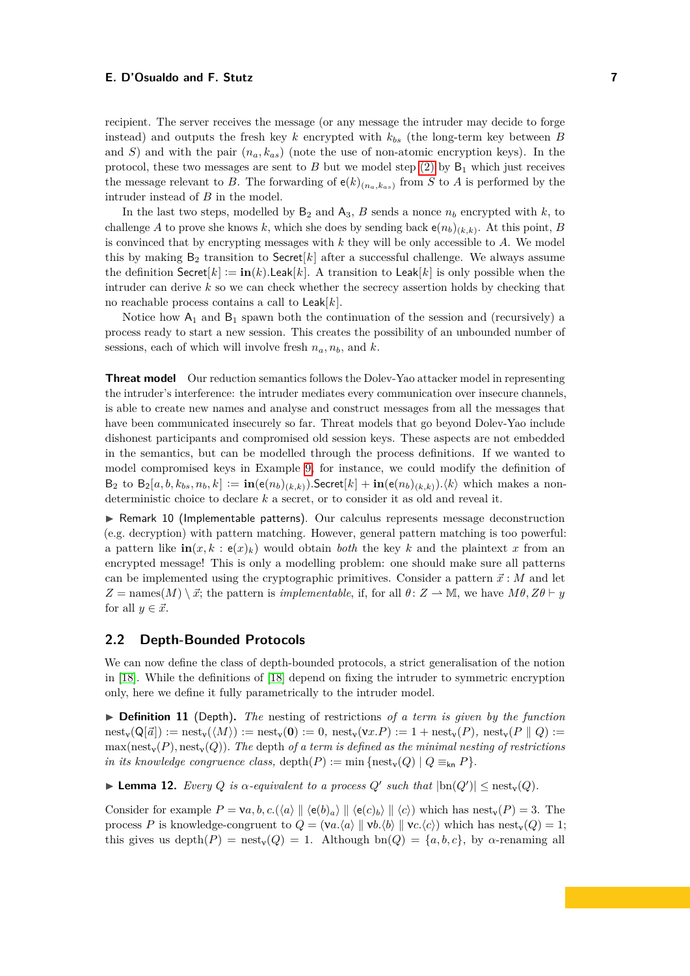recipient. The server receives the message (or any message the intruder may decide to forge instead) and outputs the fresh key *k* encrypted with *kbs* (the long-term key between *B* and *S*) and with the pair (*na, kas*) (note the use of non-atomic encryption keys). In the protocol, these two messages are sent to  $B$  but we model step [\(2\)](#page-5-3) by  $B_1$  which just receives the message relevant to *B*. The forwarding of  $e(k)_{(n_a,k_{as})}$  from *S* to *A* is performed by the intruder instead of *B* in the model.

In the last two steps, modelled by  $B_2$  and  $A_3$ , *B* sends a nonce  $n_b$  encrypted with *k*, to challenge *A* to prove she knows *k*, which she does by sending back  $e(n_b)_{(k,k)}$ . At this point, *B* is convinced that by encrypting messages with *k* they will be only accessible to *A*. We model this by making  $B_2$  transition to Secret[ $k$ ] after a successful challenge. We always assume the definition  $\text{Secret}[k] := \text{in}(k)$ .Leak[ $k$ ]. A transition to Leak[ $k$ ] is only possible when the intruder can derive *k* so we can check whether the secrecy assertion holds by checking that no reachable process contains a call to Leak[*k*].

Notice how  $A_1$  and  $B_1$  spawn both the continuation of the session and (recursively) a process ready to start a new session. This creates the possibility of an unbounded number of sessions, each of which will involve fresh  $n_a, n_b$ , and  $k$ .

**Threat model** Our reduction semantics follows the Dolev-Yao attacker model in representing the intruder's interference: the intruder mediates every communication over insecure channels, is able to create new names and analyse and construct messages from all the messages that have been communicated insecurely so far. Threat models that go beyond Dolev-Yao include dishonest participants and compromised old session keys. These aspects are not embedded in the semantics, but can be modelled through the process definitions. If we wanted to model compromised keys in Example [9,](#page-5-0) for instance, we could modify the definition of  $B_2$  to  $B_2[a, b, k_{bs}, n_b, k] := \mathbf{in}(\mathbf{e}(n_b)_{(k,k)})$ . Secret $[k] + \mathbf{in}(\mathbf{e}(n_b)_{(k,k)})$ .  $\langle k \rangle$  which makes a nondeterministic choice to declare *k* a secret, or to consider it as old and reveal it.

 $\triangleright$  Remark 10 (Implementable patterns). Our calculus represents message deconstruction (e.g. decryption) with pattern matching. However, general pattern matching is too powerful: a pattern like  $\textbf{in}(x, k : \textbf{e}(x)_k)$  would obtain *both* the key k and the plaintext x from an encrypted message! This is only a modelling problem: one should make sure all patterns can be implemented using the cryptographic primitives. Consider a pattern  $\vec{x}$ : *M* and let  $Z =$  names $(M) \setminus \vec{x}$ ; the pattern is *implementable*, if, for all  $\theta: Z \to \mathbb{M}$ , we have  $M\theta, Z\theta \vdash y$ for all  $y \in \vec{x}$ .

#### **2.2 Depth-Bounded Protocols**

We can now define the class of depth-bounded protocols, a strict generalisation of the notion in [\[18\]](#page-16-4). While the definitions of [\[18\]](#page-16-4) depend on fixing the intruder to symmetric encryption only, here we define it fully parametrically to the intruder model.

▶ **Definition 11** (Depth). *The* nesting of restrictions *of a term is given by the function*  $\text{nest}_{\mathbf{V}}(\mathsf{Q}[\vec{a}]) := \text{nest}_{\mathbf{V}}(\langle M \rangle) := \text{nest}_{\mathbf{V}}(\mathbf{0}) := 0$ ,  $\text{nest}_{\mathbf{V}}(\mathbf{v}x.P) := 1 + \text{nest}_{\mathbf{V}}(P)$ ,  $\text{nest}_{\mathbf{V}}(P \parallel Q) :=$  $\max(\text{nest}_v(P), \text{nest}_v(Q))$ . The depth of a term is defined as the minimal nesting of restrictions *in its knowledge congruence class,* depth $(P) := \min \{ \text{nest}_v(Q) \mid Q \equiv_{kn} P \}.$ 

<span id="page-6-0"></span>**Example 12.** Every *Q* is  $\alpha$ -equivalent to a process  $Q'$  such that  $|\text{bn}(Q')| \leq \text{nest}_{\text{v}}(Q)$ .

Consider for example  $P = \nu a, b, c.(\langle a \rangle \parallel \langle e(b)_a \rangle \parallel \langle e(c)_b \rangle \parallel \langle c \rangle)$  which has nest<sub>v</sub>(*P*) = 3. The process *P* is knowledge-congruent to  $Q = (va.\langle a \rangle \parallel vb.\langle b \rangle \parallel vc.\langle c \rangle)$  which has nest<sub>y</sub>(*Q*) = 1; this gives us depth $(P)$  = nest<sub>v</sub> $(Q)$  = 1. Although bn $(Q)$  = { $a, b, c$ }, by  $\alpha$ -renaming all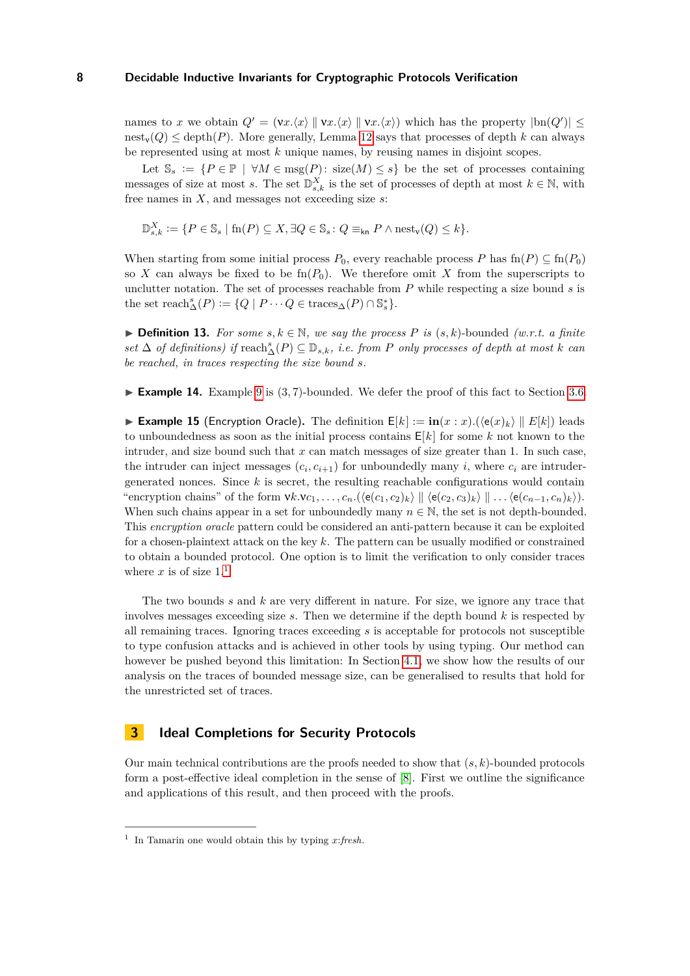names to *x* we obtain  $Q' = (\mathbf{v}x.\langle x \rangle \parallel \mathbf{v}x.\langle x \rangle \parallel \mathbf{v}x.\langle x \rangle)$  which has the property  $|\text{bn}(Q')| \le$  $\text{nest}_v(Q) \leq \text{depth}(P)$ . More generally, Lemma [12](#page-6-0) says that processes of depth *k* can always be represented using at most *k* unique names, by reusing names in disjoint scopes.

Let  $\mathbb{S}_s := \{ P \in \mathbb{P} \mid \forall M \in \text{msg}(P) : \text{size}(M) \leq s \}$  be the set of processes containing messages of size at most *s*. The set  $\mathbb{D}_{s,k}^X$  is the set of processes of depth at most  $k \in \mathbb{N}$ , with free names in *X*, and messages not exceeding size *s*:

$$
\mathbb{D}_{s,k}^X:=\{P\in \mathbb{S}_s\mid \text{fn}(P)\subseteq X, \exists Q\in \mathbb{S}_s\colon Q\equiv_{\sf kn} P \land \text{nest}_\mathsf{v}(Q)\leq k\}.
$$

When starting from some initial process  $P_0$ , every reachable process  $P$  has  $\text{fn}(P) \subseteq \text{fn}(P_0)$ so X can always be fixed to be  $\text{fn}(P_0)$ . We therefore omit X from the superscripts to unclutter notation. The set of processes reachable from *P* while respecting a size bound *s* is the set  $\text{reach}_{\Delta}^s(P) := \{Q \mid P \cdots Q \in \text{traces}_{\Delta}(P) \cap \mathbb{S}_s^*\}.$ 

**► Definition 13.** For some  $s, k \in \mathbb{N}$ , we say the process P is  $(s, k)$ -bounded  $(w.r.t. a finite$  $set$   $\Delta$  *of definitions*) *if*  $reach^s_{\Delta}(P) \subseteq \mathbb{D}_{s,k}$ *, i.e. from P only processes of depth at most k can be reached, in traces respecting the size bound s.*

► **Example 14.** Example [9](#page-5-0) is (3,7)-bounded. We defer the proof of this fact to Section [3.6.](#page-13-0)

<span id="page-7-2"></span>**Example 15** (Encryption Oracle). The definition  $E[k] := \mathbf{in}(x : x) \cdot (\langle e(x)_k \rangle \parallel E[k])$  leads to unboundedness as soon as the initial process contains E[*k*] for some *k* not known to the intruder, and size bound such that *x* can match messages of size greater than 1. In such case, the intruder can inject messages  $(c_i, c_{i+1})$  for unboundedly many *i*, where  $c_i$  are intrudergenerated nonces. Since  $k$  is secret, the resulting reachable configurations would contain "encryption chains" of the form  $\forall k.\mathbf{v}_{c_1},\ldots,c_n.(\langle e(c_1,c_2)_k\rangle \parallel \langle e(c_2,c_3)_k\rangle \parallel \ldots \langle e(c_{n-1},c_n)_k\rangle).$ When such chains appear in a set for unboundedly many  $n \in \mathbb{N}$ , the set is not depth-bounded. This *encryption oracle* pattern could be considered an anti-pattern because it can be exploited for a chosen-plaintext attack on the key *k*. The pattern can be usually modified or constrained to obtain a bounded protocol. One option is to limit the verification to only consider traces where  $x$  is of size  $1<sup>1</sup>$  $1<sup>1</sup>$ 

The two bounds *s* and *k* are very different in nature. For size, we ignore any trace that involves messages exceeding size *s*. Then we determine if the depth bound *k* is respected by all remaining traces. Ignoring traces exceeding *s* is acceptable for protocols not susceptible to type confusion attacks and is achieved in other tools by using typing. Our method can however be pushed beyond this limitation: In Section [4.1,](#page-15-0) we show how the results of our analysis on the traces of bounded message size, can be generalised to results that hold for the unrestricted set of traces.

# <span id="page-7-0"></span>**3 Ideal Completions for Security Protocols**

Our main technical contributions are the proofs needed to show that (*s, k*)-bounded protocols form a post-effective ideal completion in the sense of [\[8\]](#page-16-12). First we outline the significance and applications of this result, and then proceed with the proofs.

<span id="page-7-1"></span><sup>1</sup> In Tamarin one would obtain this by typing *x*:*fresh*.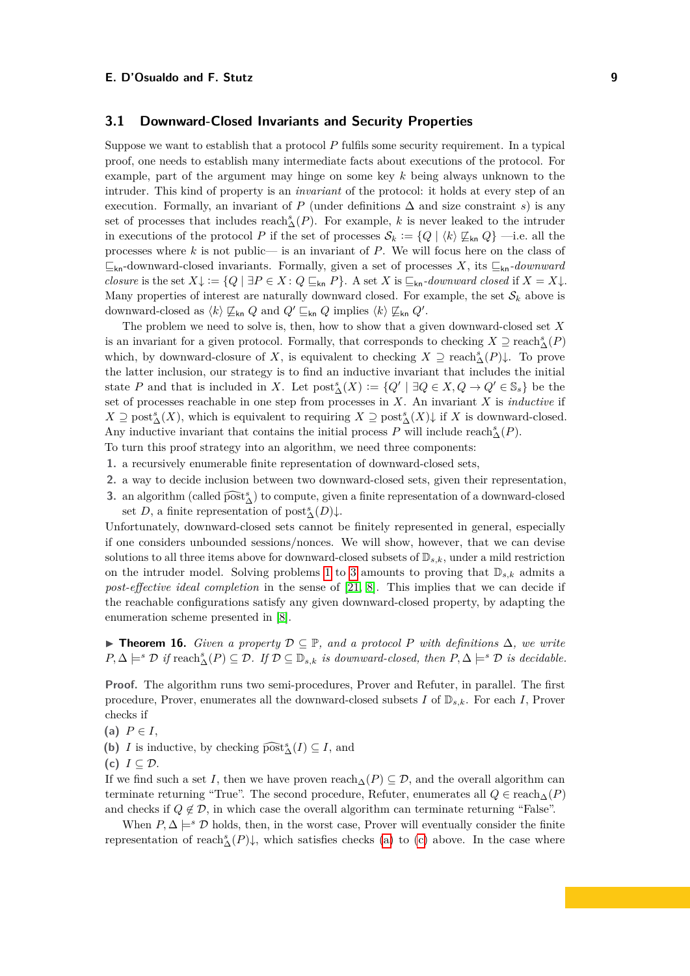## <span id="page-8-0"></span>**3.1 Downward-Closed Invariants and Security Properties**

Suppose we want to establish that a protocol *P* fulfils some security requirement. In a typical proof, one needs to establish many intermediate facts about executions of the protocol. For example, part of the argument may hinge on some key *k* being always unknown to the intruder. This kind of property is an *invariant* of the protocol: it holds at every step of an execution. Formally, an invariant of  $P$  (under definitions  $\Delta$  and size constraint *s*) is any set of processes that includes  $\text{reach}_{\Delta}^s(P)$ . For example, *k* is never leaked to the intruder in executions of the protocol *P* if the set of processes  $\mathcal{S}_k := \{Q \mid \langle k \rangle \not\subseteq_{kn} Q\}$  —i.e. all the processes where *k* is not public— is an invariant of *P*. We will focus here on the class of  $\mathcal{L}_{\mathsf{kn}}$ -downward-closed invariants. Formally, given a set of processes *X*, its  $\mathcal{L}_{\mathsf{kn}}$ -*downward closure* is the set  $X \downarrow := \{Q \mid \exists P \in X : Q \sqsubseteq_{kn} P\}$ . A set *X* is  $\sqsubseteq_{kn}$ -downward closed if  $X = X \downarrow$ . Many properties of interest are naturally downward closed. For example, the set  $\mathcal{S}_k$  above is downward-closed as  $\langle k \rangle \not\sqsubseteq_{\mathsf{kn}} Q$  and  $Q' \sqsubseteq_{\mathsf{kn}} Q$  implies  $\langle k \rangle \not\sqsubseteq_{\mathsf{kn}} Q'$ .

The problem we need to solve is, then, how to show that a given downward-closed set *X* is an invariant for a given protocol. Formally, that corresponds to checking  $X \supseteq \text{reach}^s_{\Delta}(P)$ which, by downward-closure of X, is equivalent to checking  $X \supseteq \text{reach}^s_{\Delta}(P) \downarrow$ . To prove the latter inclusion, our strategy is to find an inductive invariant that includes the initial state *P* and that is included in *X*. Let  $\text{post}_{\Delta}^s(X) := \{Q' \mid \exists Q \in X, Q \to Q' \in \mathbb{S}_s\}$  be the set of processes reachable in one step from processes in *X*. An invariant *X* is *inductive* if  $X \supseteq \text{post}^s_{\Delta}(X)$ , which is equivalent to requiring  $X \supseteq \text{post}^s_{\Delta}(X) \downarrow$  if *X* is downward-closed. Any inductive invariant that contains the initial process  $P$  will include reach<sup>s</sup><sub> $\Delta$ </sub>( $P$ ).

- To turn this proof strategy into an algorithm, we need three components:
- <span id="page-8-1"></span>**1.** a recursively enumerable finite representation of downward-closed sets,
- **2.** a way to decide inclusion between two downward-closed sets, given their representation,
- <span id="page-8-2"></span>3. an algorithm (called  $\widehat{\text{post}}_{\Delta}^{s}$ ) to compute, given a finite representation of a downward-closed set *D*, a finite representation of  $\text{post}_{\Delta}^{s}(D)\downarrow$ .

Unfortunately, downward-closed sets cannot be finitely represented in general, especially if one considers unbounded sessions/nonces. We will show, however, that we can devise solutions to all three items above for downward-closed subsets of  $\mathbb{D}_{s,k}$ , under a mild restriction on the intruder model. Solving problems [1](#page-8-1) to [3](#page-8-2) amounts to proving that  $\mathbb{D}_{s,k}$  admits a *post-effective ideal completion* in the sense of [\[21,](#page-17-8) [8\]](#page-16-12). This implies that we can decide if the reachable configurations satisfy any given downward-closed property, by adapting the enumeration scheme presented in [\[8\]](#page-16-12).

<span id="page-8-5"></span>**► Theorem 16.** *Given a property*  $D \subseteq \mathbb{P}$ *, and a protocol P with definitions*  $\Delta$ *, we write*  $P, \Delta \models^s \mathcal{D}$  *if* reach $^s_\Delta(P) \subseteq \mathcal{D}$ *. If*  $\mathcal{D} \subseteq \mathbb{D}_{s,k}$  *is downward-closed, then*  $P, \Delta \models^s \mathcal{D}$  *is decidable.* 

**Proof.** The algorithm runs two semi-procedures, Prover and Refuter, in parallel. The first procedure, Prover, enumerates all the downward-closed subsets  $I$  of  $\mathbb{D}_{s,k}$ . For each  $I$ , Prover checks if

- <span id="page-8-3"></span>(a)  $P \in I$ ,
- **(b)** *I* is inductive, by checking  $\widehat{\text{post}}_{\Delta}^s(I) \subseteq I$ , and
- <span id="page-8-4"></span>(c)  $I \subseteq \mathcal{D}$ .

If we find such a set *I*, then we have proven reach $\Delta(P) \subseteq \mathcal{D}$ , and the overall algorithm can terminate returning "True". The second procedure, Refuter, enumerates all  $Q \in \text{reach}_{\Delta}(P)$ and checks if  $Q \notin \mathcal{D}$ , in which case the overall algorithm can terminate returning "False".

When  $P, \Delta \models^s \mathcal{D}$  holds, then, in the worst case, Prover will eventually consider the finite representation of reach<sub></sub><sup>s</sup><sub> $\Delta$ </sub>(*P*) $\downarrow$ , which satisfies checks [\(a\)](#page-8-3) to [\(c\)](#page-8-4) above. In the case where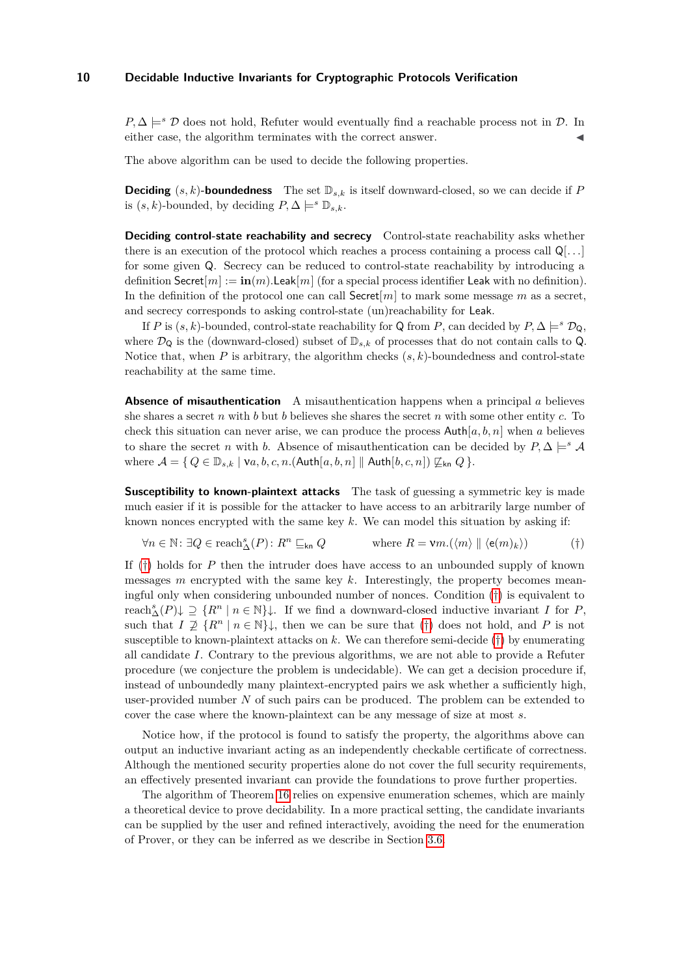$P, \Delta \models^s \mathcal{D}$  does not hold, Refuter would eventually find a reachable process not in  $\mathcal{D}$ . In either case, the algorithm terminates with the correct answer.

The above algorithm can be used to decide the following properties.

**Deciding**  $(s, k)$ **-boundedness** The set  $\mathbb{D}_{s,k}$  is itself downward-closed, so we can decide if *P* is  $(s, k)$ -bounded, by deciding  $P, \Delta \models^s \mathbb{D}_{s,k}$ .

**Deciding control-state reachability and secrecy** Control-state reachability asks whether there is an execution of the protocol which reaches a process containing a process call Q[*. . .*] for some given Q. Secrecy can be reduced to control-state reachability by introducing a definition Secret $[m] := \mathbf{in}(m)$ . Leak $[m]$  (for a special process identifier Leak with no definition). In the definition of the protocol one can call  $Seret[m]$  to mark some message  $m$  as a secret, and secrecy corresponds to asking control-state (un)reachability for Leak.

If *P* is  $(s, k)$ -bounded, control-state reachability for Q from *P*, can decided by  $P, \Delta \models^s \mathcal{D}_{\mathsf{Q}},$ where  $\mathcal{D}_{\mathsf{Q}}$  is the (downward-closed) subset of  $\mathbb{D}_{s,k}$  of processes that do not contain calls to  $\mathsf{Q}$ . Notice that, when  $P$  is arbitrary, the algorithm checks  $(s, k)$ -boundedness and control-state reachability at the same time.

**Absence of misauthentication** A misauthentication happens when a principal *a* believes she shares a secret *n* with *b* but *b* believes she shares the secret *n* with some other entity *c*. To check this situation can never arise, we can produce the process  $\text{Auth}[a, b, n]$  when a believes to share the secret *n* with *b*. Absence of misauthentication can be decided by  $P, \Delta \models^s \mathcal{A}$ where  $\mathcal{A} = \{ Q \in \mathbb{D}_{s,k} \mid \forall a, b, c, n. (\text{Auth}[a, b, n] \parallel \text{Auth}[b, c, n]) \not\sqsubseteq_{\text{kn}} Q \}.$ 

**Susceptibility to known-plaintext attacks** The task of guessing a symmetric key is made much easier if it is possible for the attacker to have access to an arbitrarily large number of known nonces encrypted with the same key *k*. We can model this situation by asking if:

<span id="page-9-0"></span>
$$
\forall n \in \mathbb{N}: \exists Q \in \text{reach}_{\Delta}^s(P) \colon R^n \sqsubseteq_{\mathsf{kn}} Q \qquad \qquad \text{where } R = \mathsf{V}m.(\langle m \rangle \parallel \langle \mathsf{e}(m)_k \rangle) \tag{†}
$$

If ([†](#page-9-0)) holds for *P* then the intruder does have access to an unbounded supply of known messages *m* encrypted with the same key *k*. Interestingly, the property becomes meaningful only when considering unbounded number of nonces. Condition ([†](#page-9-0)) is equivalent to reach<sup>*s*</sup><sub></sub> $(\overline{P})\downarrow \supseteq \{R^n \mid n \in \mathbb{N}\}\downarrow$ . If we find a downward-closed inductive invariant *I* for *P*, such that  $I \not\supseteq \{R^n \mid n \in \mathbb{N}\}\downarrow$ , then we can be sure that ([†](#page-9-0)) does not hold, and P is not susceptible to known-plaintext attacks on *k*. We can therefore semi-decide ([†](#page-9-0)) by enumerating all candidate *I*. Contrary to the previous algorithms, we are not able to provide a Refuter procedure (we conjecture the problem is undecidable). We can get a decision procedure if, instead of unboundedly many plaintext-encrypted pairs we ask whether a sufficiently high, user-provided number *N* of such pairs can be produced. The problem can be extended to cover the case where the known-plaintext can be any message of size at most *s*.

Notice how, if the protocol is found to satisfy the property, the algorithms above can output an inductive invariant acting as an independently checkable certificate of correctness. Although the mentioned security properties alone do not cover the full security requirements, an effectively presented invariant can provide the foundations to prove further properties.

The algorithm of Theorem [16](#page-8-5) relies on expensive enumeration schemes, which are mainly a theoretical device to prove decidability. In a more practical setting, the candidate invariants can be supplied by the user and refined interactively, avoiding the need for the enumeration of Prover, or they can be inferred as we describe in Section [3.6.](#page-13-0)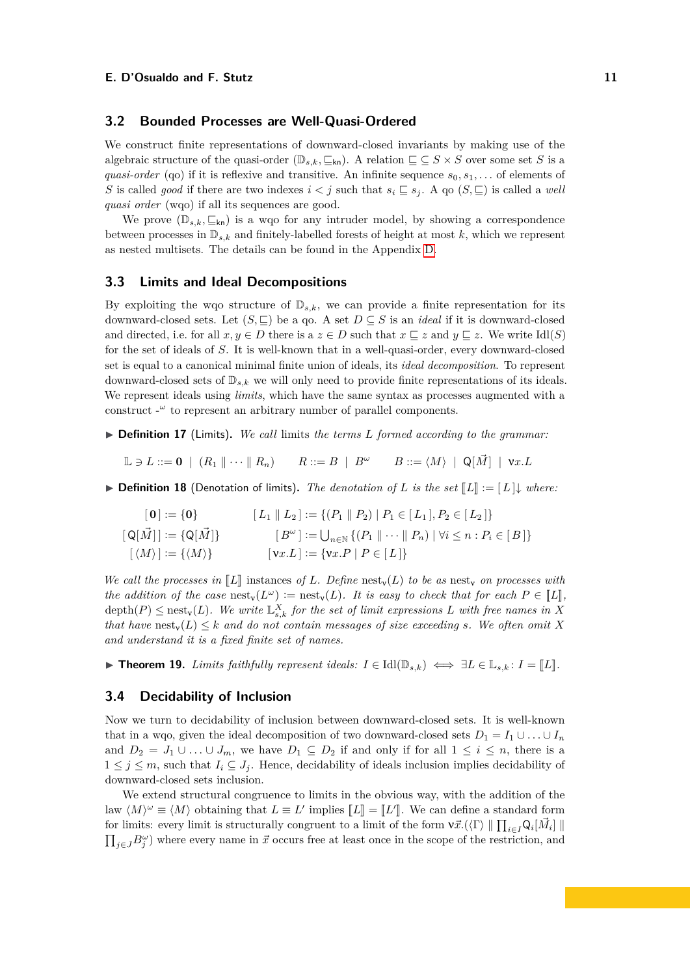## **3.2 Bounded Processes are Well-Quasi-Ordered**

We construct finite representations of downward-closed invariants by making use of the algebraic structure of the quasi-order  $(\mathbb{D}_{s,k}, \subseteq_{kn})$ . A relation  $\sqsubseteq \subseteq S \times S$  over some set *S* is a *quasi-order* (qo) if it is reflexive and transitive. An infinite sequence  $s_0, s_1, \ldots$  of elements of *S* is called *good* if there are two indexes  $i < j$  such that  $s_i \subseteq s_j$ . A qo  $(S, \sqsubseteq)$  is called a *well quasi order* (wqo) if all its sequences are good.

We prove  $(\mathbb{D}_{s,k}, \subseteq_{\mathsf{kn}})$  is a wqo for any intruder model, by showing a correspondence between processes in  $\mathbb{D}_{s,k}$  and finitely-labelled forests of height at most k, which we represent as nested multisets. The details can be found in the Appendix [D.](#page-20-0)

#### **3.3 Limits and Ideal Decompositions**

By exploiting the wqo structure of  $\mathbb{D}_{s,k}$ , we can provide a finite representation for its downward-closed sets. Let  $(S, \sqsubseteq)$  be a qo. A set  $D \subseteq S$  is an *ideal* if it is downward-closed and directed, i.e. for all  $x, y \in D$  there is a  $z \in D$  such that  $x \sqsubseteq z$  and  $y \sqsubseteq z$ . We write Idl(*S*) for the set of ideals of *S*. It is well-known that in a well-quasi-order, every downward-closed set is equal to a canonical minimal finite union of ideals, its *ideal decomposition*. To represent downward-closed sets of  $\mathbb{D}_{s,k}$  we will only need to provide finite representations of its ideals. We represent ideals using *limits*, which have the same syntax as processes augmented with a construct  $-\omega$  to represent an arbitrary number of parallel components.

I **Definition 17** (Limits)**.** *We call* limits *the terms L formed according to the grammar:*

 $\Box \ni L ::= \mathbf{0} \mid (R_1 \parallel \cdots \parallel R_n) \qquad R ::= B \parallel B^\omega \qquad B ::= \langle M \rangle \parallel \mathsf{Q}[\vec{M}] \parallel \mathsf{v}x.L$ 

▶ **Definition 18** (Denotation of limits). *The denotation of L is the set*  $\llbracket L \rrbracket := \llbracket L \rrbracket$  *where:* 

$$
\begin{aligned}\n\begin{bmatrix} \mathbf{0} \end{bmatrix} &:= \{ \mathbf{0} \} & \begin{bmatrix} L_1 \parallel L_2 \end{bmatrix} &:= \{ (P_1 \parallel P_2) \mid P_1 \in [L_1], P_2 \in [L_2] \} \\
\begin{bmatrix} \mathsf{Q}[\vec{M}] \end{bmatrix} &:= \{ \mathsf{Q}[\vec{M}] \} & \begin{bmatrix} B^\omega \end{bmatrix} &:= \bigcup_{n \in \mathbb{N}} \{ (P_1 \parallel \cdots \parallel P_n) \mid \forall i \leq n : P_i \in [B] \} \\
\begin{bmatrix} \langle M \rangle \end{bmatrix} &:= \{ \langle M \rangle \} & \begin{bmatrix} \mathsf{v}x. L \end{bmatrix} &:= \{ \mathsf{v}x. P \mid P \in [L] \}\n\end{aligned}
$$

*We call the processes in*  $\llbracket L \rrbracket$  instances *of L. Define* nest<sub>y</sub>(*L*) *to be as* nest<sub>y</sub> *on processes with the addition of the case* nest<sub>y</sub>( $L^{\omega}$ ) := nest<sub>y</sub>( $L$ ). It is easy to check that for each  $P \in \llbracket L \rrbracket$ ,<br>dants (*B*) < nest (*I*) We write  $\mathbb{F}^{X}$  for the set of limit expressions *I* with free names in Y  $\text{depth}(P) \leq \text{nest}_{\mathbf{v}}(L)$ . We write  $\mathbb{L}_{s,k}^{X}$  for the set of limit expressions L with free names in X *that have*  $\text{nest}_v(L) \leq k$  *and do not contain messages of size exceeding s. We often omit X and understand it is a fixed finite set of names.*

<span id="page-10-0"></span>**► Theorem 19.** *Limits faithfully represent ideals:*  $I \in \text{Idl}(\mathbb{D}_{s,k}) \iff \exists L \in \mathbb{L}_{s,k}$ :  $I = [\![L]\!]$ .

## **3.4 Decidability of Inclusion**

Now we turn to decidability of inclusion between downward-closed sets. It is well-known that in a wqo, given the ideal decomposition of two downward-closed sets  $D_1 = I_1 \cup \ldots \cup I_n$ and  $D_2 = J_1 \cup \ldots \cup J_m$ , we have  $D_1 \subseteq D_2$  if and only if for all  $1 \leq i \leq n$ , there is a  $1 \leq j \leq m$ , such that  $I_i \subseteq J_j$ . Hence, decidability of ideals inclusion implies decidability of downward-closed sets inclusion.

We extend structural congruence to limits in the obvious way, with the addition of the law  $\langle M \rangle^{\omega} \equiv \langle M \rangle$  obtaining that  $L \equiv L'$  implies  $[[L]] = [[L']]$ . We can define a standard form<br>for limitar super limit is structurally consument to a limit of the form  $\mathcal{R}^{\mathcal{A}}(E) \parallel \mathbf{H} = \mathbf{Q} \parallel \mathbf{M} \parallel \mathbf{H}$ for limits: every limit is structurally congruent to a limit of the form  $v\vec{x}.(\langle \Gamma \rangle \parallel \prod_{i \in I} Q_i[\vec{M}_i] \parallel$  $\prod_{j\in J} B_j^{\omega}$  where every name in  $\vec{x}$  occurs free at least once in the scope of the restriction, and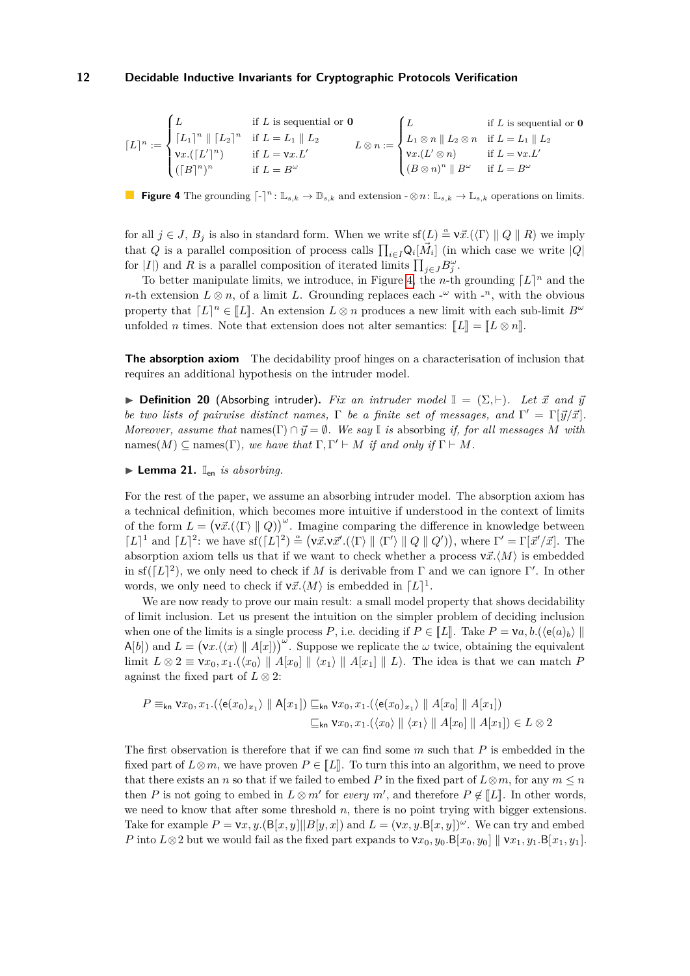<span id="page-11-1"></span>
$$
\lceil L\rceil^n:=\begin{cases}L&\text{if }L\text{ is sequential or }{\bf 0}\\ \lceil L_1\rceil^n\parallel\lceil L_2\rceil^n&\text{if }L=L_1\parallel L_2\\ {\bf v}x.(\lceil L'\rceil^n)&\text{if }L={\bf v}x.L'\\ (\lceil B\rceil^n)^n&\text{if }L=B^\omega\end{cases}\begin{cases}L&\text{if }L\text{ is sequential or }{\bf 0}\\ L_1\otimes n\parallel L_2\otimes n&\text{if }L=L_1\parallel L_2\\ {\bf v}x.(L'\otimes n)&\text{if }L={\bf v}x.L'\\ (\mathcal{B}\otimes n)^n\parallel\mathcal{B}^\omega&\text{if }L=B^\omega\end{cases}
$$

**Figure 4** The grounding  $\lceil \cdot \rceil^n : \mathbb{L}_{s,k} \to \mathbb{D}_{s,k}$  and extension  $-\otimes n : \mathbb{L}_{s,k} \to \mathbb{L}_{s,k}$  operations on limits.

for all  $j \in J$ ,  $B_j$  is also in standard form. When we write  $\text{sf}(L) \triangleq \nu \vec{x}$ .( $\langle \Gamma \rangle \parallel Q \parallel R$ ) we imply that *Q* is a parallel composition of process calls  $\prod_{i\in I} Q_i[\vec{M}_i]$  (in which case we write  $|Q|$ for  $|I|$ ) and *R* is a parallel composition of iterated limits  $\prod_{j\in J} B_j^{\omega}$ .

To better manipulate limits, we introduce, in Figure [4,](#page-11-1) the *n*-th grounding  $\lceil L \rceil^n$  and the *n*-th extension  $L \otimes n$ , of a limit *L*. Grounding replaces each -<sup>ω</sup> with -<sup>n</sup>, with the obvious property that  $[L]^n \in [L]$ . An extension  $L \otimes n$  produces a new limit with each sub-limit  $B^\omega$ <br> *n* filed *n* times. Note that extension description alter expection  $\llbracket I \rrbracket$   $\llbracket I \otimes \omega \rrbracket$ unfolded *n* times. Note that extension does not alter semantics:  $\llbracket L \rrbracket = \llbracket L \otimes n \rrbracket$ .

**The absorption axiom** The decidability proof hinges on a characterisation of inclusion that requires an additional hypothesis on the intruder model.

<span id="page-11-2"></span>**► Definition 20** (Absorbing intruder). Fix an intruder model  $\mathbb{I} = (\Sigma, \vdash)$ . Let  $\vec{x}$  and  $\vec{y}$ *be two lists of pairwise distinct names,*  $\Gamma$  *be a finite set of messages, and*  $\Gamma' = \Gamma[\vec{y}/\vec{x}]$ *. Moreover, assume that*  $name(\Gamma) \cap \vec{y} = \emptyset$ *. We say* I *is* absorbing *if, for all messages M with* names( $M$ )  $\subseteq$  names( $\Gamma$ )*, we have that*  $\Gamma, \Gamma' \vdash M$  *if and only if*  $\Gamma \vdash M$ *.* 

<span id="page-11-0"></span> $\blacktriangleright$  **Lemma 21.**  $\mathbb{I}_{en}$  *is absorbing.* 

For the rest of the paper, we assume an absorbing intruder model. The absorption axiom has a technical definition, which becomes more intuitive if understood in the context of limits of the form  $L = (\nu \vec{x}.(\langle \Gamma \rangle \parallel Q))^{\omega}$ . Imagine comparing the difference in knowledge between  $[L]^1$  and  $[L]^2$ : we have sf $([L]^2) \triangleq (\nu \vec{x} \cdot \nu \vec{x}' \cdot (\langle \Gamma \rangle \parallel \langle \Gamma' \rangle \parallel Q \parallel Q'))$ , where  $\Gamma' = \Gamma[\vec{x}' / \vec{x}]$ . The absorption axiom tells us that if we want to check whether a process  $v\vec{x}.$  *M*) is embedded in sf( $[L]^2$ ), we only need to check if *M* is derivable from Γ and we can ignore Γ'. In other words, we only need to check if  $v\vec{x}. \langle M \rangle$  is embedded in  $[L]$ <sup>1</sup>.

We are now ready to prove our main result: a small model property that shows decidability of limit inclusion. Let us present the intuition on the simpler problem of deciding inclusion when one of the limits is a single process *P*, i.e. deciding if  $P \in \llbracket L \rrbracket$ . Take  $P = \mathsf{v}a, b.$  ( $\langle e(a)_b \rangle \parallel$  $A[b]$ ) and  $L = (v_x \cdot (\langle x \rangle \parallel A[x]))^{\omega}$ . Suppose we replicate the  $\omega$  twice, obtaining the equivalent limit  $L \otimes 2 \equiv \mathsf{v}x_0, x_1.(\langle x_0 \rangle \parallel A[x_0] \parallel \langle x_1 \rangle \parallel A[x_1] \parallel L)$ . The idea is that we can match *P* against the fixed part of  $L \otimes 2$ :

$$
P \equiv_{\mathsf{kn}} \mathsf{v}x_0, x_1.(\langle \mathsf{e}(x_0)_{x_1} \rangle \parallel \mathsf{A}[x_1]) \sqsubseteq_{\mathsf{kn}} \mathsf{v}x_0, x_1.(\langle \mathsf{e}(x_0)_{x_1} \rangle \parallel A[x_0] \parallel A[x_1])
$$
  

$$
\sqsubseteq_{\mathsf{kn}} \mathsf{v}x_0, x_1.(\langle x_0 \rangle \parallel \langle x_1 \rangle \parallel A[x_0] \parallel A[x_1]) \in L \otimes 2
$$

The first observation is therefore that if we can find some *m* such that *P* is embedded in the fixed part of  $L\otimes m$ , we have proven  $P\in \llbracket L\rrbracket$ . To turn this into an algorithm, we need to prove that there exists an *n* so that if we failed to embed *P* in the fixed part of  $L \otimes m$ , for any  $m \leq n$ then *P* is not going to embed in  $L \otimes m'$  for *every*  $m'$ , and therefore  $P \notin [L]$ . In other words, we need to know that after some threshold *n*, there is no point trying with bigger extensions. Take for example  $P = \mathbf{v}x, y$ .  $(\mathbf{B}[x, y]||B[y, x])$  and  $L = (\mathbf{v}x, y, \mathbf{B}[x, y])^{\omega}$ . We can try and embed *P* into  $L \otimes 2$  but we would fail as the fixed part expands to  $v x_0, y_0 B[x_0, y_0] || v x_1, y_1 B[x_1, y_1]$ .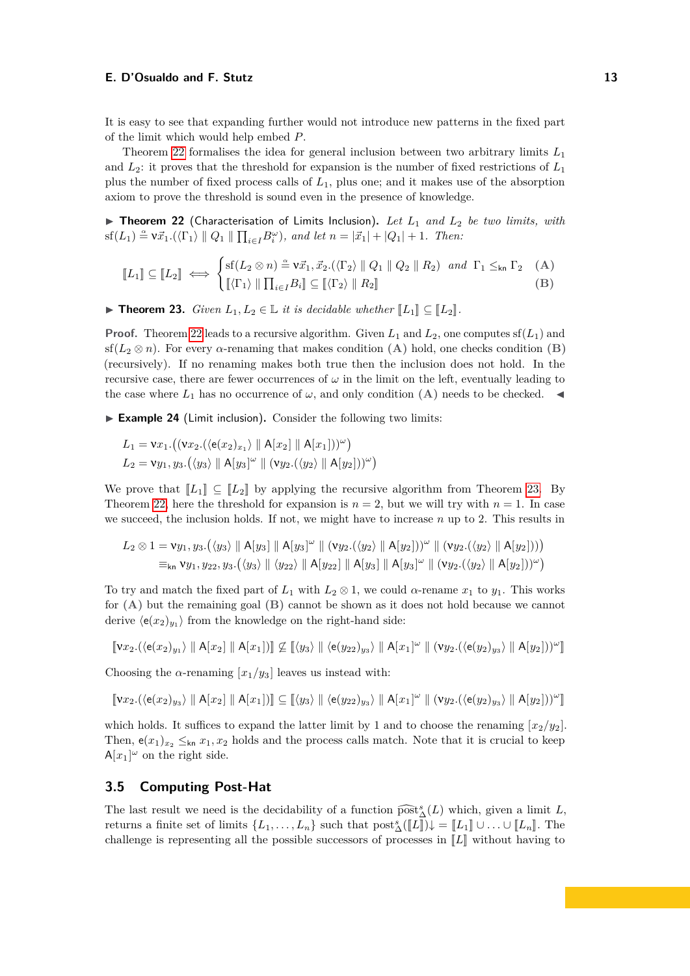It is easy to see that expanding further would not introduce new patterns in the fixed part of the limit which would help embed *P*.

Theorem [22](#page-12-0) formalises the idea for general inclusion between two arbitrary limits *L*<sup>1</sup> and *L*2: it proves that the threshold for expansion is the number of fixed restrictions of *L*<sup>1</sup> plus the number of fixed process calls of *L*1, plus one; and it makes use of the absorption axiom to prove the threshold is sound even in the presence of knowledge.

<span id="page-12-0"></span>▶ Theorem 22 (Characterisation of Limits Inclusion). Let  $L_1$  and  $L_2$  be two limits, with  $\inf(L_1) \stackrel{\alpha}{=} \mathsf{v}\vec{x}_1 \cdot (\langle \Gamma_1 \rangle \parallel Q_1 \parallel \prod_{i \in I} B_i^{\omega} \rangle)$ , and let  $n = |\vec{x}_1| + |Q_1| + 1$ . Then:

$$
\llbracket L_1 \rrbracket \subseteq \llbracket L_2 \rrbracket \iff \begin{cases} \text{sf}(L_2 \otimes n) \stackrel{\simeq}{=} \mathsf{v} \vec{x}_1, \vec{x}_2. (\langle \Gamma_2 \rangle \parallel Q_1 \parallel Q_2 \parallel R_2) \quad \text{and} \quad \Gamma_1 \leq_{\mathsf{kn}} \Gamma_2 \quad \text{(A)} \\ \llbracket \langle \Gamma_1 \rangle \parallel \prod_{i \in I} B_i \rrbracket \subseteq \llbracket \langle \Gamma_2 \rangle \parallel R_2 \rrbracket \end{cases} \tag{B}
$$

<span id="page-12-1"></span>▶ **Theorem 23.** *Given*  $L_1, L_2 \in \mathbb{L}$  *it is decidable whether*  $\llbracket L_1 \rrbracket \subseteq \llbracket L_2 \rrbracket$ *.* 

**Proof.** Theorem [22](#page-12-0) leads to a recursive algorithm. Given  $L_1$  and  $L_2$ , one computes  $sf(L_1)$  and sf( $L_2 \otimes n$ ). For every  $\alpha$ -renaming that makes condition (A) hold, one checks condition (B) (recursively). If no renaming makes both true then the inclusion does not hold. In the recursive case, there are fewer occurrences of  $\omega$  in the limit on the left, eventually leading to the case where  $L_1$  has no occurrence of  $\omega$ , and only condition **(A)** needs to be checked.

▶ Example 24 (Limit inclusion). Consider the following two limits:

$$
L_1 = \mathsf{v}x_1.((\mathsf{v}x_2.(\langle \mathsf{e}(x_2)_{x_1} \rangle \parallel \mathsf{A}[x_2] \parallel \mathsf{A}[x_1]))^{\omega})
$$
  

$$
L_2 = \mathsf{v}y_1, y_3.(\langle y_3 \rangle \parallel \mathsf{A}[y_3]^{\omega} \parallel (\mathsf{v}y_2.(\langle y_2 \rangle \parallel \mathsf{A}[y_2]))^{\omega})
$$

We prove that  $\llbracket L_1 \rrbracket \subseteq \llbracket L_2 \rrbracket$  by applying the recursive algorithm from Theorem [23.](#page-12-1) By Theorem [22,](#page-12-0) here the threshold for expansion is  $n = 2$ , but we will try with  $n = 1$ . In case we succeed, the inclusion holds. If not, we might have to increase *n* up to 2. This results in

$$
L_2 \otimes 1 = \mathsf{v}y_1, y_3.(\langle y_3 \rangle \parallel \mathsf{A}[y_3] \parallel \mathsf{A}[y_3]^{\omega} \parallel (\mathsf{v}y_2.(\langle y_2 \rangle \parallel \mathsf{A}[y_2]))^{\omega} \parallel (\mathsf{v}y_2.(\langle y_2 \rangle \parallel \mathsf{A}[y_2])))
$$
  
=<sub>kn</sub>  $\mathsf{v}y_1, y_{22}, y_3.(\langle y_3 \rangle \parallel \langle y_{22} \rangle \parallel \mathsf{A}[y_2]) \parallel \mathsf{A}[y_3] \parallel \mathsf{A}[y_3]^{\omega} \parallel (\mathsf{v}y_2.(\langle y_2 \rangle \parallel \mathsf{A}[y_2]))^{\omega})$ 

To try and match the fixed part of  $L_1$  with  $L_2 \otimes 1$ , we could *α*-rename  $x_1$  to  $y_1$ . This works for **(A)** but the remaining goal **(B)** cannot be shown as it does not hold because we cannot derive  $\langle e(x_2)_{y_1} \rangle$  from the knowledge on the right-hand side:

$$
\llbracket \mathbf{v}x_2.(\langle \mathbf{e}(x_2)_{y_1} \rangle \parallel \mathbf{A}[x_2] \parallel \mathbf{A}[x_1]) \rrbracket \n\subseteq \llbracket \langle y_3 \rangle \parallel \langle \mathbf{e}(y_{22})_{y_3} \rangle \parallel \mathbf{A}[x_1]^{\omega} \parallel (\mathbf{v}y_2.(\langle \mathbf{e}(y_2)_{y_3} \rangle \parallel \mathbf{A}[y_2]))^{\omega} \rrbracket
$$

Choosing the  $\alpha$ -renaming  $[x_1/y_3]$  leaves us instead with:

$$
\llbracket \mathbf{v}x_2.(\langle \mathbf{e}(x_2)_{y_3} \rangle \parallel \mathbf{A}[x_2] \parallel \mathbf{A}[x_1]) \rrbracket \subseteq \llbracket \langle y_3 \rangle \parallel \langle \mathbf{e}(y_{22})_{y_3} \rangle \parallel \mathbf{A}[x_1]^{\omega} \parallel (\mathbf{v}y_2.(\langle \mathbf{e}(y_2)_{y_3} \rangle \parallel \mathbf{A}[y_2]))^{\omega} \rrbracket
$$

which holds. It suffices to expand the latter limit by 1 and to choose the renaming  $[x_2/y_2]$ . Then,  $e(x_1)_{x_2} \leq_{kn} x_1, x_2$  holds and the process calls match. Note that it is crucial to keep  $A[x_1]^\omega$  on the right side.

#### **3.5 Computing Post-Hat**

The last result we need is the decidability of a function  $\widehat{\text{post}}_{\Delta}^s(L)$  which, given a limit *L*, notining a finite set of limits  $\overline{L}$ ,  $\overline{L}$ , and that needs  $(\overline{L}^s)$ ,  $\overline{L}^r$ ,  $\overline{L}$ ,  $\overline{L}$ ,  $\overline{L$ returns a finite set of limits  $\{L_1, \ldots, L_n\}$  such that  $\text{post}_{\Delta}^s([\![L]\!])\downarrow = [\![L_1]\!] \cup \ldots \cup [\![L_n]\!]$ . The challenge is representing all the possible successors of processes in  $\llbracket L \rrbracket$  without having to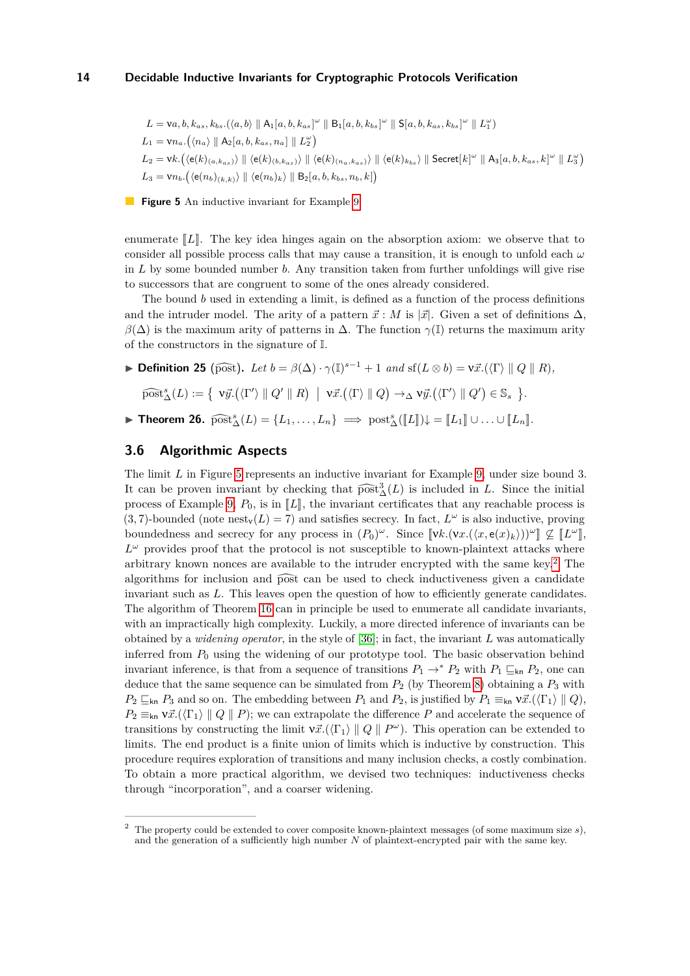<span id="page-13-1"></span> $L = \nu a, b, k_{as}, k_{bs}. (\langle a, b \rangle \parallel A_1[a, b, k_{as}]^{\omega} \parallel B_1[a, b, k_{bs}]^{\omega} \parallel S[a, b, k_{as}, k_{bs}]^{\omega} \parallel L_1^{\omega}$  $L_1 = \nu n_a$ .  $(\langle n_a \rangle \parallel A_2[a, b, k_{as}, n_a] \parallel L_2^{\omega})$  $L_2 = \text{vk.}\left(\langle \mathsf{e}(k)_{(a,k_{as})} \rangle \parallel \langle \mathsf{e}(k)_{(b,k_{as})} \rangle \parallel \langle \mathsf{e}(k)_{(n_a,k_{as})} \rangle \parallel \langle \mathsf{e}(k)_{k_{bs}} \rangle \parallel \mathsf{Secret}[k]^{\omega} \parallel \mathsf{A}_3[a,b,k_{as},k]^{\omega} \parallel L_3^{\omega}\right)$  $L_3 = \nu n_b \cdot (\langle e(n_b)_{(k,k)} \rangle \parallel \langle e(n_b)_k \rangle \parallel B_2[a, b, k_{bs}, n_b, k])$ 

**Figure 5** An inductive invariant for Example [9.](#page-5-0)

enumerate  $\llbracket L \rrbracket$ . The key idea hinges again on the absorption axiom: we observe that to consider all possible process calls that may cause a transition, it is enough to unfold each *ω* in *L* by some bounded number *b*. Any transition taken from further unfoldings will give rise to successors that are congruent to some of the ones already considered.

The bound *b* used in extending a limit, is defined as a function of the process definitions and the intruder model. The arity of a pattern  $\vec{x}$  : *M* is  $|\vec{x}|$ . Given a set of definitions  $\Delta$ ,  $β(Δ)$  is the maximum arity of patterns in Δ. The function  $γ(I)$  returns the maximum arity of the constructors in the signature of I.

<span id="page-13-3"></span>
$$
\blacktriangleright \text{Definition 25 (post). } Let \ b = \beta(\Delta) \cdot \gamma(\mathbb{I})^{s-1} + 1 \ and \ \mathrm{sf}(L \otimes b) = \mathrm{v}\vec{x}.(\langle \Gamma \rangle \parallel Q \parallel R),
$$
  

$$
\widehat{\mathrm{post}}^s_{\Delta}(L) := \{ \ \mathrm{v}\vec{y}.(\langle \Gamma' \rangle \parallel Q' \parallel R) \ \vert \ \mathrm{v}\vec{x}.(\langle \Gamma \rangle \parallel Q) \rightarrow_{\Delta} \mathrm{v}\vec{y}.(\langle \Gamma' \rangle \parallel Q') \in \mathbb{S}_s \ \}.
$$

<span id="page-13-4"></span>▶ **Theorem 26.**  $\widehat{\text{post}}_{\Delta}^{s}(L) = \{L_1, \ldots, L_n\} \implies \text{post}_{\Delta}^{s}([\![L]\!])\downarrow = [\![L_1]\!] \cup \ldots \cup [\![L_n]\!].$ 

# <span id="page-13-0"></span>**3.6 Algorithmic Aspects**

The limit *L* in Figure [5](#page-13-1) represents an inductive invariant for Example [9,](#page-5-0) under size bound 3. It can be proven invariant by checking that  $\widehat{\text{post}}_{\Delta}^3(L)$  is included in *L*. Since the initial process of Example 0, *B*, is in [*L*], the invariant eartificates that any reachable process is process of Example [9,](#page-5-0)  $P_0$ , is in  $\llbracket L \rrbracket$ , the invariant certificates that any reachable process is  $(3, 7)$ -bounded (note nest<sub>v</sub> $(L) = 7$ ) and satisfies secrecy. In fact,  $L^{\omega}$  is also inductive, proving boundedness and secrecy for any process in  $(P_0)^{\omega}$ . Since  $[\![\mathbf{v}k.(\mathbf{v}x.(\langle x,\mathbf{e}(x)_{k}\rangle))^{\omega}]\!] \nsubseteq [\![L^{\omega}]\!]$ ,<br>*L*<sup>*w*</sup> nearly nearly that the protection is not accountible to be expanding that the dependence  $L^{\omega}$  provides proof that the protocol is not susceptible to known-plaintext attacks where arbitrary known nonces are available to the intruder encrypted with the same key.[2](#page-13-2) The algorithms for inclusion and  $\widehat{post}$  can be used to check inductiveness given a candidate invariant such as *L*. This leaves open the question of how to efficiently generate candidates. The algorithm of Theorem [16](#page-8-5) can in principle be used to enumerate all candidate invariants, with an impractically high complexity. Luckily, a more directed inference of invariants can be obtained by a *widening operator*, in the style of [\[36\]](#page-17-7); in fact, the invariant *L* was automatically inferred from  $P_0$  using the widening of our prototype tool. The basic observation behind invariant inference, is that from a sequence of transitions  $P_1 \rightarrow^* P_2$  with  $P_1 \sqsubseteq_{\mathsf{kn}} P_2$ , one can deduce that the same sequence can be simulated from  $P_2$  (by Theorem [8\)](#page-5-4) obtaining a  $P_3$  with  $P_2 \sqsubseteq_{\mathsf{kn}} P_3$  and so on. The embedding between  $P_1$  and  $P_2$ , is justified by  $P_1 \equiv_{\mathsf{kn}} \mathsf{v} \vec{x} \cdot (\langle \Gamma_1 \rangle \parallel Q)$ ,  $P_2 \equiv_{\mathsf{kn}} \mathsf{v}\vec{x}.(\langle \Gamma_1 \rangle \parallel Q \parallel P)$ ; we can extrapolate the difference *P* and accelerate the sequence of transitions by constructing the limit  $v\vec{x}.(\langle \Gamma_1 \rangle \parallel Q \parallel P^{\omega})$ . This operation can be extended to limits. The end product is a finite union of limits which is inductive by construction. This procedure requires exploration of transitions and many inclusion checks, a costly combination. To obtain a more practical algorithm, we devised two techniques: inductiveness checks through "incorporation", and a coarser widening.

<span id="page-13-2"></span><sup>2</sup> The property could be extended to cover composite known-plaintext messages (of some maximum size *s*), and the generation of a sufficiently high number *N* of plaintext-encrypted pair with the same key.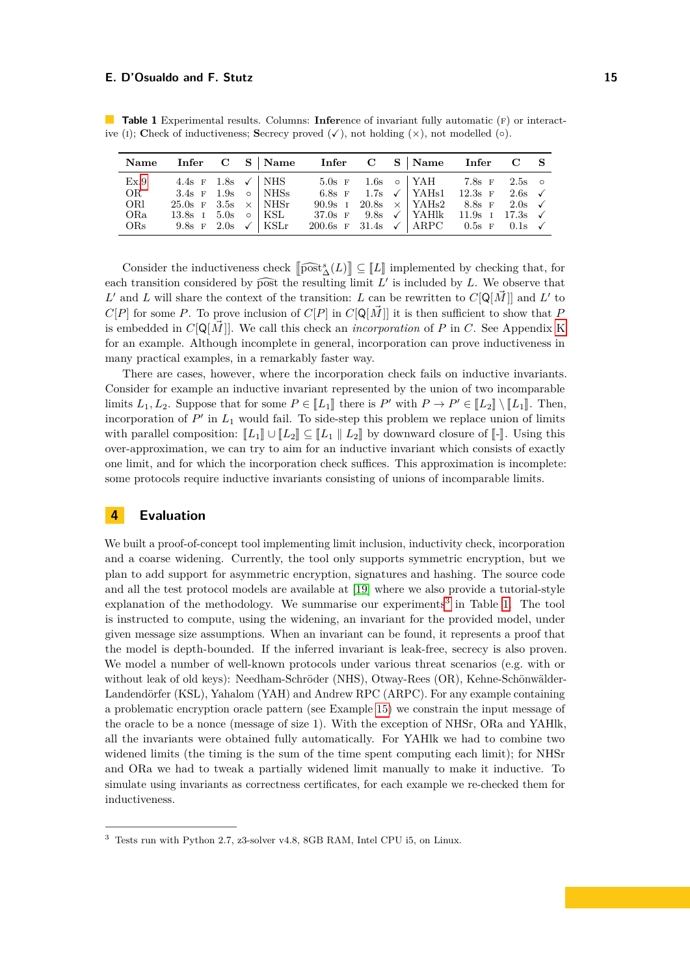|      |                                 |  | Name Infer C S   Name Infer C S   Name Infer C S             |  |                                                            |  |
|------|---------------------------------|--|--------------------------------------------------------------|--|------------------------------------------------------------|--|
| Ex.9 | 4.4s F 1.8s $\checkmark$ NHS    |  |                                                              |  | 5.0s F 1.6s o YAH 7.8s F 2.5s o                            |  |
| OR   | 3.4s $\rm{F}$ 1.9s $\circ$ NHSs |  |                                                              |  | 6.8s F 1.7s $\checkmark$   YAHs1 12.3s F 2.6s $\checkmark$ |  |
| ORl  | 25.0s F 3.5s $\times$ NHSr      |  |                                                              |  | 90.9s I 20.8s $\times$ YAHs2 8.8s F 2.0s $\checkmark$      |  |
| ORa  | 13.8s $I$ 5.0s $\circ$ KSL      |  | 37.0s F 9.8s $\checkmark$   YAHlk 11.9s I 17.3s $\checkmark$ |  |                                                            |  |
| ORs  | 9.8s F 2.0s $\checkmark$   KSLr |  | 200.6s F 31.4s $\checkmark$ ARPC 0.5s F 0.1s $\checkmark$    |  |                                                            |  |

<span id="page-14-2"></span>**Table 1** Experimental results. Columns: **Infer**ence of invariant fully automatic (f) or interactive (i); **Check of inductiveness; <b>Secrecy** proved  $(\checkmark)$ , not holding  $(\times)$ , not modelled  $(\circ)$ .

Consider the inductiveness check  $\left[\widehat{\text{post}}_{\Delta}^{s}(L)\right] \subseteq \left[L\right]$  implemented by checking that, for each transition considered by  $\widehat{post}$  the resulting limit  $L'$  is included by  $L$ . We observe that  $L'$  and  $L'$  will share the content of the transition. Less he requires to  $C[0, \tilde{L'}]$  and  $L'$  to L' and L will share the context of the transition: L can be rewritten to  $C[\mathbb{Q}[\vec{M}]]$  and L' to  $C[P]$  for some *P*. To prove inclusion of  $C[P]$  in  $C[Q[M]]$  it is then sufficient to show that *P* is embedded in  $C[Q[M]]$ . We call this check an *incorporation* of P in C. See Appendix [K](#page-38-0) for an example. Although incomplete in general, incorporation can prove inductiveness in many practical examples, in a remarkably faster way.

There are cases, however, where the incorporation check fails on inductive invariants. Consider for example an inductive invariant represented by the union of two incomparable limits  $L_1, L_2$ . Suppose that for some  $P \in [\![L_1]\!]$  there is  $P'$  with  $P \to P' \in [\![L_2]\!] \setminus [\![L_1]\!]$ . Then, incorporation of  $P'$  in  $L_1$  would fail. To side-step this problem we replace union of limits with parallel composition:  $\llbracket L_1 \rrbracket \cup \llbracket L_2 \rrbracket \subseteq \llbracket L_1 \rrbracket L_2 \rrbracket$  by downward closure of  $\llbracket - \rrbracket$ . Using this over-approximation, we can try to aim for an inductive invariant which consists of exactly one limit, and for which the incorporation check suffices. This approximation is incomplete: some protocols require inductive invariants consisting of unions of incomparable limits.

## <span id="page-14-0"></span>**4 Evaluation**

We built a proof-of-concept tool implementing limit inclusion, inductivity check, incorporation and a coarse widening. Currently, the tool only supports symmetric encryption, but we plan to add support for asymmetric encryption, signatures and hashing. The source code and all the test protocol models are available at [\[19\]](#page-16-13) where we also provide a tutorial-style  $explanation of the methodology. We summarise our experiments<sup>3</sup> in Table 1. The tool$  $explanation of the methodology. We summarise our experiments<sup>3</sup> in Table 1. The tool$  $explanation of the methodology. We summarise our experiments<sup>3</sup> in Table 1. The tool$  $explanation of the methodology. We summarise our experiments<sup>3</sup> in Table 1. The tool$  $explanation of the methodology. We summarise our experiments<sup>3</sup> in Table 1. The tool$ is instructed to compute, using the widening, an invariant for the provided model, under given message size assumptions. When an invariant can be found, it represents a proof that the model is depth-bounded. If the inferred invariant is leak-free, secrecy is also proven. We model a number of well-known protocols under various threat scenarios (e.g. with or without leak of old keys): Needham-Schröder (NHS), Otway-Rees (OR), Kehne-Schönwälder-Landendörfer (KSL), Yahalom (YAH) and Andrew RPC (ARPC). For any example containing a problematic encryption oracle pattern (see Example [15\)](#page-7-2) we constrain the input message of the oracle to be a nonce (message of size 1). With the exception of NHSr, ORa and YAHlk, all the invariants were obtained fully automatically. For YAHlk we had to combine two widened limits (the timing is the sum of the time spent computing each limit); for NHSr and ORa we had to tweak a partially widened limit manually to make it inductive. To simulate using invariants as correctness certificates, for each example we re-checked them for inductiveness.

<span id="page-14-1"></span><sup>3</sup> Tests run with Python 2.7, z3-solver v4.8, 8GB RAM, Intel CPU i5, on Linux.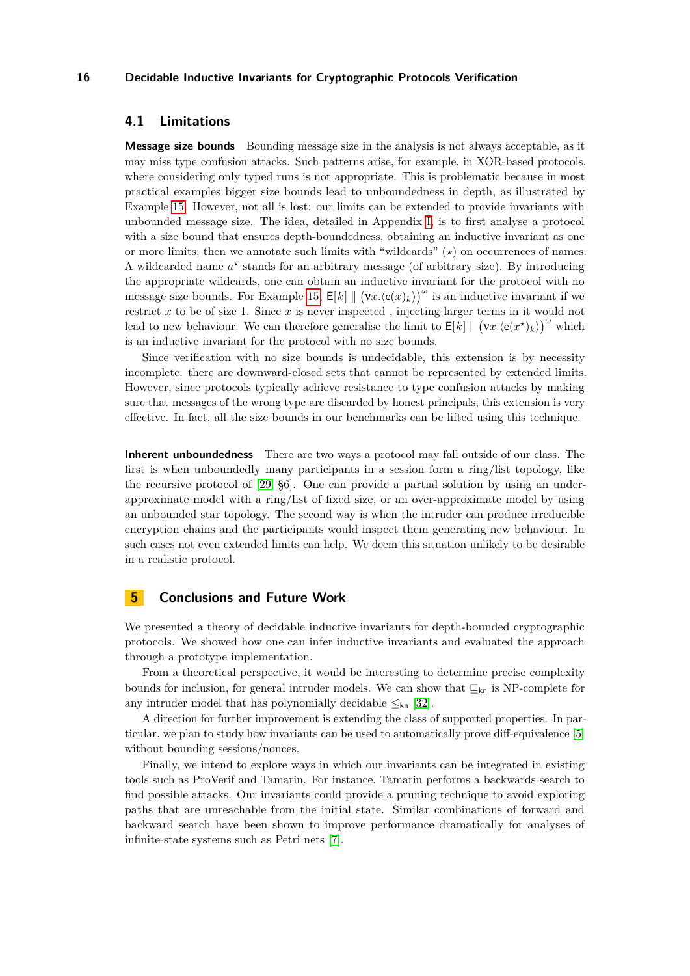## <span id="page-15-0"></span>**4.1 Limitations**

**Message size bounds** Bounding message size in the analysis is not always acceptable, as it may miss type confusion attacks. Such patterns arise, for example, in XOR-based protocols, where considering only typed runs is not appropriate. This is problematic because in most practical examples bigger size bounds lead to unboundedness in depth, as illustrated by Example [15.](#page-7-2) However, not all is lost: our limits can be extended to provide invariants with unbounded message size. The idea, detailed in Appendix [I,](#page-35-0) is to first analyse a protocol with a size bound that ensures depth-boundedness, obtaining an inductive invariant as one or more limits; then we annotate such limits with "wildcards" ( $\star$ ) on occurrences of names. A wildcarded name  $a^*$  stands for an arbitrary message (of arbitrary size). By introducing the appropriate wildcards, one can obtain an inductive invariant for the protocol with no message size bounds. For Example [15,](#page-7-2)  $E[k] \parallel (\mathbf{v} x.(\mathbf{e}(x)_k))^{\omega}$  is an inductive invariant if we restrict *x* to be of size 1. Since *x* is never inspected , injecting larger terms in it would not lead to new behaviour. We can therefore generalise the limit to  $E[k] \parallel (\mathbf{v} x. \langle \mathbf{e}(x^*)_k \rangle)^\omega$  which is an inductive invariant for the protocol with no size bounds.

Since verification with no size bounds is undecidable, this extension is by necessity incomplete: there are downward-closed sets that cannot be represented by extended limits. However, since protocols typically achieve resistance to type confusion attacks by making sure that messages of the wrong type are discarded by honest principals, this extension is very effective. In fact, all the size bounds in our benchmarks can be lifted using this technique.

**Inherent unboundedness** There are two ways a protocol may fall outside of our class. The first is when unboundedly many participants in a session form a ring/list topology, like the recursive protocol of [\[29,](#page-17-11) §6]. One can provide a partial solution by using an underapproximate model with a ring/list of fixed size, or an over-approximate model by using an unbounded star topology. The second way is when the intruder can produce irreducible encryption chains and the participants would inspect them generating new behaviour. In such cases not even extended limits can help. We deem this situation unlikely to be desirable in a realistic protocol.

## **5 Conclusions and Future Work**

We presented a theory of decidable inductive invariants for depth-bounded cryptographic protocols. We showed how one can infer inductive invariants and evaluated the approach through a prototype implementation.

From a theoretical perspective, it would be interesting to determine precise complexity bounds for inclusion, for general intruder models. We can show that  $\sqsubseteq_{kn}$  is NP-complete for any intruder model that has polynomially decidable  $\leq_{kn}$  [\[32\]](#page-17-12).

A direction for further improvement is extending the class of supported properties. In particular, we plan to study how invariants can be used to automatically prove diff-equivalence [\[5\]](#page-16-14) without bounding sessions/nonces.

Finally, we intend to explore ways in which our invariants can be integrated in existing tools such as ProVerif and Tamarin. For instance, Tamarin performs a backwards search to find possible attacks. Our invariants could provide a pruning technique to avoid exploring paths that are unreachable from the initial state. Similar combinations of forward and backward search have been shown to improve performance dramatically for analyses of infinite-state systems such as Petri nets [\[7\]](#page-16-15).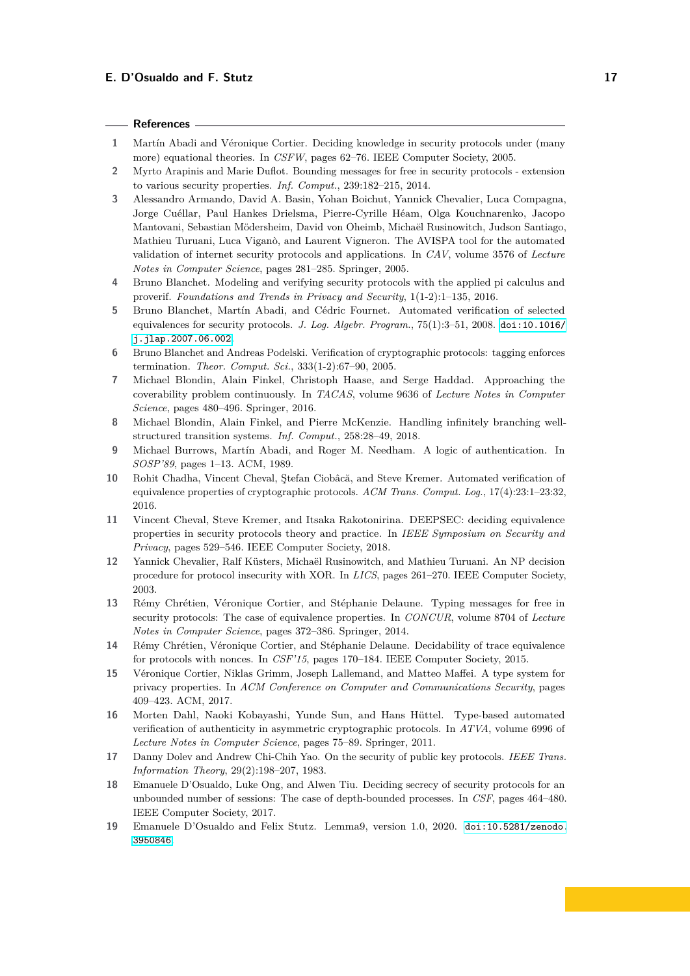#### **References**

- <span id="page-16-16"></span>**1** Martín Abadi and Véronique Cortier. Deciding knowledge in security protocols under (many more) equational theories. In *CSFW*, pages 62–76. IEEE Computer Society, 2005.
- <span id="page-16-6"></span>**2** Myrto Arapinis and Marie Duflot. Bounding messages for free in security protocols - extension to various security properties. *Inf. Comput.*, 239:182–215, 2014.
- <span id="page-16-1"></span>**3** Alessandro Armando, David A. Basin, Yohan Boichut, Yannick Chevalier, Luca Compagna, Jorge Cuéllar, Paul Hankes Drielsma, Pierre-Cyrille Héam, Olga Kouchnarenko, Jacopo Mantovani, Sebastian Mödersheim, David von Oheimb, Michaël Rusinowitch, Judson Santiago, Mathieu Turuani, Luca Viganò, and Laurent Vigneron. The AVISPA tool for the automated validation of internet security protocols and applications. In *CAV*, volume 3576 of *Lecture Notes in Computer Science*, pages 281–285. Springer, 2005.
- <span id="page-16-3"></span>**4** Bruno Blanchet. Modeling and verifying security protocols with the applied pi calculus and proverif. *Foundations and Trends in Privacy and Security*, 1(1-2):1–135, 2016.
- <span id="page-16-14"></span>**5** Bruno Blanchet, Martín Abadi, and Cédric Fournet. Automated verification of selected equivalences for security protocols. *J. Log. Algebr. Program.*, 75(1):3–51, 2008. [doi:10.1016/](http://dx.doi.org/10.1016/j.jlap.2007.06.002) [j.jlap.2007.06.002](http://dx.doi.org/10.1016/j.jlap.2007.06.002).
- <span id="page-16-11"></span>**6** Bruno Blanchet and Andreas Podelski. Verification of cryptographic protocols: tagging enforces termination. *Theor. Comput. Sci.*, 333(1-2):67–90, 2005.
- <span id="page-16-15"></span>**7** Michael Blondin, Alain Finkel, Christoph Haase, and Serge Haddad. Approaching the coverability problem continuously. In *TACAS*, volume 9636 of *Lecture Notes in Computer Science*, pages 480–496. Springer, 2016.
- <span id="page-16-12"></span>**8** Michael Blondin, Alain Finkel, and Pierre McKenzie. Handling infinitely branching wellstructured transition systems. *Inf. Comput.*, 258:28–49, 2018.
- <span id="page-16-18"></span>**9** Michael Burrows, Martín Abadi, and Roger M. Needham. A logic of authentication. In *SOSP'89*, pages 1–13. ACM, 1989.
- <span id="page-16-2"></span>**10** Rohit Chadha, Vincent Cheval, Ştefan Ciobâcă, and Steve Kremer. Automated verification of equivalence properties of cryptographic protocols. *ACM Trans. Comput. Log.*, 17(4):23:1–23:32, 2016.
- <span id="page-16-0"></span>**11** Vincent Cheval, Steve Kremer, and Itsaka Rakotonirina. DEEPSEC: deciding equivalence properties in security protocols theory and practice. In *IEEE Symposium on Security and Privacy*, pages 529–546. IEEE Computer Society, 2018.
- <span id="page-16-17"></span>**12** Yannick Chevalier, Ralf Küsters, Michaël Rusinowitch, and Mathieu Turuani. An NP decision procedure for protocol insecurity with XOR. In *LICS*, pages 261–270. IEEE Computer Society, 2003.
- <span id="page-16-7"></span>**13** Rémy Chrétien, Véronique Cortier, and Stéphanie Delaune. Typing messages for free in security protocols: The case of equivalence properties. In *CONCUR*, volume 8704 of *Lecture Notes in Computer Science*, pages 372–386. Springer, 2014.
- <span id="page-16-9"></span>**14** Rémy Chrétien, Véronique Cortier, and Stéphanie Delaune. Decidability of trace equivalence for protocols with nonces. In *CSF'15*, pages 170–184. IEEE Computer Society, 2015.
- <span id="page-16-10"></span>**15** Véronique Cortier, Niklas Grimm, Joseph Lallemand, and Matteo Maffei. A type system for privacy properties. In *ACM Conference on Computer and Communications Security*, pages 409–423. ACM, 2017.
- <span id="page-16-8"></span>**16** Morten Dahl, Naoki Kobayashi, Yunde Sun, and Hans Hüttel. Type-based automated verification of authenticity in asymmetric cryptographic protocols. In *ATVA*, volume 6996 of *Lecture Notes in Computer Science*, pages 75–89. Springer, 2011.
- <span id="page-16-5"></span>**17** Danny Dolev and Andrew Chi-Chih Yao. On the security of public key protocols. *IEEE Trans. Information Theory*, 29(2):198–207, 1983.
- <span id="page-16-4"></span>**18** Emanuele D'Osualdo, Luke Ong, and Alwen Tiu. Deciding secrecy of security protocols for an unbounded number of sessions: The case of depth-bounded processes. In *CSF*, pages 464–480. IEEE Computer Society, 2017.
- <span id="page-16-13"></span>**19** Emanuele D'Osualdo and Felix Stutz. Lemma9, version 1.0, 2020. [doi:10.5281/zenodo.](http://dx.doi.org/10.5281/zenodo.3950846) [3950846](http://dx.doi.org/10.5281/zenodo.3950846).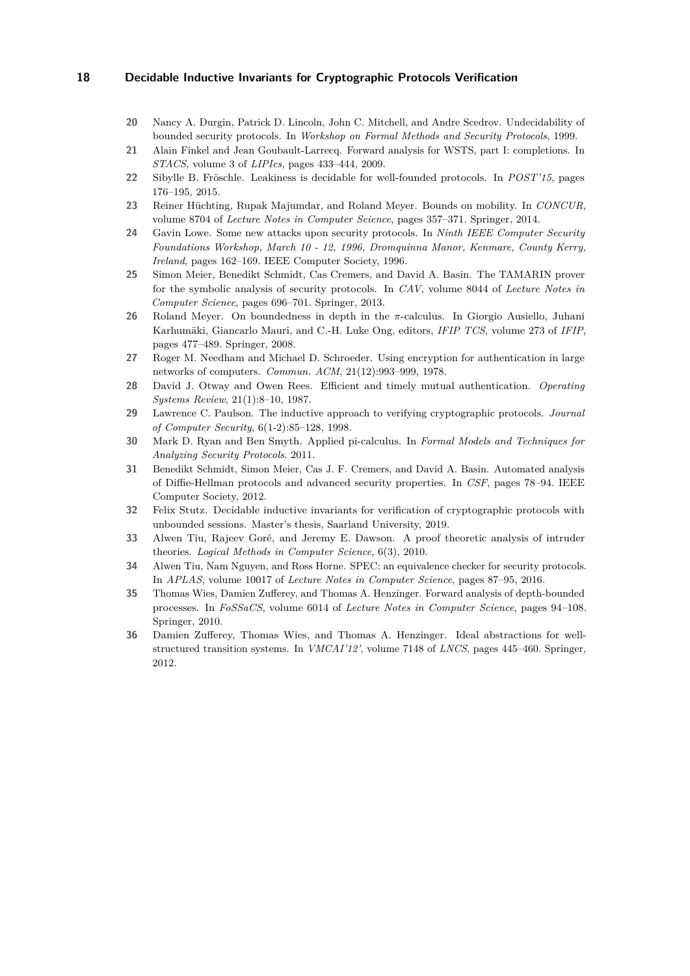- <span id="page-17-0"></span>**20** Nancy A. Durgin, Patrick D. Lincoln, John C. Mitchell, and Andre Scedrov. Undecidability of bounded security protocols. In *Workshop on Formal Methods and Security Protocols*, 1999.
- <span id="page-17-8"></span>**21** Alain Finkel and Jean Goubault-Larrecq. Forward analysis for WSTS, part I: completions. In *STACS*, volume 3 of *LIPIcs*, pages 433–444, 2009.
- <span id="page-17-9"></span>**22** Sibylle B. Fröschle. Leakiness is decidable for well-founded protocols. In *POST'15*, pages 176–195, 2015.
- <span id="page-17-5"></span>**23** Reiner Hüchting, Rupak Majumdar, and Roland Meyer. Bounds on mobility. In *CONCUR*, volume 8704 of *Lecture Notes in Computer Science*, pages 357–371. Springer, 2014.
- <span id="page-17-16"></span>**24** Gavin Lowe. Some new attacks upon security protocols. In *Ninth IEEE Computer Security Foundations Workshop, March 10 - 12, 1996, Dromquinna Manor, Kenmare, County Kerry, Ireland*, pages 162–169. IEEE Computer Society, 1996.
- <span id="page-17-2"></span>**25** Simon Meier, Benedikt Schmidt, Cas Cremers, and David A. Basin. The TAMARIN prover for the symbolic analysis of security protocols. In *CAV*, volume 8044 of *Lecture Notes in Computer Science*, pages 696–701. Springer, 2013.
- <span id="page-17-4"></span>**26** Roland Meyer. On boundedness in depth in the *π*-calculus. In Giorgio Ausiello, Juhani Karhumäki, Giancarlo Mauri, and C.-H. Luke Ong, editors, *IFIP TCS*, volume 273 of *IFIP*, pages 477–489. Springer, 2008.
- <span id="page-17-14"></span>**27** Roger M. Needham and Michael D. Schroeder. Using encryption for authentication in large networks of computers. *Commun. ACM*, 21(12):993–999, 1978.
- <span id="page-17-15"></span>**28** David J. Otway and Owen Rees. Efficient and timely mutual authentication. *Operating Systems Review*, 21(1):8–10, 1987.
- <span id="page-17-11"></span>**29** Lawrence C. Paulson. The inductive approach to verifying cryptographic protocols. *Journal of Computer Security*, 6(1-2):85–128, 1998.
- <span id="page-17-3"></span>**30** Mark D. Ryan and Ben Smyth. Applied pi-calculus. In *Formal Models and Techniques for Analyzing Security Protocols*. 2011.
- <span id="page-17-13"></span>**31** Benedikt Schmidt, Simon Meier, Cas J. F. Cremers, and David A. Basin. Automated analysis of Diffie-Hellman protocols and advanced security properties. In *CSF*, pages 78–94. IEEE Computer Society, 2012.
- <span id="page-17-12"></span>**32** Felix Stutz. Decidable inductive invariants for verification of cryptographic protocols with unbounded sessions. Master's thesis, Saarland University, 2019.
- <span id="page-17-10"></span>**33** Alwen Tiu, Rajeev Goré, and Jeremy E. Dawson. A proof theoretic analysis of intruder theories. *Logical Methods in Computer Science*, 6(3), 2010.
- <span id="page-17-1"></span>**34** Alwen Tiu, Nam Nguyen, and Ross Horne. SPEC: an equivalence checker for security protocols. In *APLAS*, volume 10017 of *Lecture Notes in Computer Science*, pages 87–95, 2016.
- <span id="page-17-6"></span>**35** Thomas Wies, Damien Zufferey, and Thomas A. Henzinger. Forward analysis of depth-bounded processes. In *FoSSaCS*, volume 6014 of *Lecture Notes in Computer Science*, pages 94–108. Springer, 2010.
- <span id="page-17-7"></span>**36** Damien Zufferey, Thomas Wies, and Thomas A. Henzinger. Ideal abstractions for wellstructured transition systems. In *VMCAI'12'*, volume 7148 of *LNCS*, pages 445–460. Springer, 2012.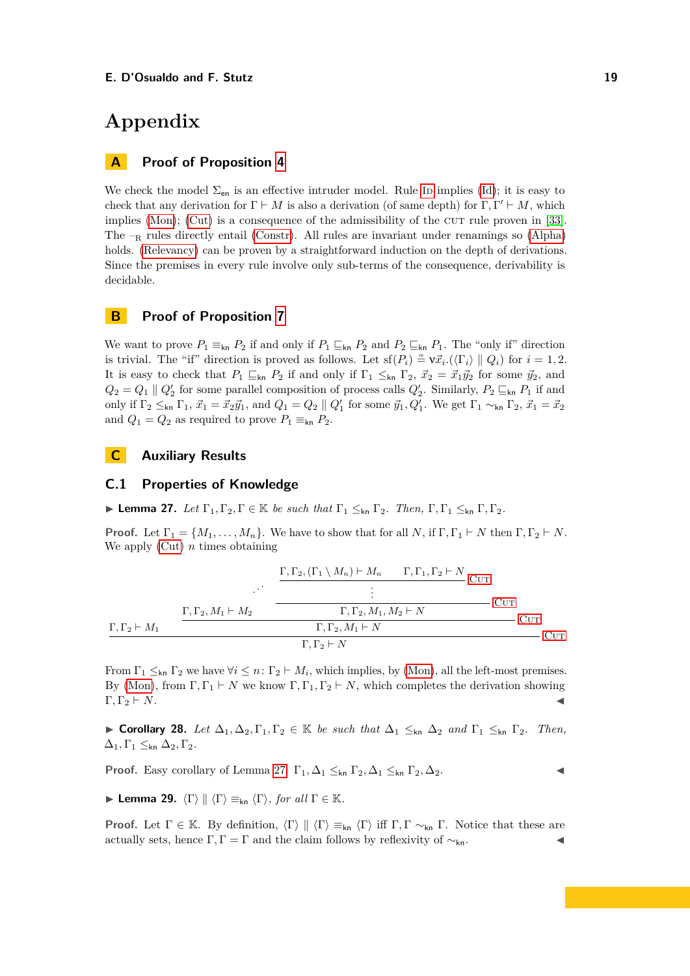# **Appendix**

# **A Proof of Proposition [4](#page-3-1)**

We check the model  $\Sigma_{en}$  is an effective intruder model. Rule ID implies ([Id](#page-3-2)); it is easy to check that any derivation for  $\Gamma \vdash M$  is also a derivation (of same depth) for  $\Gamma, \Gamma' \vdash M$ , which implies [\(Mon\)](#page-2-2); [\(Cut\)](#page-2-3) is a consequence of the admissibility of the CUT rule proven in  $[33]$ . The  $-<sub>R</sub>$  rules directly entail [\(Constr\)](#page-2-4). All rules are invariant under renamings so [\(Alpha\)](#page-2-5) holds. [\(Relevancy\)](#page-2-6) can be proven by a straightforward induction on the depth of derivations. Since the premises in every rule involve only sub-terms of the consequence, derivability is decidable.

# **B Proof of Proposition [7](#page-5-5)**

We want to prove  $P_1 \equiv_{\mathsf{kn}} P_2$  if and only if  $P_1 \sqsubseteq_{\mathsf{kn}} P_2$  and  $P_2 \sqsubseteq_{\mathsf{kn}} P_1$ . The "only if" direction is trivial. The "if" direction is proved as follows. Let  $\text{sf}(P_i) \triangleq \nu \vec{x}_i$ .  $\langle \langle \Gamma_i \rangle \parallel Q_i \rangle$  for  $i = 1, 2$ . It is easy to check that  $P_1 \subseteq_{\text{kn}} P_2$  if and only if  $\Gamma_1 \le_{\text{kn}} \Gamma_2$ ,  $\vec{x}_2 = \vec{x}_1 \vec{y}_2$  for some  $\vec{y}_2$ , and  $Q_2 = Q_1 \parallel Q'_2$  for some parallel composition of process calls  $Q'_2$ . Similarly,  $P_2 \sqsubseteq_{\mathsf{kn}} P_1$  if and only if  $\Gamma_2 \leq_{\mathsf{kn}} \Gamma_1$ ,  $\vec{x}_1 = \vec{x}_2 \vec{y}_1$ , and  $Q_1 = Q_2 \parallel Q'_1$  for some  $\vec{y}_1, Q'_1$ . We get  $\Gamma_1 \sim_{\mathsf{kn}} \Gamma_2$ ,  $\vec{x}_1 = \vec{x}_2$ and  $Q_1 = Q_2$  as required to prove  $P_1 \equiv_{\mathsf{kn}} P_2$ .

# **C Auxiliary Results**

# **C.1 Properties of Knowledge**

<span id="page-18-0"></span>**Lemma 27.** *Let*  $\Gamma_1, \Gamma_2, \Gamma \in \mathbb{K}$  *be such that*  $\Gamma_1 \leq_{kn} \Gamma_2$ *. Then,*  $\Gamma, \Gamma_1 \leq_{kn} \Gamma, \Gamma_2$ *.* 

**Proof.** Let  $\Gamma_1 = \{M_1, \ldots, M_n\}$ . We have to show that for all *N*, if  $\Gamma, \Gamma_1 \vdash N$  then  $\Gamma, \Gamma_2 \vdash N$ . We apply [\(Cut\)](#page-2-3) *n* times obtaining

$$
\begin{array}{c}\n\Gamma, \Gamma_2, (\Gamma_1 \setminus M_n) \vdash M_n \qquad \Gamma, \Gamma_1, \Gamma_2 \vdash N \\
\vdots \\
\Gamma, \Gamma_2, M_1 \vdash M_2\n\end{array} \n\qquad\n\begin{array}{c}\n\Gamma, \Gamma_2, (\Gamma_1 \setminus M_n) \vdash M_n \qquad \Gamma, \Gamma_1, \Gamma_2 \vdash N \\
\vdots \\
\Gamma, \Gamma_2, M_1 \vdash N\n\end{array} \n\qquad\n\begin{array}{c}\n\text{Cur} \\
\Gamma, \Gamma_2, M_1 \vdash N\n\end{array} \n\qquad\n\begin{array}{c}\n\text{Cur} \\
\Gamma, \Gamma_2 \vdash N\n\end{array} \n\qquad\n\begin{array}{c}\n\text{Cur} \\
\Gamma, \Gamma_2 \vdash N\n\end{array} \n\qquad\n\begin{array}{c}\n\Gamma, \Gamma_2 \vdash N\n\end{array}
$$

From  $\Gamma_1 \leq_{\mathsf{kn}} \Gamma_2$  we have  $\forall i \leq n: \Gamma_2 \vdash M_i$ , which implies, by [\(Mon\)](#page-2-2), all the left-most premises. By [\(Mon\)](#page-2-2), from  $\Gamma, \Gamma_1 \vdash N$  we know  $\Gamma, \Gamma_1, \Gamma_2 \vdash N$ , which completes the derivation showing  $\Gamma, \Gamma_2 \vdash N.$ 

<span id="page-18-1"></span>**► Corollary 28.** Let  $\Delta_1, \Delta_2, \Gamma_1, \Gamma_2 \in \mathbb{K}$  be such that  $\Delta_1 \leq_{kn} \Delta_2$  and  $\Gamma_1 \leq_{kn} \Gamma_2$ . Then,  $\Delta_1, \Gamma_1 \leq_{kn} \Delta_2, \Gamma_2.$ 

**Proof.** Easy corollary of Lemma [27:](#page-18-0)  $\Gamma_1, \Delta_1 \leq_{kn} \Gamma_2, \Delta_1 \leq_{kn} \Gamma_2, \Delta_2$ .

<span id="page-18-2"></span>**Lemma 29.**  $\langle \Gamma \rangle \parallel \langle \Gamma \rangle \equiv_{kn} \langle \Gamma \rangle$ , for all  $\Gamma \in \mathbb{K}$ .

**Proof.** Let  $\Gamma \in \mathbb{K}$ . By definition,  $\langle \Gamma \rangle \parallel \langle \Gamma \rangle \equiv_{kn} \langle \Gamma \rangle$  iff  $\Gamma, \Gamma \sim_{kn} \Gamma$ . Notice that these are actually sets, hence  $\Gamma, \Gamma = \Gamma$  and the claim follows by reflexivity of  $\sim_{\mathsf{kn}}$ .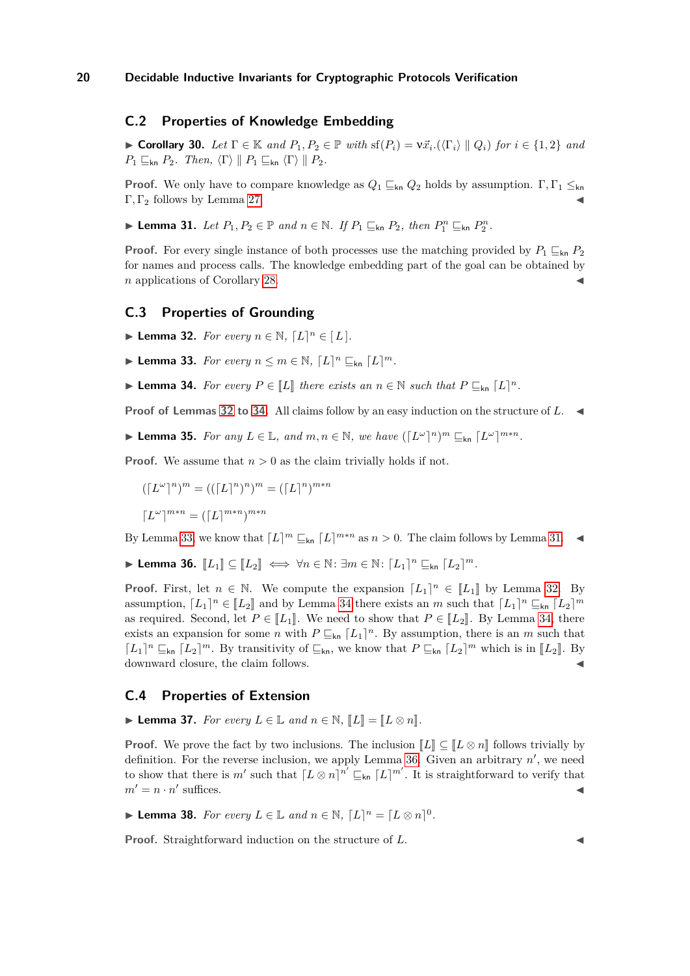# **C.2 Properties of Knowledge Embedding**

<span id="page-19-7"></span>► **Corollary 30.** *Let*  $\Gamma \in \mathbb{K}$  *and*  $P_1, P_2 \in \mathbb{P}$  *with*  $\text{sf}(P_i) = \nu \vec{x}_i$ .  $\langle (\Gamma_i) \parallel Q_i \rangle$  *for*  $i \in \{1, 2\}$  *and*  $P_1 \sqsubseteq_{\mathsf{kn}} P_2$ *. Then,*  $\langle \Gamma \rangle \parallel P_1 \sqsubseteq_{\mathsf{kn}} \langle \Gamma \rangle \parallel P_2$ *.* 

**Proof.** We only have to compare knowledge as  $Q_1 \subseteq_{kn} Q_2$  holds by assumption.  $\Gamma, \Gamma_1 \leq_{kn} Q_2$ Γ,  $Γ_2$  follows by Lemma [27.](#page-18-0)

<span id="page-19-3"></span>▶ **Lemma 31.** *Let*  $P_1, P_2 \in \mathbb{P}$  *and*  $n \in \mathbb{N}$ *. If*  $P_1 \sqsubseteq_{kn} P_2$ *, then*  $P_1^n \sqsubseteq_{kn} P_2^n$ *.* 

**Proof.** For every single instance of both processes use the matching provided by  $P_1 \sqsubset_{\mathsf{kn}} P_2$ for names and process calls. The knowledge embedding part of the goal can be obtained by *n* applications of Corollary [28.](#page-18-1)

# **C.3 Properties of Grounding**

<span id="page-19-0"></span>**Demma 32.** *For every*  $n \in \mathbb{N}$ ,  $[L]^n \in [L]$ *.* 

<span id="page-19-2"></span>▶ **Lemma 33.** *For every*  $n \leq m \in \mathbb{N}$ ,  $[L]^n \sqsubseteq_{kn} [L]^m$ .

<span id="page-19-1"></span>▶ **Lemma 34.** *For every*  $P \in \llbracket L \rrbracket$  *there exists an*  $n \in \mathbb{N}$  *such that*  $P \sqsubseteq_{kn} [L]^n$ *.* 

**Proof of Lemmas [32](#page-19-0) to [34.](#page-19-1)** All claims follow by an easy induction on the structure of L.

<span id="page-19-6"></span>▶ **Lemma 35.** *For any*  $L \in \mathbb{L}$ *, and*  $m, n \in \mathbb{N}$ *, we have*  $(\lceil L^{\omega} \rceil^n)^m \sqsubseteq_{kn} \lceil L^{\omega} \rceil^{m*n}$ *.* 

**Proof.** We assume that  $n > 0$  as the claim trivially holds if not.

$$
([L^{\omega}]^n)^m = (([L]^n)^n)^m = ([L]^n)^{m*n}
$$

$$
[L^{\omega}]^{m*n} = ([L]^{m*n})^{m*n}
$$

By Lemma [33,](#page-19-2) we know that  $\lceil L \rceil^m \sqsubseteq_{\sf kn} \lceil L \rceil^{m*n}$  as  $n > 0$ . The claim follows by Lemma [31.](#page-19-3)

<span id="page-19-4"></span>▶ Lemma 36.  $[[L_1]] \subseteq [[L_2]] \iff \forall n \in \mathbb{N}$ :  $\exists m \in \mathbb{N}$ :  $[L_1]^n \sqsubseteq_{kn} [L_2]^m$ .

**Proof.** First, let  $n \in \mathbb{N}$ . We compute the expansion  $[L_1]^n \in [L_1]$  by Lemma [32.](#page-19-0) By remunition  $[I, I]$ assumption,  $[L_1]^n \in [L_2]$  and by Lemma [34](#page-19-1) there exists an *m* such that  $[L_1]^n \sqsubseteq_{kn} [L_2]^m$ as required. Second, let  $P \in [L_1]$ . We need to show that  $P \in [L_2]$ . By Lemma [34,](#page-19-1) there exists an expansion for some *n* with  $P \sqsubseteq_{\mathsf{kn}} [L_1]^n$ . By assumption, there is an *m* such that  $[L_1]^n \sqsubseteq_{\text{kn}} [L_2]^m$ . By transitivity of  $\sqsubseteq_{\text{kn}}$ , we know that  $P \sqsubseteq_{\text{kn}} [L_2]^m$  which is in  $[L_2]$ . By dominant clasure, the claim follows downward closure, the claim follows.

### **C.4 Properties of Extension**

<span id="page-19-5"></span>▶ **Lemma 37.** *For every*  $L \in \mathbb{L}$  *and*  $n \in \mathbb{N}$ ,  $\llbracket L \rrbracket = \llbracket L \otimes n \rrbracket$ .

**Proof.** We prove the fact by two inclusions. The inclusion  $\llbracket L \rrbracket \subseteq \llbracket L \otimes n \rrbracket$  follows trivially by definition. For the reverse inclusion, we apply Lemma [36.](#page-19-4) Given an arbitrary  $n'$ , we need to show that there is  $m'$  such that  $[L \otimes n]^{n'} \sqsubseteq_{kn} [L]^{m'}$ . It is straightforward to verify that  $m' = n \cdot n'$  $\mathbf s$ uffices.

<span id="page-19-8"></span>▶ **Lemma 38.** *For every*  $L \in \mathbb{L}$  *and*  $n \in \mathbb{N}$ ,  $\lceil L \rceil^n = \lceil L \otimes n \rceil^0$ *.* 

**Proof.** Straightforward induction on the structure of L.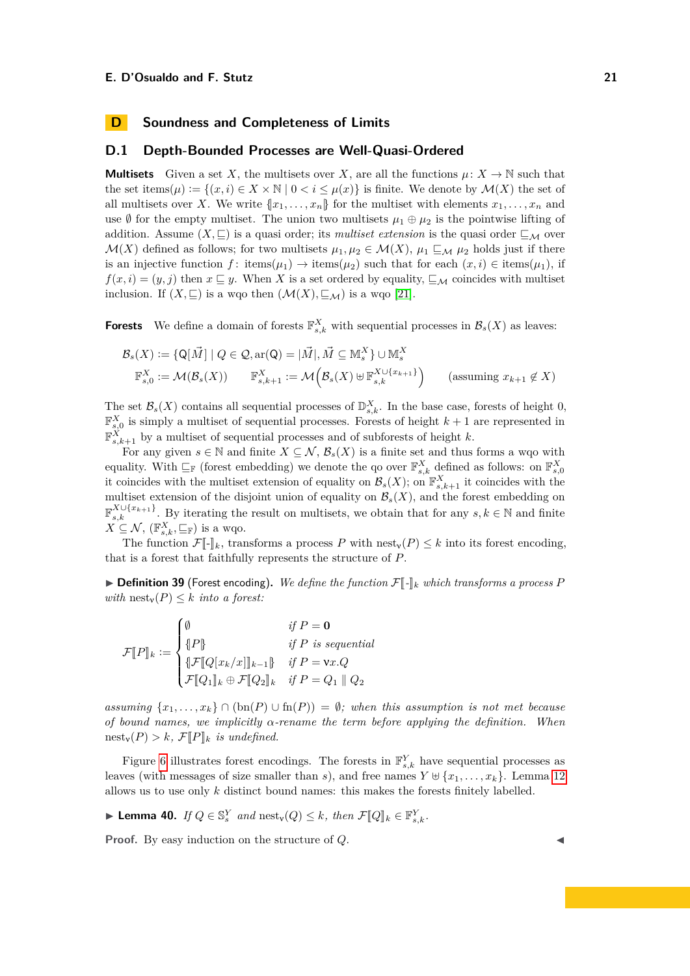# <span id="page-20-0"></span>**D Soundness and Completeness of Limits**

# **D.1 Depth-Bounded Processes are Well-Quasi-Ordered**

**Multisets** Given a set *X*, the multisets over *X*, are all the functions  $\mu: X \to \mathbb{N}$  such that the set items( $\mu$ ) :=  $\{(x, i) \in X \times \mathbb{N} \mid 0 < i \leq \mu(x)\}\$ is finite. We denote by  $\mathcal{M}(X)$  the set of all multisets over *X*. We write  $\{x_1, \ldots, x_n\}$  for the multiset with elements  $x_1, \ldots, x_n$  and use  $\emptyset$  for the empty multiset. The union two multisets  $\mu_1 \oplus \mu_2$  is the pointwise lifting of addition. Assume  $(X, \subseteq)$  is a quasi order; its *multiset extension* is the quasi order  $\subseteq_{\mathcal{M}}$  over  $\mathcal{M}(X)$  defined as follows; for two multisets  $\mu_1, \mu_2 \in \mathcal{M}(X)$ ,  $\mu_1 \sqsubseteq_M \mu_2$  holds just if there is an injective function  $f:$  items( $\mu_1$ )  $\rightarrow$  items( $\mu_2$ ) such that for each  $(x, i) \in$  items( $\mu_1$ ), if  $f(x, i) = (y, j)$  then  $x \sqsubseteq y$ . When X is a set ordered by equality,  $\sqsubseteq_{\mathcal{M}}$  coincides with multiset inclusion. If  $(X, \subseteq)$  is a wqo then  $(\mathcal{M}(X), \subseteq_{\mathcal{M}})$  is a wqo [\[21\]](#page-17-8).

**Forests** We define a domain of forests  $\mathbb{F}_{s,k}^X$  with sequential processes in  $\mathcal{B}_s(X)$  as leaves:

$$
\mathcal{B}_s(X) := \{ \mathsf{Q}[\vec{M}] \mid Q \in \mathcal{Q}, \text{ar}(\mathsf{Q}) = |\vec{M}|, \vec{M} \subseteq \mathbb{M}_s^X \} \cup \mathbb{M}_s^X
$$
  

$$
\mathbb{F}_{s,0}^X := \mathcal{M}(\mathcal{B}_s(X)) \qquad \mathbb{F}_{s,k+1}^X := \mathcal{M}(\mathcal{B}_s(X) \cup \mathbb{F}_{s,k}^{X \cup \{x_{k+1}\}}) \qquad \text{(assuming } x_{k+1} \notin X)
$$

The set  $\mathcal{B}_s(X)$  contains all sequential processes of  $\mathbb{D}_{s,k}^X$ . In the base case, forests of height 0,  $\mathbb{F}^{X}_{s,0}$  is simply a multiset of sequential processes. Forests of height  $k+1$  are represented in  $\mathbb{F}^{\dot{X}}_{s,k+1}$  by a multiset of sequential processes and of subforests of height *k*.

For any given  $s \in \mathbb{N}$  and finite  $X \subseteq \mathcal{N}, \mathcal{B}_s(X)$  is a finite set and thus forms a wqo with equality. With  $\sqsubseteq_{\mathbb{F}}$  (forest embedding) we denote the qo over  $\mathbb{F}_{s,k}^X$  defined as follows: on  $\mathbb{F}_{s,0}^X$ it coincides with the multiset extension of equality on  $\mathcal{B}_s(X)$ ; on  $\mathbb{F}_{s,k+1}^X$  it coincides with the multiset extension of the disjoint union of equality on  $\mathcal{B}_s(X)$ , and the forest embedding on  $\mathbb{F}_{s,k}^{X\cup\{x_{k+1}\}}$ . By iterating the result on multisets, we obtain that for any  $s, k \in \mathbb{N}$  and finite  $X \subseteq \mathcal{N}$ ,  $(\mathbb{F}_{s,k}^X, \subseteq_{\mathbb{F}})$  is a wqo.

The function  $\mathcal{F}[\cdot]\|_k$ , transforms a process P with nest<sub>v</sub>(P)  $\leq k$  into its forest encoding, that is a forest that faithfully represents the structure of *P*.

 $\triangleright$  **Definition 39** (Forest encoding). We define the function  $\mathcal{F}[\cdot]\vert_k$  which transforms a process P *with*  $\text{nest}_v(P) \leq k$  *into a forest:* 

$$
\mathcal{F}[P]_k := \begin{cases} \emptyset & \text{if } P = \mathbf{0} \\ \{P\} & \text{if } P \text{ is sequential} \\ \{\mathcal{F}[Q[x_k/x]]_{k-1}\} & \text{if } P = \text{Vx}.Q \\ \mathcal{F}[Q_1]_k \oplus \mathcal{F}[Q_2]_k & \text{if } P = Q_1 \parallel Q_2 \end{cases}
$$

*assuming*  $\{x_1, \ldots, x_k\} ∩ (bn(P) ∪ fn(P)) = ∅$ *; when this assumption is not met because of bound names, we implicitly α-rename the term before applying the definition. When*  $\text{nest}_v(P) > k$ ,  $\mathcal{F}[P]_k$  *is undefined.* 

Figure [6](#page-21-0) illustrates forest encodings. The forests in  $\mathbb{F}_{s,k}^{Y}$  have sequential processes as leaves (with messages of size smaller than *s*), and free names  $Y \oplus \{x_1, \ldots, x_k\}$ . Lemma [12](#page-6-0) allows us to use only *k* distinct bound names: this makes the forests finitely labelled.

<span id="page-20-1"></span>► Lemma 40. *If*  $Q \in \mathbb{S}_s^Y$  *and* nest<sub>v</sub>( $Q$ ) ≤ *k, then*  $\mathcal{F}[\![Q]\!]_k \in \mathbb{F}_{s,k}^Y$ .

<span id="page-20-2"></span>**Proof.** By easy induction on the structure of *Q*.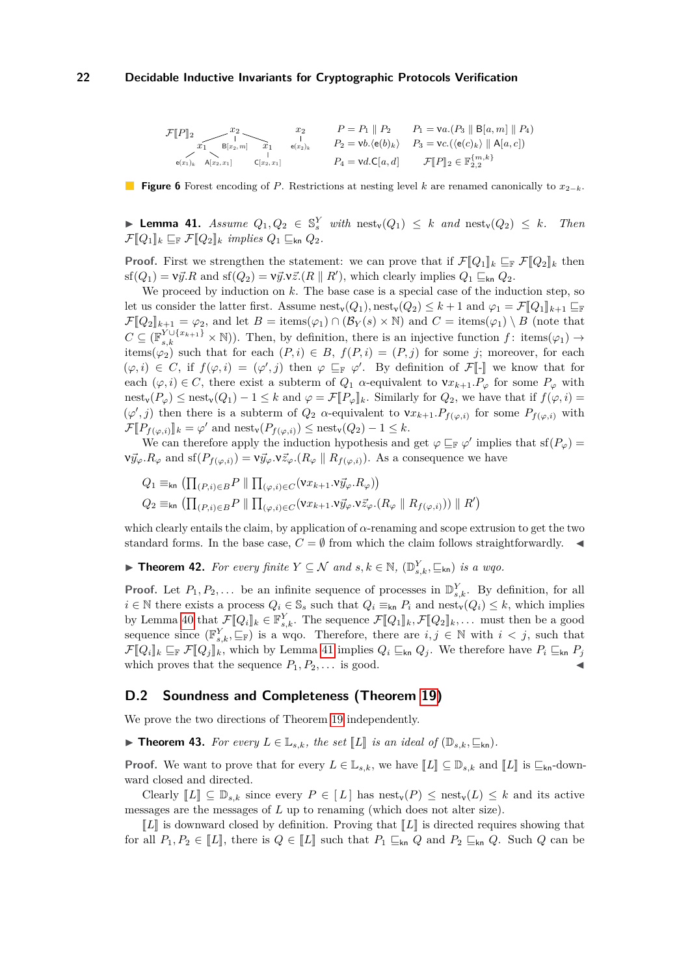<span id="page-21-0"></span>
$$
\mathcal{F}[P]_2 \xrightarrow[\text{B}[x_2, m] \text{C}[x_2, x_1] \text{C}[x_2, x_1]} \begin{array}{ccc} x_2 & P = P_1 \parallel P_2 & P_1 = \text{Va.}(P_3 \parallel \text{B}[a, m] \parallel P_4) \\ \downarrow & & \\ e(x_1)_k & A[x_2, x_1] & & \\ \end{array}
$$
\n
$$
P_4 = \text{vd.} \mathbb{C}[a, d] \qquad \mathcal{F}[P]_2 \in \mathbb{F}_{2,2}^{\{m, k\}}
$$

**Figure 6** Forest encoding of *P*. Restrictions at nesting level *k* are renamed canonically to *x*2−*k*.

▶ **Lemma 41.** *Assume*  $Q_1, Q_2 \in \mathbb{S}_s^Y$  *with*  $\text{nest}_\mathbf{v}(Q_1) \leq k$  *and*  $\text{nest}_\mathbf{v}(Q_2) \leq k$ *. Then*  $\mathcal{F}\llbracket Q_1 \rrbracket_k \sqsubseteq_{\mathbb{F}} \mathcal{F}\llbracket Q_2 \rrbracket_k$  *implies*  $Q_1 \sqsubseteq_{\mathsf{kn}} Q_2$ .

**Proof.** First we strengthen the statement: we can prove that if  $\mathcal{F}[Q_1]_k \subseteq_{\mathbb{F}} \mathcal{F}[Q_2]_k$  then  $\text{sf}(Q_1) = \text{v}\vec{y}.R$  and  $\text{sf}(Q_2) = \text{v}\vec{y}.\text{v}\vec{z}.(R \parallel R')$ , which clearly implies  $Q_1 \sqsubseteq_{\text{kn}} Q_2$ .

We proceed by induction on *k*. The base case is a special case of the induction step, so let us consider the latter first. Assume  $\text{nest}_v(Q_1)$ ,  $\text{nest}_v(Q_2) \leq k+1$  and  $\varphi_1 = \mathcal{F}[\![Q_1]\!]_{k+1} \sqsubseteq_{\mathbb{F}}$  $\mathcal{F}[\![Q_2]\!]_{k+1} = \varphi_2$ , and let  $B = \text{items}(\varphi_1) \cap (\mathcal{B}_Y(s) \times \mathbb{N})$  and  $C = \text{items}(\varphi_1) \setminus B$  (note that  $C \subseteq (\mathbb{F}_{s,k}^{Y \cup \{x_{k+1}\}} \times \mathbb{N})$ . Then, by definition, there is an injective function  $f:$  items $(\varphi_1) \to$ items( $\varphi_2$ ) such that for each  $(P, i) \in B$ ,  $f(P, i) = (P, j)$  for some *j*; moreover, for each  $(\varphi, i) \in C$ , if  $f(\varphi, i) = (\varphi', j)$  then  $\varphi \sqsubseteq_{\mathbb{F}} \varphi'$ . By definition of  $\mathcal{F}[\cdot]$  we know that for each  $(\varphi, i) \in C$ , there exist a subterm of  $Q_1$  *α*-equivalent to  $vx_{k+1}.P_{\varphi}$  for some  $P_{\varphi}$  with nest<sub>v</sub>( $P_{\varphi}$ )  $\leq$  nest<sub>v</sub>( $Q_1$ ) – 1  $\leq$  *k* and  $\varphi = \mathcal{F}[P_{\varphi}]_k$ . Similarly for  $Q_2$ , we have that if  $f(\varphi, i)$  =  $(\varphi', j)$  then there is a subterm of  $Q_2$  *α*-equivalent to  $vx_{k+1}.P_{f(\varphi,i)}$  for some  $P_{f(\varphi,i)}$  with  $\mathcal{F}[\![P_{f(\varphi,i)}]\!]_k = \varphi'$  and nest<sub>v</sub> $(P_{f(\varphi,i)}) \leq \text{nest}_v(Q_2) - 1 \leq k$ .

We can therefore apply the induction hypothesis and get  $\varphi \subseteq_{\mathbb{F}} \varphi'$  implies that  $\text{sf}(P_{\varphi}) =$  $\nu \vec{y}_{\varphi}.R_{\varphi}$  and  $\text{sf}(P_{f(\varphi,i)}) = \nu \vec{y}_{\varphi}. \nu \vec{z}_{\varphi}.(R_{\varphi} \parallel R_{f(\varphi,i)}).$  As a consequence we have

$$
Q_1 \equiv_{\mathsf{kn}} (\prod_{(P,i) \in B} P \parallel \prod_{(\varphi,i) \in C} (\mathbf{v} x_{k+1} \cdot \mathbf{v} \overline{y}_{\varphi} \cdot R_{\varphi}))
$$
  
\n
$$
Q_2 \equiv_{\mathsf{kn}} (\prod_{(P,i) \in B} P \parallel \prod_{(\varphi,i) \in C} (\mathbf{v} x_{k+1} \cdot \mathbf{v} \overline{y}_{\varphi} \cdot \mathbf{v} \overline{z}_{\varphi} \cdot (R_{\varphi} \parallel R_{f(\varphi,i)})) \parallel R')
$$

which clearly entails the claim, by application of  $\alpha$ -renaming and scope extrusion to get the two standard forms. In the base case,  $C = \emptyset$  from which the claim follows straightforwardly.

▶ **Theorem 42.** *For every finite*  $Y \subseteq \mathcal{N}$  *and*  $s, k \in \mathbb{N}$ ,  $(\mathbb{D}_{s,k}^Y, \subseteq_{kn})$  *is a wqo.* 

**Proof.** Let  $P_1, P_2, \ldots$  be an infinite sequence of processes in  $\mathbb{D}_{s,k}^Y$ . By definition, for all *i* ∈ N there exists a process  $Q_i$  ∈  $\mathbb{S}_s$  such that  $Q_i ≡_{kn} P_i$  and nest<sub>v</sub> $(Q_i) ≤ k$ , which implies by Lemma [40](#page-20-1) that  $\mathcal{F}[\![Q_i]\!]_k \in \mathbb{F}_{s,k}^Y$ . The sequence  $\mathcal{F}[\![Q_1]\!]_k$ ,  $\mathcal{F}[\![Q_2]\!]_k$ , ... must then be a good sequence since  $(\mathbb{F}_{s,k}^Y, \subseteq_{\mathbb{F}})$  is a wqo. Therefore, there are  $i, j \in \mathbb{N}$  with  $i < j$ , such that  $\mathcal{F}[\![Q_i]\!]_k \sqsubseteq_{\mathbb{F}} \mathcal{F}[\![Q_j]\!]_k$ , which by Lemma [41](#page-20-2) implies  $Q_i \sqsubseteq_{\mathsf{kn}} Q_j$ . We therefore have  $P_i \sqsubseteq_{\mathsf{kn}} P_j$ which proves that the sequence  $P_1, P_2, \ldots$  is good.

### **D.2 Soundness and Completeness (Theorem [19\)](#page-10-0)**

We prove the two directions of Theorem [19](#page-10-0) independently.

▶ **Theorem 43.** For every  $L \in \mathbb{L}_{s,k}$ , the set  $\llbracket L \rrbracket$  is an ideal of  $(\mathbb{D}_{s,k}, \mathbb{L}_{kn})$ .

**Proof.** We want to prove that for every  $L \in \mathbb{L}_{s,k}$ , we have  $\llbracket L \rrbracket \subseteq \mathbb{D}_{s,k}$  and  $\llbracket L \rrbracket$  is  $\sqsubseteq_{\mathsf{kn}}$ -downward closed and directed.

Clearly  $\llbracket L \rrbracket \subseteq \mathbb{D}_{s,k}$  since every  $P \in \llbracket L \rrbracket$  has nest<sub>v</sub> $(P) \leq \text{nest}_v(L) \leq k$  and its active messages are the messages of *L* up to renaming (which does not alter size).

 $\llbracket L \rrbracket$  is downward closed by definition. Proving that  $\llbracket L \rrbracket$  is directed requires showing that for all  $P_1, P_2 \in [L]$ , there is  $Q \in [L]$  such that  $P_1 \sqsubseteq_{kn} Q$  and  $P_2 \sqsubseteq_{kn} Q$ . Such  $Q$  can be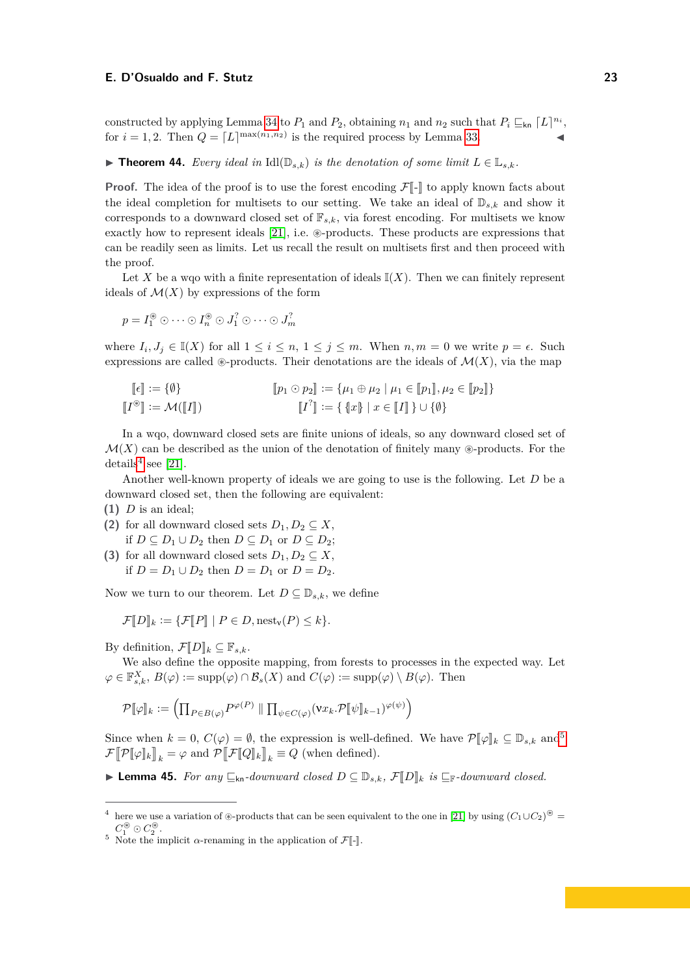constructed by applying Lemma [34](#page-19-1) to  $P_1$  and  $P_2$ , obtaining  $n_1$  and  $n_2$  such that  $P_i \sqsubseteq_{\mathsf{kn}} [L]^{n_i}$ , for  $i = 1, 2$ . Then  $Q = [L]^{\max(n_1, n_2)}$  is the required process by Lemma [33.](#page-19-2)

<span id="page-22-2"></span>▶ **Theorem 44.** *Every ideal in*  $\text{Idl}(\mathbb{D}_{s,k})$  *is the denotation of some limit*  $L \in \mathbb{L}_{s,k}$ *.* 

**Proof.** The idea of the proof is to use the forest encoding  $\mathcal{F}[\cdot]$  to apply known facts about the ideal completion for multisets to our setting. We take an ideal of  $\mathbb{D}_{s,k}$  and show it corresponds to a downward closed set of  $\mathbb{F}_{s,k}$ , via forest encoding. For multisets we know exactly how to represent ideals  $[21]$ , i.e.  $\circledast$ -products. These products are expressions that can be readily seen as limits. Let us recall the result on multisets first and then proceed with the proof.

Let X be a wqo with a finite representation of ideals  $\mathbb{I}(X)$ . Then we can finitely represent ideals of  $\mathcal{M}(X)$  by expressions of the form

$$
p = I_1^{\circledast} \odot \cdots \odot I_n^{\circledast} \odot J_1^? \odot \cdots \odot J_m^?
$$

where  $I_i, J_j \in \mathbb{I}(X)$  for all  $1 \leq i \leq n, 1 \leq j \leq m$ . When  $n, m = 0$  we write  $p = \epsilon$ . Such expressions are called  $\circledast$ -products. Their denotations are the ideals of  $\mathcal{M}(X)$ , via the map

$$
\begin{aligned}\n[\![\epsilon]\!] &:= \{\emptyset\} & \qquad [\![p_1 \odot p_2]\!] &:= \{\mu_1 \oplus \mu_2 \mid \mu_1 \in [\![p_1]\!], \mu_2 \in [\![p_2]\!] \} \\
[\![I^{\circledast}]\!] &:= \mathcal{M}([\![I]\!]) & \qquad [\![I^?]\!] &:= \{\{x\} \mid x \in [\![I]\!]\} \cup \{\emptyset\}\n\end{aligned}
$$

In a wqo, downward closed sets are finite unions of ideals, so any downward closed set of  $\mathcal{M}(X)$  can be described as the union of the denotation of finitely many  $\circledast$ -products. For the details<sup>[4](#page-22-0)</sup> see [\[21\]](#page-17-8).

Another well-known property of ideals we are going to use is the following. Let *D* be a downward closed set, then the following are equivalent:

- **(1)** *D* is an ideal;
- (2) for all downward closed sets  $D_1, D_2 \subseteq X$ , if *D* ⊆ *D*<sub>1</sub> ∪ *D*<sub>2</sub> then *D* ⊆ *D*<sub>1</sub> or *D* ⊆ *D*<sub>2</sub>;
- **(3)** for all downward closed sets  $D_1, D_2 \subseteq X$ , if *D* = *D*<sub>1</sub> ∪ *D*<sub>2</sub> then *D* = *D*<sub>1</sub> or *D* = *D*<sub>2</sub>.

Now we turn to our theorem. Let  $D \subseteq \mathbb{D}_{s,k}$ , we define

$$
\mathcal{F}\llbracket D\rrbracket_k := \{ \mathcal{F}\llbracket P\rrbracket \mid P \in D, \text{nest}_\mathsf{v}(P) \leq k \}.
$$

By definition,  $\mathcal{F}\llbracket D \rrbracket_k \subseteq \mathbb{F}_{s,k}$ .

We also define the opposite mapping, from forests to processes in the expected way. Let  $\varphi \in \mathbb{F}_{s,k}^X$ ,  $B(\varphi) := \text{supp}(\varphi) \cap \mathcal{B}_s(X)$  and  $C(\varphi) := \text{supp}(\varphi) \setminus B(\varphi)$ . Then

$$
\mathcal{P}[\![\varphi]\!]_k := \left(\prod_{P\in B(\varphi)} P^{\varphi(P)}\parallel \prod_{\psi\in C(\varphi)} (\mathsf{v}x_k.\mathcal{P}[\![\psi]\!]_{k-1})^{\varphi(\psi)}\right)
$$

Since when  $k = 0$ ,  $C(\varphi) = \emptyset$ , the expression is well-defined. We have  $\mathcal{P}[\varphi]_k \subseteq \mathbb{D}_{s,k}$  and<sup>[5](#page-22-1)</sup>  $\mathcal{F}[\![\mathcal{P}[\![\varphi]\!]_k]\!]_k = \varphi$  and  $\mathcal{P}[\![\mathcal{F}[\![Q]\!]_k]\!]_k \equiv Q$  (when defined).

<span id="page-22-3"></span>▶ **Lemma 45.** *For any*  $\sqsubseteq_{kn}$ -downward closed  $D \subseteq \mathbb{D}_{s,k}$ ,  $\mathcal{F}\llbracket D \rrbracket_k$  is  $\sqsubseteq_{\mathbb{F}}$ -downward closed.

<span id="page-22-0"></span><sup>&</sup>lt;sup>4</sup> here we use a variation of  $\triangle$ -products that can be seen equivalent to the one in [\[21\]](#page-17-8) by using  $(C_1 \cup C_2)^{\circledast}$  $C_1^{\circledast} \odot C_2^{\circledast}$ .

<span id="page-22-1"></span><sup>&</sup>lt;sup>5</sup> Note the implicit  $\alpha$ -renaming in the application of  $\mathcal{F}[\![\cdot]\!]$ .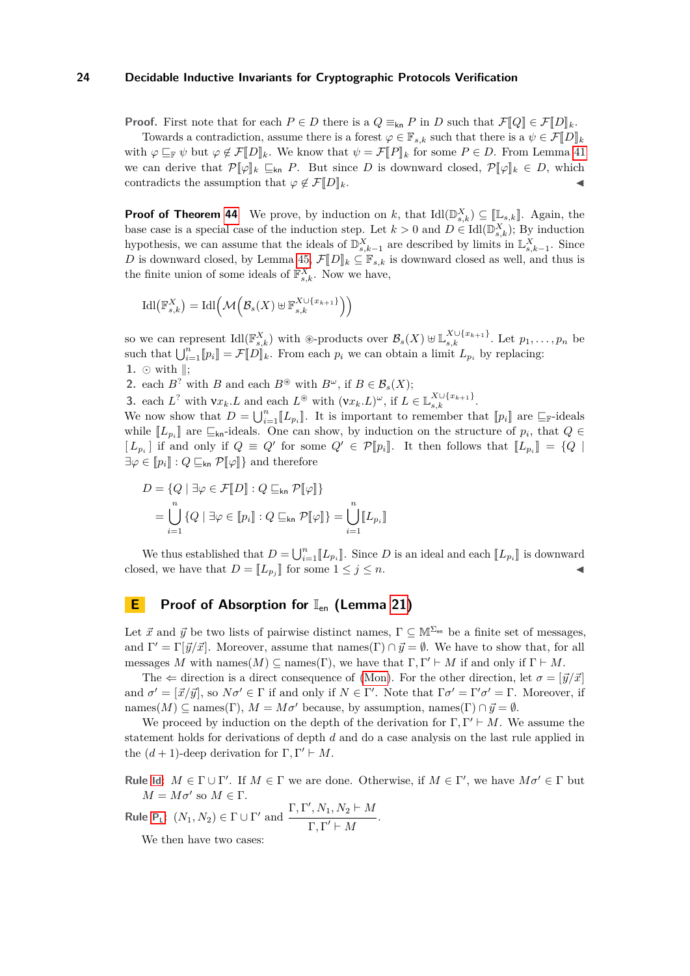**Proof.** First note that for each  $P \in D$  there is a  $Q \equiv_{kn} P$  in *D* such that  $\mathcal{F}[Q] \in \mathcal{F}[D]_k$ .

Towards a contradiction, assume there is a forest  $\varphi \in \mathbb{F}_{s,k}$  such that there is a  $\psi \in \mathcal{F}}[D]_k$ with  $\varphi \sqsubseteq_{\mathbb{F}} \psi$  but  $\varphi \not\in \mathcal{F}[[D]]_k$ . We know that  $\psi = \mathcal{F}[[P]]_k$  for some  $P \in D$ . From Lemma [41](#page-20-2) we can derive that  $\mathcal{P}[\![\varphi]\!]_k \subseteq_{kn} P$ . But since *D* is downward closed,  $\mathcal{P}[\![\varphi]\!]_k \in D$ , which contradicts the assumption that  $\varphi \notin \mathcal{F}[D]_k$ .

**Proof of Theorem [44](#page-22-2)** We prove, by induction on *k*, that  $\text{Id}([\mathbb{D}_{s,k}^X]) \subseteq [\mathbb{L}_{s,k}]]$ . Again, the base case is a special case of the induction step. Let  $k > 0$  and  $D \in \text{Idl}(\mathbb{D}_{s,k}^X)$ ; By induction hypothesis, we can assume that the ideals of  $\mathbb{D}_{s,k-1}^X$  are described by limits in  $\mathbb{L}_{s,k-1}^X$ . Since *D* is downward closed, by Lemma [45,](#page-22-3)  $\mathcal{F}\llbracket D \rrbracket_k \subseteq \mathbb{F}_{s,k}$  is downward closed as well, and thus is the finite union of some ideals of  $\mathbb{F}^{X}_{s,k}$ . Now we have,

$$
\mathrm{Idl}\left(\mathbb{F}_{s,k}^X\right) = \mathrm{Idl}\left(\mathcal{M}\left(\mathcal{B}_s(X) \boxplus \mathbb{F}_{s,k}^{X \cup \{x_{k+1}\}}\right)\right)
$$

so we can represent  $\text{Idl}(\mathbb{F}_{s,k}^X)$  with  $\otimes$ -products over  $\mathcal{B}_s(X) \uplus \mathbb{L}_{s,k}^{X \cup \{x_{k+1}\}}$ . Let  $p_1, \ldots, p_n$  be such that  $\bigcup_{i=1}^n [p_i] = \mathcal{F}[D]_k$ . From each  $p_i$  we can obtain a limit  $L_{p_i}$  by replacing: 1.  $\odot$  with  $\parallel$ ;

**2.** each *B*<sup>?</sup> with *B* and each *B*<sup>®</sup> with *B*<sup>*ω*</sup>, if *B*  $\in$  *B<sub>s</sub>*(*X*);

**3.** each  $L^?$  with  $\mathsf{v}x_k.L$  and each  $L^\circledast$  with  $(\mathsf{v}x_k.L)^\omega$ , if  $L \in \mathbb{L}_{s,k}^{X \cup \{x_{k+1}\}}$ .

We now show that  $D = \bigcup_{i=1}^{n} [L_{p_i}]$ . It is important to remember that  $[p_i]$  are  $\sqsubseteq_{\mathbb{F}}$ -ideals while  $[L_{p_i}]$  are  $\subseteq_{kn}$ -ideals. One can show, by induction on the structure of  $p_i$ , that  $Q \in$  $[L_{p_i}]$  if and only if  $Q \equiv Q'$  for some  $Q' \in \mathcal{P}[p_i]$ . It then follows that  $[[L_{p_i}]] = \{Q \mid \exists i \in \mathbb{N}, j \in \mathbb{N} \}$ .  $Q \sqsubset \mathcal{P}[j_i]$  and therefore  $\exists \varphi \in [p_i] : Q \sqsubseteq_{\sf kn} \mathcal{P}[\![\varphi]\!]$  and therefore

$$
D = \{Q \mid \exists \varphi \in \mathcal{F}[D] : Q \sqsubseteq_{\mathsf{kn}} \mathcal{P}[\varphi] \}
$$
  
= 
$$
\bigcup_{i=1}^{n} \{Q \mid \exists \varphi \in [p_i] : Q \sqsubseteq_{\mathsf{kn}} \mathcal{P}[\varphi] \} = \bigcup_{i=1}^{n} [L_{p_i}]
$$

We thus established that  $D = \bigcup_{i=1}^{n} [L_{p_i}]\]$ . Since *D* is an ideal and each  $[L_{p_i}]\]$  is downward closed, we have that  $D = [L_{p_j}]$  for some  $1 \le j \le n$ .

# **E Proof of Absorption for**  $\mathbb{I}_{en}$  **(Lemma [21\)](#page-11-0)**

Let  $\vec{x}$  and  $\vec{y}$  be two lists of pairwise distinct names,  $\Gamma \subseteq \mathbb{M}^{\Sigma_{\text{en}}}$  be a finite set of messages, and  $\Gamma' = \Gamma[\vec{y}/\vec{x}]$ . Moreover, assume that names(Γ)  $\cap \vec{y} = \emptyset$ . We have to show that, for all messages *M* with names $(M) \subseteq \text{names}(\Gamma)$ , we have that  $\Gamma, \Gamma' \vdash M$  if and only if  $\Gamma \vdash M$ .

The  $\Leftarrow$  direction is a direct consequence of [\(Mon\)](#page-2-2). For the other direction, let  $\sigma = [\vec{y}/\vec{x}]$ and  $\sigma' = [\vec{x}/\vec{y}]$ , so  $N\sigma' \in \Gamma$  if and only if  $N \in \Gamma'$ . Note that  $\Gamma \sigma' = \Gamma' \sigma' = \Gamma$ . Moreover, if names(*M*)  $\subseteq$  names( $\Gamma$ ),  $M = M\sigma'$  because, by assumption, names( $\Gamma$ )  $\cap \vec{y} = \emptyset$ .

We proceed by induction on the depth of the derivation for  $\Gamma, \Gamma' \vdash M$ . We assume the statement holds for derivations of depth *d* and do a case analysis on the last rule applied in the  $(d+1)$ -deep derivation for  $\Gamma, \Gamma' \vdash M$ .

**Rule** 1d:  $M \in \Gamma \cup \Gamma'$ . If  $M \in \Gamma$  we are done. Otherwise, if  $M \in \Gamma'$ , we have  $M\sigma' \in \Gamma$  but  $M = M\sigma'$  so  $M \in \Gamma$ .

**Rule**  $P_1$  $P_1$ :  $(N_1, N_2) \in \Gamma \cup \Gamma'$  and  $\frac{\Gamma, \Gamma', N_1, N_2 \vdash M}{\Gamma, \Gamma', M_1, M_2 \vdash M}$  $\frac{\overline{\Gamma,\Gamma'+M}}{\Gamma,\Gamma'+M}$ .

We then have two cases: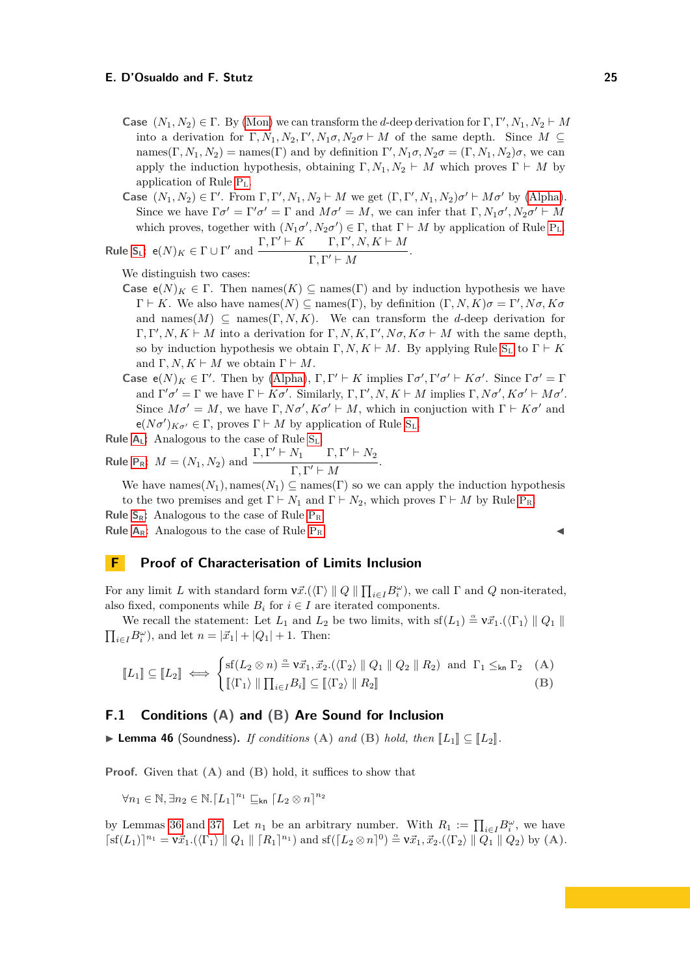- **Case**  $(N_1, N_2) \in \Gamma$ . By [\(Mon\)](#page-2-2) we can transform the *d*-deep derivation for  $\Gamma, \Gamma', N_1, N_2 \vdash M$ into a derivation for  $\Gamma, N_1, N_2, \Gamma', N_1\sigma, N_2\sigma \vdash M$  of the same depth. Since  $M \subseteq$ names( $\Gamma$ ,  $N_1$ ,  $N_2$ ) = names( $\Gamma$ ) and by definition  $\Gamma'$ ,  $N_1\sigma$ ,  $N_2\sigma = (\Gamma, N_1, N_2)\sigma$ , we can apply the induction hypothesis, obtaining  $\Gamma, N_1, N_2 \vdash M$  which proves  $\Gamma \vdash M$  by application of Rule [P](#page-3-3)L.
- **Case**  $(N_1, N_2) \in \Gamma'$ . From  $\Gamma, \Gamma', N_1, N_2 \vdash M$  we get  $(\Gamma, \Gamma', N_1, N_2) \sigma' \vdash M \sigma'$  by [\(Alpha\)](#page-2-5). Since we have  $\Gamma \sigma' = \Gamma' \sigma' = \Gamma$  and  $M \sigma' = M$ , we can infer that  $\Gamma, N_1 \sigma', N_2 \sigma' \vdash M$ which proves, together with  $(N_1 \sigma', N_2 \sigma') \in \Gamma$ , that  $\Gamma \vdash M$  by application of Rule [P](#page-3-3)<sub>L</sub>.  $Γ$   $Γ'$   $L$  *K*  $\mathcal{C} \vdash K \qquad \Gamma, \Gamma', N, K \vdash M$

Rule 
$$
S_L
$$
:  $e(N)_K \in \Gamma \cup \Gamma'$  and  $\frac{1}{L} \cdot \frac{1}{L} \cdot \frac{1}{N} \cdot \frac{1}{N} \cdot \frac{1}{N} \cdot \frac{1}{N} \cdot \frac{1}{N} \cdot \frac{1}{N}$ .

We distinguish two cases:

- **Case**  $e(N)_K \in \Gamma$ . Then names(*K*) ⊂ names(Γ) and by induction hypothesis we have  $Γ ⊢ K$ . We also have names(*N*) ⊆ names(Γ), by definition  $(Γ, N, K)σ = Γ', Nσ, Kσ$ and names $(M) \subseteq$  names $(\Gamma, N, K)$ . We can transform the *d*-deep derivation for  $\Gamma, \Gamma', N, K \vdash M$  into a derivation for  $\Gamma, N, K, \Gamma', N\sigma, K\sigma \vdash M$  with the same depth, so by induction hypothesis we obtain  $\Gamma, N, K \vdash M$ . By applying Rule [S](#page-3-4)<sub>L</sub> to  $\Gamma \vdash K$ and  $\Gamma, N, K \vdash M$  we obtain  $\Gamma \vdash M$ .
- **Case**  $e(N)_K \in \Gamma'$ . Then by [\(Alpha\)](#page-2-5),  $\Gamma, \Gamma' \vdash K$  implies  $\Gamma \sigma', \Gamma' \sigma' \vdash K \sigma'$ . Since  $\Gamma \sigma' = \Gamma$ and  $\Gamma' \sigma' = \Gamma$  we have  $\Gamma \vdash K \sigma'$ . Similarly,  $\Gamma, \Gamma', N, K \vdash M$  implies  $\Gamma, N \sigma', K \sigma' \vdash M \sigma'.$ Since  $M\sigma' = M$ , we have  $\Gamma, N\sigma', K\sigma' \vdash M$ , which in conjuction with  $\Gamma \vdash K\sigma'$  and  $e(N\sigma')_{K\sigma'} \in \Gamma$ , proves  $\Gamma \vdash M$  by application of Rule [S](#page-3-4)<sub>L</sub>.

**Rule A**<sub>L</sub>: Analogous to the case of Rule 
$$
S_L
$$
.

**Rule P<sub>R</sub>:** 
$$
M = (N_1, N_2)
$$
 and  $\frac{\Gamma, \Gamma' \vdash N_1 \quad \Gamma, \Gamma' \vdash N_2}{\Gamma, \Gamma' \vdash M}$ .

We have names $(N_1)$ , names $(N_1) \subseteq$  names $(\Gamma)$  so we can apply the induction hypothesis to the two premises and get  $\Gamma \vdash N_1$  and  $\Gamma \vdash N_2$ , which proves  $\Gamma \vdash M$  by Rule [P](#page-3-6)<sub>R</sub>. **Rule**  $S_R$  $S_R$ : Analogous to the case of Rule  $P_R$  $P_R$ .

**Rule**  $A_R$  $A_R$ : Analogous to the case of Rule  $P_R$  $P_R$ .

# **F Proof of Characterisation of Limits Inclusion**

For any limit *L* with standard form  $v\vec{x}.(\langle \Gamma \rangle \parallel Q \parallel \prod_{i \in I} B_i^{\omega})$ , we call  $\Gamma$  and *Q* non-iterated, also fixed, components while  $B_i$  for  $i \in I$  are iterated components.

We recall the statement: Let  $L_1$  and  $L_2$  be two limits, with  $\text{sf}(L_1) \triangleq \nu \vec{x}_1 \cdot (\langle \Gamma_1 \rangle \parallel Q_1 \parallel$  $\prod_{i \in I} B_i^{\omega}$ , and let  $n = |\vec{x}_1| + |Q_1| + 1$ . Then:

$$
\llbracket L_1 \rrbracket \subseteq \llbracket L_2 \rrbracket \iff \begin{cases} \text{sf}(L_2 \otimes n) \stackrel{\simeq}{=} \mathsf{v}\vec{x}_1, \vec{x}_2.(\langle \Gamma_2 \rangle \parallel Q_1 \parallel Q_2 \parallel R_2) \text{ and } \Gamma_1 \leq_{\mathsf{kn}} \Gamma_2 \quad \text{(A)}\\ \llbracket \langle \Gamma_1 \rangle \parallel \prod_{i \in I} B_i \rrbracket \subseteq \llbracket \langle \Gamma_2 \rangle \parallel R_2 \rrbracket \end{cases} \tag{B}
$$

## **F.1 Conditions (A) and (B) Are Sound for Inclusion**

▶ **Lemma 46** (Soundness). *If conditions* (A) *and* (B) *hold, then*  $\llbracket L_1 \rrbracket \subseteq \llbracket L_2 \rrbracket$ .

**Proof.** Given that **(A)** and **(B)** hold, it suffices to show that

$$
\forall n_1 \in \mathbb{N}, \exists n_2 \in \mathbb{N}. [L_1]^{n_1} \sqsubseteq_{\sf kn} [L_2 \otimes n]^{n_2}
$$

by Lemmas [36](#page-19-4) and [37.](#page-19-5) Let  $n_1$  be an arbitrary number. With  $R_1 := \prod_{i \in I} B_i^{\omega}$ , we have  $\lceil \text{sf}(L_1) \rceil^{n_1} = \nu \vec{x}_1 \cdot (\langle \Gamma_1 \rangle \parallel Q_1 \parallel [R_1]^{n_1}) \text{ and } \text{sf}(\lceil L_2 \otimes n \rceil^0) \stackrel{\alpha}{=} \nu \vec{x}_1, \vec{x}_2 \cdot (\langle \Gamma_2 \rangle \parallel Q_1 \parallel Q_2) \text{ by (A)}.$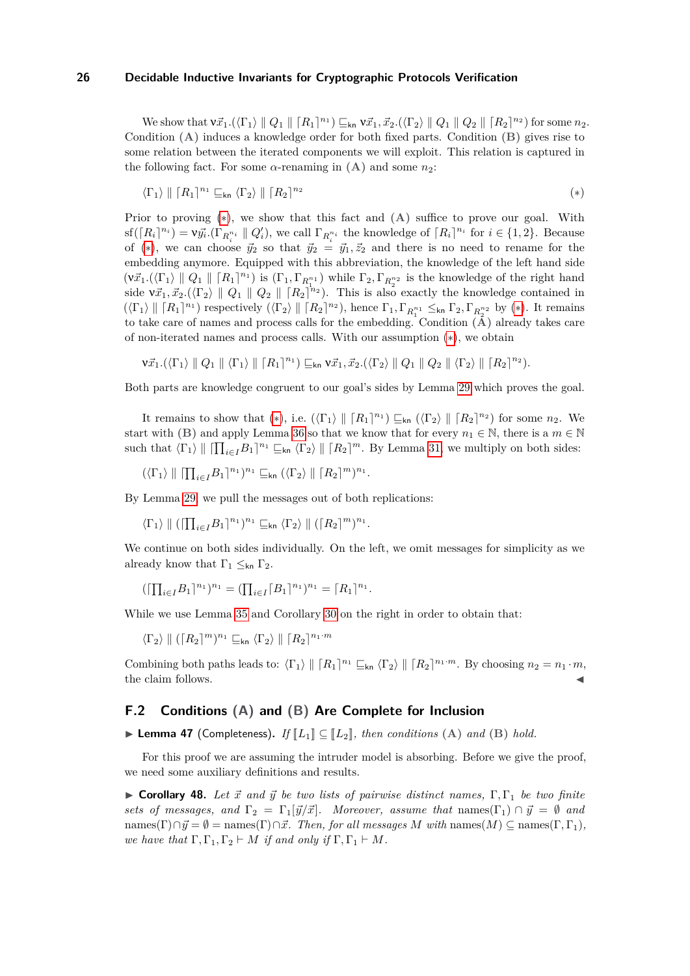$\mathbb{W}_{\mathcal{E}}$  show that  $\mathbb{v}_{\mathcal{I}_{1}}^{*}$ . $(\langle \Gamma_{1} \rangle \parallel Q_{1} \parallel [R_{1}]^{n_{1}}) \sqsubseteq_{\mathsf{kn}} \mathbb{v}_{\mathcal{I}_{1}}^{*}$ ,  $\vec{x}_{2}.(\langle \Gamma_{2} \rangle \parallel Q_{1} \parallel Q_{2} \parallel [R_{2}]^{n_{2}})$  for some  $n_{2}$ . Condition **(A)** induces a knowledge order for both fixed parts. Condition **(B)** gives rise to some relation between the iterated components we will exploit. This relation is captured in the following fact. For some  $\alpha$ -renaming in **(A)** and some  $n_2$ :

<span id="page-25-1"></span><span id="page-25-0"></span>
$$
\langle \Gamma_1 \rangle \parallel [R_1]^{n_1} \sqsubseteq_{\sf kn} \langle \Gamma_2 \rangle \parallel [R_2]^{n_2} \tag{*}
$$

Prior to proving ([∗](#page-25-0)), we show that this fact and **(A)** suffice to prove our goal. With  $\text{sf}([R_i]^{n_i}) = \nu \vec{y_i} \cdot (\Gamma_{R_i^{n_i}} \parallel Q_i'),$  we call  $\Gamma_{R_i^{n_i}}$  the knowledge of  $[R_i]^{n_i}$  for  $i \in \{1,2\}.$  Because of (\*), we can choose  $\vec{y}_2$  so that  $\vec{y}_2 = \vec{y}_1, \vec{z}_2$  and there is no need to rename for the embedding anymore. Equipped with this abbreviation, the knowledge of the left hand side  $(\nu \vec{x}_1 \cdot (\langle \Gamma_1 \rangle \parallel Q_1 \parallel [R_1]^{n_1})$  is  $(\Gamma_1, \Gamma_{R_1^{n_1}})$  while  $\Gamma_2, \Gamma_{R_2^{n_2}}$  is the knowledge of the right hand side  $v\vec{x}_1, \vec{x}_2.(\langle \Gamma_2 \rangle \parallel Q_1 \parallel Q_2 \parallel [R_2]^{n_2})$ . This is also exactly the knowledge contained in  $(\langle \Gamma_1 \rangle \parallel [R_1]^{n_1})$  respectively  $(\langle \Gamma_2 \rangle \parallel [R_2]^{n_2})$ , hence  $\Gamma_1, \Gamma_{R_1^{n_1}} \leq_{\sf kn} \Gamma_2, \Gamma_{R_2^{n_2}}$  by (\*). It remains to take care of names and process calls for the embedding. Condition **(A)** already takes care of non-iterated names and process calls. With our assumption ([∗](#page-25-0)), we obtain

$$
\mathbf{V}\vec{x}_1.(\langle \Gamma_1 \rangle \parallel Q_1 \parallel \langle \Gamma_1 \rangle \parallel [\mathbf{R}_1]^{\mathbf{n}_1}) \sqsubseteq_{\mathsf{kn}} \mathbf{V}\vec{x}_1, \vec{x}_2.(\langle \Gamma_2 \rangle \parallel Q_1 \parallel Q_2 \parallel \langle \Gamma_2 \rangle \parallel [\mathbf{R}_2]^{\mathbf{n}_2}).
$$

Both parts are knowledge congruent to our goal's sides by Lemma [29](#page-18-2) which proves the goal.

It remains to show that (\*), i.e.  $(\langle \Gamma_1 \rangle \parallel [R_1]^{n_1}) \sqsubseteq_{\mathsf{kn}} (\langle \Gamma_2 \rangle \parallel [R_2]^{n_2})$  for some  $n_2$ . We start with **(B)** and apply Lemma [36](#page-19-4) so that we know that for every  $n_1 \in \mathbb{N}$ , there is a  $m \in \mathbb{N}$ such that  $\langle \Gamma_1 \rangle \parallel \left[ \prod_{i \in I} B_1 \right]^{n_1} \sqsubseteq_{\mathsf{kn}} \langle \Gamma_2 \rangle \parallel \left[ R_2 \right]^{m}$ . By Lemma [31,](#page-19-3) we multiply on both sides:

$$
(\langle \Gamma_1 \rangle \parallel \lceil \prod_{i \in I} B_1 \rceil^{n_1})^{n_1} \sqsubseteq_{\mathsf{kn}} (\langle \Gamma_2 \rangle \parallel \lceil R_2 \rceil^m)^{n_1}.
$$

By Lemma [29,](#page-18-2) we pull the messages out of both replications:

 $\langle \Gamma_1 \rangle \parallel ( \prod_{i \in I} B_1 \rceil^{n_1} )^{n_1} \sqsubseteq_{\sf kn} \langle \Gamma_2 \rangle \parallel ( \lceil R_2 \rceil^m )^{n_1}.$ 

We continue on both sides individually. On the left, we omit messages for simplicity as we already know that  $\Gamma_1 \leq_{\sf kn} \Gamma_2$ .

$$
(\left[\prod_{i\in I}B_1\right]^{n_1})^{n_1} = (\prod_{i\in I}\left[B_1\right]^{n_1})^{n_1} = \left[R_1\right]^{n_1}.
$$

While we use Lemma [35](#page-19-6) and Corollary [30](#page-19-7) on the right in order to obtain that:

 $\langle \Gamma_2 \rangle \parallel (\lceil R_2 \rceil^m)^{n_1} \sqsubseteq_{\sf kn} \langle \Gamma_2 \rangle \parallel \lceil R_2 \rceil^{n_1 \cdot m}$ 

Combining both paths leads to:  $\langle \Gamma_1 \rangle \parallel [R_1]^{n_1} \sqsubseteq_{\mathsf{kn}} \langle \Gamma_2 \rangle \parallel [R_2]^{n_1 \cdot m}$ . By choosing  $n_2 = n_1 \cdot m$ , the claim follows.

## **F.2 Conditions (A) and (B) Are Complete for Inclusion**

▶ Lemma 47 (Completeness). *If*  $\llbracket L_1 \rrbracket \subseteq \llbracket L_2 \rrbracket$ , then conditions (A) and (B) hold.

For this proof we are assuming the intruder model is absorbing. Before we give the proof, we need some auxiliary definitions and results.

<span id="page-25-2"></span>**If Corollary 48.** Let  $\vec{x}$  and  $\vec{y}$  be two lists of pairwise distinct names,  $\Gamma, \Gamma_1$  be two finite *sets of messages, and*  $\Gamma_2 = \Gamma_1[\vec{y}/\vec{x}]$ *. Moreover, assume that* names( $\Gamma_1$ )  $\cap \vec{y} = \emptyset$  *and*  $\text{names}(\Gamma) \cap \vec{y} = \emptyset = \text{names}(\Gamma) \cap \vec{x}$ *. Then, for all messages M with*  $\text{names}(M) \subseteq \text{names}(\Gamma, \Gamma_1)$ *, we have that*  $\Gamma, \Gamma_1, \Gamma_2 \vdash M$  *if and only if*  $\Gamma, \Gamma_1 \vdash M$ *.*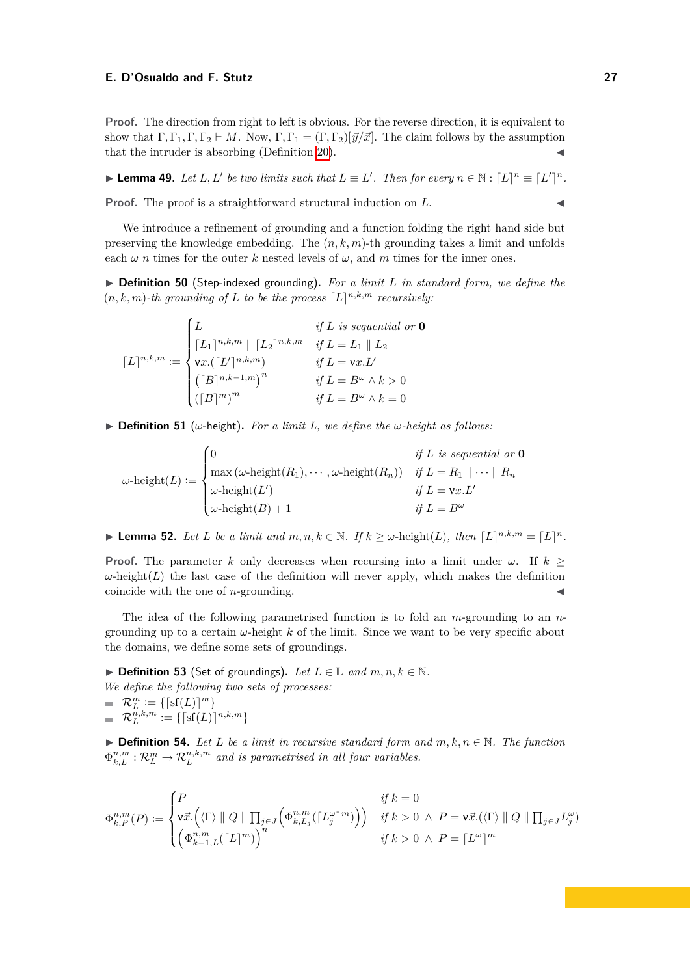**Proof.** The direction from right to left is obvious. For the reverse direction, it is equivalent to show that  $\Gamma, \Gamma_1, \Gamma, \Gamma_2 \vdash M$ . Now,  $\Gamma, \Gamma_1 = (\Gamma, \Gamma_2)[\vec{y}/\vec{x}]$ . The claim follows by the assumption that the intruder is absorbing  $(Definition 20)$  $(Definition 20)$ .

▶ **Lemma 49.** Let L, L' be two limits such that  $L \equiv L'$ . Then for every  $n \in \mathbb{N} : [L]^n \equiv [L']^n$ .

**Proof.** The proof is a straightforward structural induction on L.

We introduce a refinement of grounding and a function folding the right hand side but preserving the knowledge embedding. The (*n, k, m*)-th grounding takes a limit and unfolds each  $\omega$  *n* times for the outer *k* nested levels of  $\omega$ , and *m* times for the inner ones.

▶ **Definition 50** (Step-indexed grounding). For a limit L in standard form, we define the  $(n, k, m)$ -th grounding of *L* to be the process  $[L]^{n, k, m}$  recursively:

 $\lceil L \rceil^{n,k,m} :=$  $\sqrt{ }$  $\int$  $\overline{\mathcal{L}}$ *L if L is sequential or* **0**  $[L_1]^{n,k,m}$  ||  $[L_2]^{n,k,m}$  *if*  $L = L_1$  ||  $L_2$  $\forall x. ([L']^{n,k,m})$  *if*  $L = \forall x. L'$  $\left(\lceil B \rceil^{n,k-1,m} \right)^n$  *if*  $L = B^\omega \wedge k > 0$  $(fB)^m$ <sup>*m*</sup> *if*  $L = B^\omega \wedge k = 0$ 

 $\triangleright$  **Definition 51** (*ω*-height). *For a limit L, we define the*  $\omega$ *-height as follows:* 

 $\omega$ -height $(L) :=$  $\sqrt{ }$  $\Big\}$  $\overline{\mathcal{L}}$  $\int$  *if*  $L$  *is sequential or* **0**  $\max (\omega\text{-height}(R_1), \cdots, \omega\text{-height}(R_n)) \quad \text{if } L = R_1 \parallel \cdots \parallel R_n$  $\omega$ -height $(L')$  *if*  $L = \mathbf{v}x.L'$  $\omega$ -height(*B*) + 1 *if*  $L = B^{\omega}$ 

<span id="page-26-0"></span>► **Lemma 52.** *Let L be a limit and*  $m, n, k \in \mathbb{N}$ *. If*  $k \geq \omega$ -height(*L*)*, then*  $[L]^{n,k,m} = [L]^{n}$ *.* 

**Proof.** The parameter *k* only decreases when recursing into a limit under  $\omega$ . If  $k >$  $\omega$ -height(*L*) the last case of the definition will never apply, which makes the definition coincide with the one of  $n$ -grounding.

The idea of the following parametrised function is to fold an *m*-grounding to an *n*grounding up to a certain *ω*-height *k* of the limit. Since we want to be very specific about the domains, we define some sets of groundings.

▶ **Definition 53** (Set of groundings). Let  $L \in \mathbb{L}$  and  $m, n, k \in \mathbb{N}$ .

*We define the following two sets of processes:*  $\mathcal{R}_L^m := \{ [\text{sf}(L)]^m \}$ 

 $\mathcal{R}_L^{n,k,m} := \{ \lceil \mathrm{sf}(L) \rceil^{n,k,m} \}$ 

▶ **Definition 54.** *Let L be a limit in recursive standard form and*  $m, k, n \in \mathbb{N}$ *. The function*  $\Phi_{k,L}^{n,m}: \mathcal{R}_L^m \to \mathcal{R}_L^{n,k,m}$  and is parametrised in all four variables.

$$
\Phi_{k,P}^{n,m}(P):=\begin{cases} P & \text{ if } k=0\\ \mathrm{v}\vec{x}. \Big( \langle \Gamma \rangle \parallel Q \parallel \prod_{j\in J}\Big(\Phi_{k,L_j}^{n,m}(\lceil L_j^{\omega} \rceil^m)\Big) \Big) & \text{ if } k>0 \;\wedge \; P=\mathrm{v}\vec{x}. (\langle \Gamma \rangle \parallel Q \parallel \prod_{j\in J}L_j^{\omega})\\ \Big( \Phi_{k-1,L}^{n,m}(\lceil L \rceil^m) \Big)^n & \text{ if } k>0 \;\wedge \; P=\lceil L^{\omega} \rceil^m \end{cases}
$$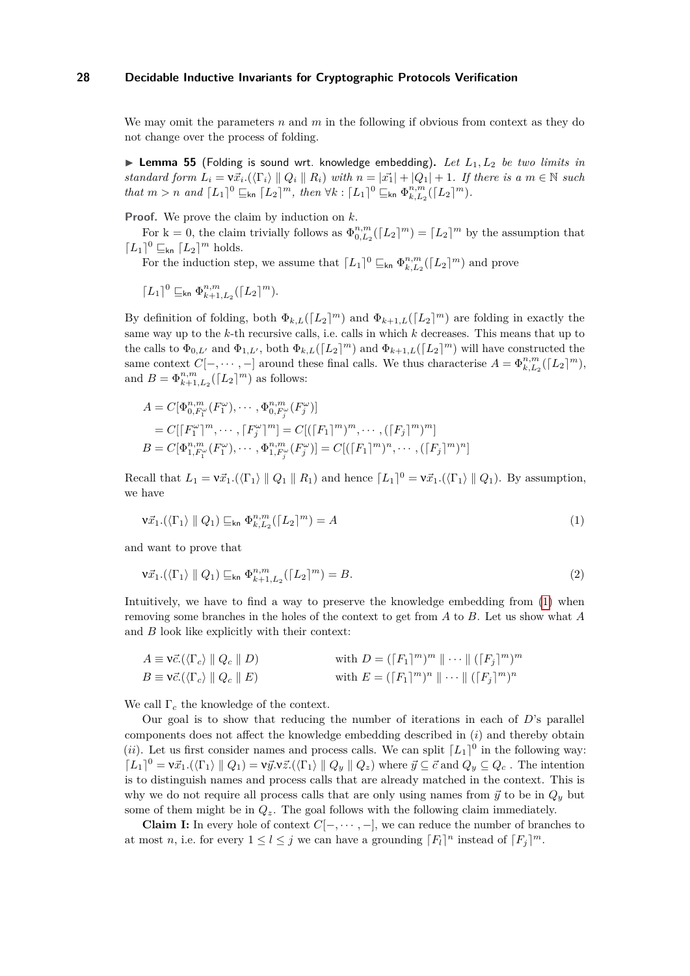We may omit the parameters *n* and *m* in the following if obvious from context as they do not change over the process of folding.

<span id="page-27-0"></span>▶ Lemma 55 (Folding is sound wrt. knowledge embedding). Let  $L_1, L_2$  be two limits in *standard form*  $L_i = \nu \vec{x}_i$ . $(\langle \Gamma_i \rangle \parallel Q_i \parallel R_i)$  *with*  $n = |\vec{x_1}| + |Q_1| + 1$ . If there is a  $m \in \mathbb{N}$  such *that*  $m > n$  *and*  $[L_1]^0 \subseteq_{\text{kn}} [L_2]^m$ , *then*  $\forall k : [L_1]^0 \subseteq_{\text{kn}} \Phi_{k, L_2}^{n, m}([L_2]^m)$ .

**Proof.** We prove the claim by induction on *k*.

For  $k = 0$ , the claim trivially follows as  $\Phi_{0,L_2}^{n,m}([L_2]^m) = [L_2]^m$  by the assumption that  $[L_1]^0 \sqsubseteq_{\mathsf{kn}} [L_2]^m$  holds.

For the induction step, we assume that  $\lceil L_1 \rceil^0 \sqsubseteq_{\text{kn}} \Phi_{k,L_2}^{n,m}(\lceil L_2 \rceil^m)$  and prove

$$
\lceil L_1 \rceil^0 \sqsubseteq_{\operatorname{kn}} \Phi_{k+1,L_2}^{n,m}(\lceil L_2 \rceil^m).
$$

By definition of folding, both  $\Phi_{k,L}([L_2]^m)$  and  $\Phi_{k+1,L}([L_2]^m)$  are folding in exactly the same way up to the *k*-th recursive calls, i.e. calls in which *k* decreases. This means that up to the calls to  $\Phi_{0,L'}$  and  $\Phi_{1,L'}$ , both  $\Phi_{k,L}([L_2]^m)$  and  $\Phi_{k+1,L}([L_2]^m)$  will have constructed the same context  $C[-, \dots, -]$  around these final calls. We thus characterise  $A = \Phi_{k,L_2}^{n,m}([L_2]^m)$ , and  $B = \Phi_{k+1,L_2}^{n,m}(\lceil L_2 \rceil^m)$  as follows:

$$
A = C[\Phi_{0, F_1^{\omega}}^{n, m} (F_1^{\omega}), \cdots, \Phi_{0, F_j^{\omega}}^{n, m} (F_j^{\omega})]
$$
  
=  $C[[F_1^{\omega}]^m, \cdots, [F_j^{\omega}]^m] = C[([F_1]^m)^m, \cdots, ([F_j]^m)^m]$   

$$
B = C[\Phi_{1, F_1^{\omega}}^{n, m} (F_1^{\omega}), \cdots, \Phi_{1, F_j^{\omega}}^{n, m} (F_j^{\omega})] = C[([F_1]^m)^n, \cdots, ([F_j]^m)^n]
$$

Recall that  $L_1 = v\vec{x}_1 \cdot (\langle \Gamma_1 \rangle \parallel Q_1 \parallel R_1)$  and hence  $[L_1]^0 = v\vec{x}_1 \cdot (\langle \Gamma_1 \rangle \parallel Q_1)$ . By assumption, we have

$$
\mathbf{V}\vec{x}_1.(\langle \Gamma_1 \rangle \parallel Q_1) \sqsubseteq_{\mathsf{kn}} \Phi_{k,L_2}^{n,m}([\mathcal{L}_2]^m) = A \tag{1}
$$

and want to prove that

$$
\mathbf{V}\vec{x}_1.(\langle \Gamma_1 \rangle \parallel Q_1) \sqsubseteq_{\mathsf{kn}} \Phi_{k+1,L_2}^{n,m}([\mathbf{L}_2]^m) = B. \tag{2}
$$

Intuitively, we have to find a way to preserve the knowledge embedding from [\(1\)](#page-25-1) when removing some branches in the holes of the context to get from *A* to *B*. Let us show what *A* and *B* look like explicitly with their context:

$$
A \equiv \mathbf{v}\vec{c}.(\langle \Gamma_c \rangle \parallel Q_c \parallel D) \qquad \text{with } D = (\lceil F_1 \rceil^m)^m \parallel \cdots \parallel (\lceil F_j \rceil^m)^m
$$
  

$$
B \equiv \mathbf{v}\vec{c}.(\langle \Gamma_c \rangle \parallel Q_c \parallel E) \qquad \text{with } E = (\lceil F_1 \rceil^m)^n \parallel \cdots \parallel (\lceil F_j \rceil^m)^n
$$

We call Γ*<sup>c</sup>* the knowledge of the context.

Our goal is to show that reducing the number of iterations in each of *D*'s parallel components does not affect the knowledge embedding described in (*i*) and thereby obtain (*ii*). Let us first consider names and process calls. We can split  $[L_1]^0$  in the following way:  $[L_1]^0 = \nu \vec{x}_1.(\langle \Gamma_1 \rangle \parallel Q_1) = \nu \vec{y}. \nu \vec{z}.(\langle \Gamma_1 \rangle \parallel Q_y \parallel Q_z)$  where  $\vec{y} \subseteq \vec{c}$  and  $Q_y \subseteq Q_c$ . The intention is to distinguish names and process calls that are already matched in the context. This is why we do not require all process calls that are only using names from  $\vec{y}$  to be in  $Q_y$  but some of them might be in *Qz*. The goal follows with the following claim immediately.

**Claim I:** In every hole of context  $C[-, \dots, -]$ , we can reduce the number of branches to at most *n*, i.e. for every  $1 \leq l \leq j$  we can have a grounding  $\lceil F_l \rceil^n$  instead of  $\lceil F_j \rceil^m$ .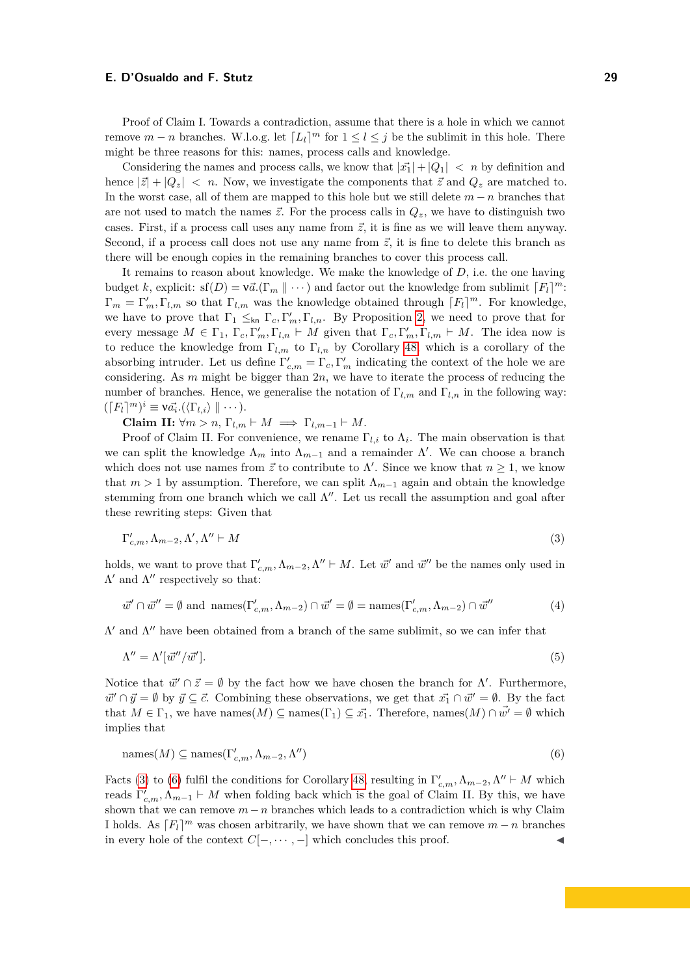Proof of Claim I. Towards a contradiction, assume that there is a hole in which we cannot remove  $m - n$  branches. W.l.o.g. let  $\lceil L_l \rceil^m$  for  $1 \leq l \leq j$  be the sublimit in this hole. There might be three reasons for this: names, process calls and knowledge.

Considering the names and process calls, we know that  $|\vec{x_1}| + |Q_1| < n$  by definition and hence  $|\vec{z}| + |Q_z| < n$ . Now, we investigate the components that  $\vec{z}$  and  $Q_z$  are matched to. In the worst case, all of them are mapped to this hole but we still delete *m* − *n* branches that are not used to match the names  $\vec{z}$ . For the process calls in  $Q_z$ , we have to distinguish two cases. First, if a process call uses any name from  $\vec{z}$ , it is fine as we will leave them anyway. Second, if a process call does not use any name from  $\vec{z}$ , it is fine to delete this branch as there will be enough copies in the remaining branches to cover this process call.

It remains to reason about knowledge. We make the knowledge of *D*, i.e. the one having budget *k*, explicit:  $\text{sf}(D) = \text{v}\vec{a}.\left(\Gamma_m \parallel \cdots\right)$  and factor out the knowledge from sublimit  $\lceil F_l \rceil^m$ :  $\Gamma_m = \Gamma'_m, \Gamma_{l,m}$  so that  $\Gamma_{l,m}$  was the knowledge obtained through  $\lceil F_l \rceil^m$ . For knowledge, we have to prove that  $\Gamma_1 \leq_{\text{kn}} \Gamma_c, \Gamma'_m, \Gamma_{l,n}$ . By Proposition [2,](#page-3-9) we need to prove that for every message  $M \in \Gamma_1$ ,  $\Gamma_c, \Gamma'_m, \Gamma_{l,n} \vdash M$  given that  $\Gamma_c, \Gamma'_m, \Gamma_{l,m} \vdash M$ . The idea now is to reduce the knowledge from  $\Gamma_{l,m}$  to  $\Gamma_{l,n}$  by Corollary [48,](#page-25-2) which is a corollary of the absorbing intruder. Let us define  $\Gamma'_{c,m} = \Gamma_c, \Gamma'_m$  indicating the context of the hole we are considering. As *m* might be bigger than 2*n*, we have to iterate the process of reducing the number of branches. Hence, we generalise the notation of Γ*l,m* and Γ*l,n* in the following way:  $(\lceil F_l \rceil^m)^i \equiv \nu \vec{a_i}. (\langle \Gamma_{l,i} \rangle \parallel \cdots).$ 

**Claim II:**  $\forall m > n$ ,  $\Gamma_{l,m} \vdash M \implies \Gamma_{l,m-1} \vdash M$ .

Proof of Claim II. For convenience, we rename  $\Gamma_{l,i}$  to  $\Lambda_i$ . The main observation is that we can split the knowledge  $\Lambda_m$  into  $\Lambda_{m-1}$  and a remainder  $\Lambda'$ . We can choose a branch which does not use names from  $\vec{z}$  to contribute to  $\Lambda'$ . Since we know that  $n \geq 1$ , we know that  $m > 1$  by assumption. Therefore, we can split  $\Lambda_{m-1}$  again and obtain the knowledge stemming from one branch which we call  $\Lambda''$ . Let us recall the assumption and goal after these rewriting steps: Given that

<span id="page-28-0"></span>
$$
\Gamma'_{c,m}, \Lambda_{m-2}, \Lambda', \Lambda'' \vdash M \tag{3}
$$

holds, we want to prove that  $\Gamma'_{c,m}$ ,  $\Lambda_{m-2}$ ,  $\Lambda'' \vdash M$ . Let  $\vec{w}'$  and  $\vec{w}''$  be the names only used in  $\Lambda'$  and  $\Lambda''$  respectively so that:

$$
\vec{w}' \cap \vec{w}'' = \emptyset \text{ and } \operatorname{names}(\Gamma'_{c,m}, \Lambda_{m-2}) \cap \vec{w}' = \emptyset = \operatorname{names}(\Gamma'_{c,m}, \Lambda_{m-2}) \cap \vec{w}''
$$
(4)

 $Λ'$  and  $Λ''$  have been obtained from a branch of the same sublimit, so we can infer that

$$
\Lambda'' = \Lambda'[\vec{w}''/\vec{w}']. \tag{5}
$$

Notice that  $\vec{w}' \cap \vec{z} = \emptyset$  by the fact how we have chosen the branch for  $\Lambda'$ . Furthermore,  $\vec{w}' \cap \vec{y} = \emptyset$  by  $\vec{y} \subseteq \vec{c}$ . Combining these observations, we get that  $\vec{x_1} \cap \vec{w}' = \emptyset$ . By the fact that  $M \in \Gamma_1$ , we have names $(M) \subseteq \text{names}(\Gamma_1) \subseteq \vec{x_1}$ . Therefore, names $(M) \cap \vec{w'} = \emptyset$  which implies that

<span id="page-28-1"></span>
$$
\text{names}(M) \subseteq \text{names}(\Gamma'_{c,m}, \Lambda_{m-2}, \Lambda'')
$$
\n<sup>(6)</sup>

<span id="page-28-2"></span>Facts [\(3\)](#page-28-0) to [\(6\)](#page-28-1) fulfil the conditions for Corollary [48,](#page-25-2) resulting in  $\Gamma'_{c,m}$ ,  $\Lambda_{m-2}$ ,  $\Lambda'' \vdash M$  which reads  $\Gamma'_{c,m}$ ,  $\Lambda_{m-1} \vdash M$  when folding back which is the goal of Claim II. By this, we have shown that we can remove  $m - n$  branches which leads to a contradiction which is why Claim I holds. As  $F_l^m$  was chosen arbitrarily, we have shown that we can remove  $m - n$  branches in every hole of the context  $C[-, \dots, -]$  which concludes this proof.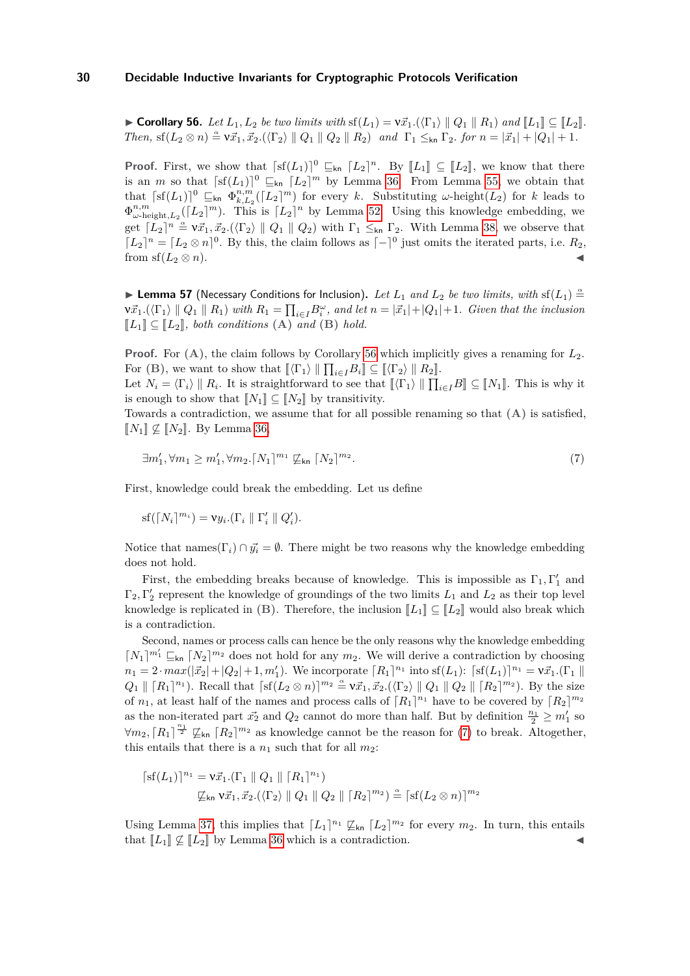► Corollary 56. Let  $L_1, L_2$  be two limits with  $\text{sf}(L_1) = \nu \vec{x}_1 \cdot (\langle \Gamma_1 \rangle \parallel Q_1 \parallel R_1)$  and  $\llbracket L_1 \rrbracket \subseteq \llbracket L_2 \rrbracket$ . *Then,*  $\text{sf}(L_2 \otimes n) \cong \nu \vec{x}_1, \vec{x}_2. (\langle \Gamma_2 \rangle \parallel Q_1 \parallel Q_2 \parallel R_2)$  *and*  $\Gamma_1 \leq_{kn} \Gamma_2$ *. for*  $n = |\vec{x}_1| + |Q_1| + 1$ *.* 

**Proof.** First, we show that  $\lceil \mathfrak{sf}(L_1) \rceil^0 \sqsubseteq_{kn} [L_2]^n$ . By  $\llbracket L_1 \rrbracket \subseteq \llbracket L_2 \rrbracket$ , we know that there is an *m* so that  $\lceil \text{sf}(L_1) \rceil^0 \subseteq_{\text{kn}} [L_2]^m$  by Lemma [36.](#page-19-4) From Lemma [55,](#page-27-0) we obtain that that  $\lceil s(f(L_1)) \rceil^0 \subseteq_{\text{kn}} \Phi_{k,L_2}^{n,m}([L_2]^m)$  for every *k*. Substituting *ω*-height(*L*<sub>2</sub>) for *k* leads to  $\Phi_{\omega-\text{height},L_2}^{n,m}([L_2]^m)$ . This is  $[L_2]^n$  by Lemma [52.](#page-26-0) Using this knowledge embedding, we get  $[L_2]^n \stackrel{\alpha}{=} \nu \vec{x}_1, \vec{x}_2.(\langle \Gamma_2 \rangle \parallel Q_1 \parallel Q_2)$  with  $\Gamma_1 \leq_{kn} \Gamma_2$ . With Lemma [38,](#page-19-8) we observe that  $[L_2]^n = [L_2 \otimes n]^0$ . By this, the claim follows as  $[-]^0$  just omits the iterated parts, i.e.  $R_2$ , from sf( $L_2 \otimes n$ ).

**Example 57** (Necessary Conditions for Inclusion). Let  $L_1$  and  $L_2$  be two limits, with sf( $L_1$ )  $\stackrel{\alpha}{=}$  $\nu\vec{x}_1 \cdot (\langle \Gamma_1 \rangle \parallel Q_1 \parallel R_1)$  with  $R_1 = \prod_{i \in I} B_i^{\omega}$ , and let  $n = |\vec{x}_1| + |Q_1| + 1$ . Given that the inclusion  $\llbracket L_1 \rrbracket \subseteq \llbracket L_2 \rrbracket$ , both conditions (A) and (B) hold.

**Proof.** For **(A)**, the claim follows by Corollary [56](#page-28-2) which implicitly gives a renaming for *L*2. For  $(B)$ , we want to show that  $[\langle \Gamma_1 \rangle || \prod_{i \in I} B_i] \subseteq [\langle \Gamma_2 \rangle || R_2]$ .

Let  $N_i = \langle \Gamma_i \rangle \parallel R_i$ . It is straightforward to see that  $[\![\langle \Gamma_1 \rangle \parallel \prod_{i \in I} B \rrbracket \subseteq [\![N_1]\!]$ . This is why it is appear to show that  $[\![N]\!] \subset [\![N]\!]$  by transitivity. is enough to show that  $\llbracket N_1 \rrbracket \subseteq \llbracket N_2 \rrbracket$  by transitivity.

Towards a contradiction, we assume that for all possible renaming so that **(A)** is satisfied,  $\llbracket N_1 \rrbracket$  ⊄  $\llbracket N_2 \rrbracket$ . By Lemma [36,](#page-19-4)

<span id="page-29-0"></span>
$$
\exists m'_1, \forall m_1 \ge m'_1, \forall m_2. \left[N_1\right]^{m_1} \not\sqsubseteq_{\mathsf{kn}} \left[N_2\right]^{m_2}.\tag{7}
$$

First, knowledge could break the embedding. Let us define

$$
\mathrm{sf}(\lceil N_i\rceil^{m_i}) = \mathsf{v}y_i.(\Gamma_i \parallel \Gamma'_i \parallel Q'_i).
$$

Notice that names( $\Gamma_i$ )  $\cap$   $\vec{y}_i = \emptyset$ . There might be two reasons why the knowledge embedding does not hold.

First, the embedding breaks because of knowledge. This is impossible as  $\Gamma_1, \Gamma'_1$  and  $\Gamma_2, \Gamma'_2$  represent the knowledge of groundings of the two limits  $L_1$  and  $L_2$  as their top level knowledge is replicated in (B). Therefore, the inclusion  $\llbracket L_1 \rrbracket \subseteq \llbracket L_2 \rrbracket$  would also break which is a contradiction.

Second, names or process calls can hence be the only reasons why the knowledge embedding  $[N_1]^{m'_1} \sqsubseteq_{\mathsf{kn}} [N_2]^{m_2}$  does not hold for any  $m_2$ . We will derive a contradiction by choosing  $n_1 = 2 \cdot max(|\vec{x}_2| + |Q_2| + 1, m'_1)$ . We incorporate  $[R_1]^{n_1}$  into  $sf(L_1): [sf(L_1)]^{n_1} = \nu \vec{x}_1$ .(Γ<sub>1</sub> ||  $Q_1 \parallel [R_1]^{n_1}$ ). Recall that  $\lceil \text{sf}(L_2 \otimes n) \rceil^{m_2} \stackrel{\alpha}{=} \nu \vec{x}_1, \vec{x}_2. (\langle \Gamma_2 \rangle \parallel Q_1 \parallel Q_2 \parallel [R_2]^{m_2}$ ). By the size of  $n_1$ , at least half of the names and process calls of  $\lceil R_1 \rceil^{n_1}$  have to be covered by  $\lceil R_2 \rceil^{m_2}$ as the non-iterated part  $\vec{x_2}$  and  $Q_2$  cannot do more than half. But by definition  $\frac{n_1}{2} \geq m'_1$  so  $\forall m_2, [R_1]^{\frac{n_1}{2}} \not\sqsubseteq_{\sf kn} [R_2]^{m_2}$  as knowledge cannot be the reason for [\(7\)](#page-29-0) to break. Altogether, this entails that there is a  $n_1$  such that for all  $m_2$ :

$$
\begin{aligned} \left[ \mathrm{sf}(L_1) \right]^{n_1} &= \mathsf{v} \vec{x}_1 . (\Gamma_1 \parallel Q_1 \parallel [R_1]^{n_1}) \\ &\not\sqsubseteq_{\mathsf{kn}} \mathsf{v} \vec{x}_1, \vec{x}_2 . (\langle \Gamma_2 \rangle \parallel Q_1 \parallel Q_2 \parallel [R_2]^{m_2}) \stackrel{\alpha}{=} \left[ \mathrm{sf}(L_2 \otimes n) \right]^{m_2} \end{aligned}
$$

Using Lemma [37,](#page-19-5) this implies that  $\lceil L_1 \rceil^{n_1} \not\sqsubseteq_{kn} \lceil L_2 \rceil^{m_2}$  for every  $m_2$ . In turn, this entails that  $\llbracket L_1 \rrbracket \nsubseteq \llbracket L_2 \rrbracket$  by Lemma [36](#page-19-4) which is a contradiction.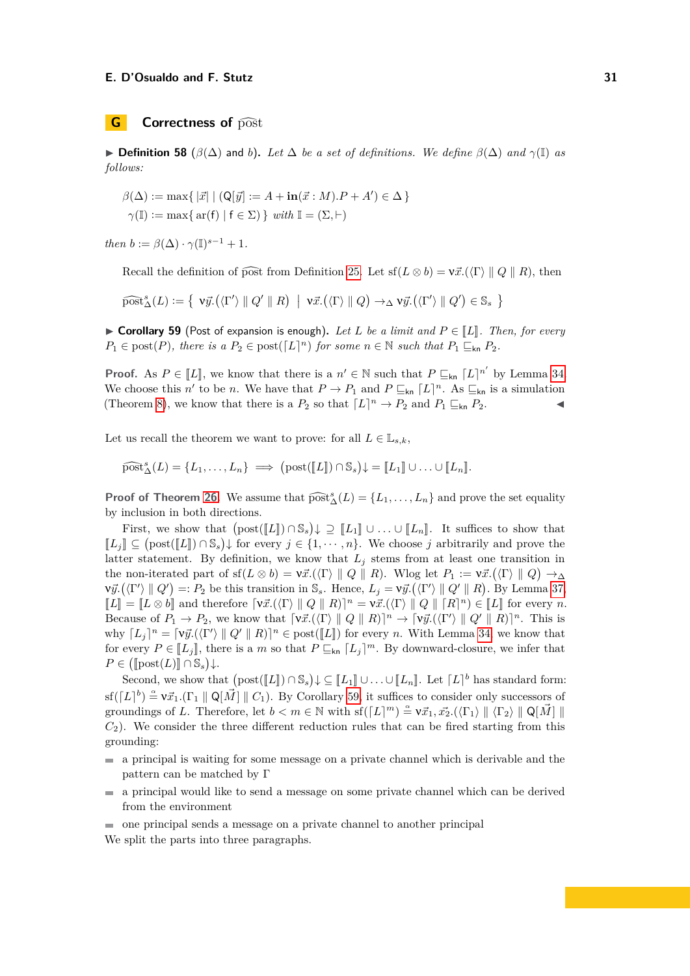# **G Correctness of**  $\widehat{\text{post}}$

 $\triangleright$  **Definition 58** ( $\beta$ ( $\Delta$ ) and *b*). Let  $\Delta$  *be a set of definitions. We define*  $\beta$ ( $\Delta$ ) *and*  $\gamma$ (I) *as follows:*

$$
\beta(\Delta) := \max\{ |\vec{x}| | (Q[\vec{y}] := A + in(\vec{x} : M).P + A') \in \Delta \}
$$
  

$$
\gamma(\mathbb{I}) := \max\{ ar(f) | f \in \Sigma \} \text{ with } \mathbb{I} = (\Sigma, \vdash)
$$

*then*  $b := \beta(\Delta) \cdot \gamma(\mathbb{I})^{s-1} + 1$ *.* 

Recall the definition of post from Definition [25.](#page-13-3) Let  $\text{sf}(L \otimes b) = \text{v}\vec{x}$ .( $\langle \Gamma \rangle \parallel Q \parallel R$ ), then

$$
\widehat{\text{post}}_{\Delta}^s(L) := \left\{ \ \nabla \vec{y}. (\langle \Gamma' \rangle \parallel Q' \parallel R) \ \mid \ \nabla \vec{x}. (\langle \Gamma \rangle \parallel Q) \rightarrow_{\Delta} \nabla \vec{y}. (\langle \Gamma' \rangle \parallel Q') \in \mathbb{S}_s \ \right\}
$$

<span id="page-30-0"></span>▶ **Corollary 59** (Post of expansion is enough). Let *L* be a limit and  $P \in \llbracket L \rrbracket$ . Then, for every  $P_1 \in \text{post}(P)$ , there is a  $P_2 \in \text{post}([L]^n)$  for some  $n \in \mathbb{N}$  such that  $P_1 \sqsubseteq_{\text{kn}} P_2$ .

**Proof.** As  $P \in [L]$ , we know that there is a  $n' \in \mathbb{N}$  such that  $P \sqsubseteq_{kn} [L]^{n'}$  by Lemma [34.](#page-19-1) We choose this *n'* to be *n*. We have that  $P \to P_1$  and  $P \sqsubseteq_{\mathsf{kn}} [L]^n$ . As  $\sqsubseteq_{\mathsf{kn}}$  is a simulation (Theorem [8\)](#page-5-4), we know that there is a  $P_2$  so that  $\lceil L \rceil^n \to P_2$  and  $P_1 \sqsubseteq_{\mathsf{kn}} P_2$ .

Let us recall the theorem we want to prove: for all  $L \in \mathbb{L}_{s,k}$ ,

$$
\widehat{\text{post}}_{\Delta}^s(L) = \{L_1, \ldots, L_n\} \implies (\text{post}([\![L]\!]) \cap \mathbb{S}_s) \downarrow = [\![L_1]\!] \cup \ldots \cup [\![L_n]\!].
$$

**Proof of Theorem [26.](#page-13-4)** We assume that  $\widehat{\text{post}}_{\Delta}^{s}(L) = \{L_1, \ldots, L_n\}$  and prove the set equality by inclusion in both directions. by inclusion in both directions.

First, we show that  $(\text{post}([L]) \cap \mathbb{S}_s) \downarrow \supseteq [L_1] \cup \ldots \cup [L_n]$ . It suffices to show that  $\mathbb{R} \subset (\text{next}(\mathbb{F}_s) \cap \mathbb{S}_s) \downarrow \subseteq \text{next}(\mathbb{F}_s)$  $[L_j] ⊆ (post([L]) ∩ S_s)$  for every  $j ∈ \{1, \dots, n\}$ . We choose *j* arbitrarily and prove the latter at temperature By definition we linear that *L*, stems from at least are transition in latter statement. By definition, we know that  $L_j$  stems from at least one transition in the non-iterated part of  $\text{sf}(L \otimes b) = \nu \vec{x}.(\langle \Gamma \rangle \parallel Q \parallel R)$ . Wlog let  $P_1 := \nu \vec{x}.(\langle \Gamma \rangle \parallel Q) \rightarrow_{\Delta}$  $\nabla \vec{y}. (\langle \Gamma' \rangle \parallel Q') =: P_2$  be this transition in S<sub>s</sub>. Hence,  $L_j = \nabla \vec{y}. (\langle \Gamma' \rangle \parallel Q' \parallel R)$ . By Lemma [37,](#page-19-5)  $[L] = [L \otimes b]$  and therefore  $[\nabla \vec{x}.(\langle \Gamma \rangle \parallel Q \parallel R)]^n = \nabla \vec{x}.(\langle \Gamma \rangle \parallel Q \parallel [R]^n) \in [L]$  for every *n*.<br> *Resource* of *R*<sub>ph</sub> and logical formation is  $[\nabla \vec{x}.(\langle \Gamma \rangle \parallel Q \parallel R)]^n$ ,  $[\nabla \vec{x}.(\langle \Gamma \rangle \parallel Q \parallel R)]^n$ , This is Because of  $P_1 \to P_2$ , we know that  $[\nabla \vec{x}.(\langle \Gamma \rangle \parallel Q \parallel R)]^n \to [\nabla \vec{y}.(\langle \Gamma' \rangle \parallel Q' \parallel R)]^n$ . This is why  $[L_j]^n = [\nu \vec{y}.(\langle \Gamma' \rangle \parallel Q' \parallel R)]^n \in \text{post}([L])$  for every *n*. With Lemma [34,](#page-19-1) we know that for every  $P \in [L_j]$ , there is a *m* so that  $P \sqsubseteq_{\mathsf{kn}} [L_j]^m$ . By downward-closure, we infer that  $P \subseteq (\mathbb{F}_{\text{post}}(L) \mathbb{F}_{\text{post}} \setminus L)$  $P \in (\llbracket \text{post}(L) \rrbracket \cap \mathbb{S}_s) \downarrow.$ 

Second, we show that  $(post([L]) \cap S_s) \downarrow \subseteq [L_1] \cup \ldots \cup [L_n]$ . Let  $[L]^b$  has standard form:  $\operatorname{sf}([L]^b) \stackrel{\alpha}{=} \nu \vec{x}_1.(\Gamma_1 \|\mathbf{Q}[\vec{M}] \| C_1)$ . By Corollary [59,](#page-30-0) it suffices to consider only successors of groundings of *L*. Therefore, let  $b < m \in \mathbb{N}$  with  $\text{sf}([L]^m) \stackrel{\alpha}{=} \mathsf{v} \vec{x}_1, \vec{x_2}.(\langle \Gamma_1 \rangle \parallel \langle \Gamma_2 \rangle \parallel \mathsf{Q}[\vec{M}] \parallel$  $C_2$ ). We consider the three different reduction rules that can be fired starting from this grounding:

- a principal is waiting for some message on a private channel which is derivable and the pattern can be matched by Γ
- $\blacksquare$  a principal would like to send a message on some private channel which can be derived from the environment
- one principal sends a message on a private channel to another principal

We split the parts into three paragraphs.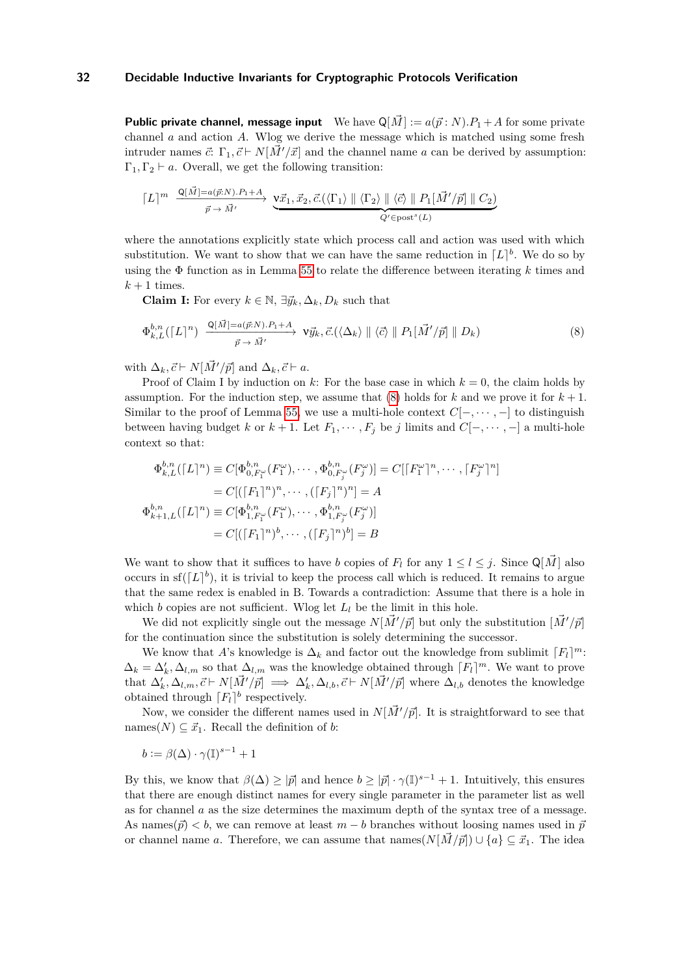**Public private channel, message input** We have  $\mathbb{Q}[\vec{M}] := a(\vec{p}:N) \cdot P_1 + A$  for some private channel *a* and action *A*. Wlog we derive the message which is matched using some fresh intruder names  $\vec{c}: \Gamma_1, \vec{c} \vdash N[M'/\vec{x}]$  and the channel name *a* can be derived by assumption:  $\Gamma_1, \Gamma_2 \vdash a$ . Overall, we get the following transition:

$$
\lceil L \rceil^m \xrightarrow{\mathsf{Q}[\vec{M}] = a(\vec{p}:N).P_1 + A} \underbrace{\mathsf{V}\vec{x}_1, \vec{x}_2, \vec{c}. (\langle \Gamma_1 \rangle \parallel \langle \Gamma_2 \rangle \parallel \langle \vec{c} \rangle \parallel P_1[\vec{M}'/\vec{p}] \parallel C_2)}_{Q' \in \text{post}^s(L)}
$$

where the annotations explicitly state which process call and action was used with which substitution. We want to show that we can have the same reduction in  $[L]^{b}$ . We do so by using the Φ function as in Lemma [55](#page-27-0) to relate the difference between iterating *k* times and  $k+1$  times.

<span id="page-31-0"></span>**Claim I:** For every  $k \in \mathbb{N}$ ,  $\exists \vec{y}_k, \Delta_k, D_k$  such that

$$
\Phi_{k,L}^{b,n}(\lceil L\rceil^n) \xrightarrow{\mathbf{Q}[\vec{M}]=a(\vec{p}:N).P_1+A} \mathbf{V}\vec{y}_k, \vec{c}.(\langle \Delta_k \rangle \parallel \langle \vec{c} \rangle \parallel P_1[\vec{M}'/\vec{p}] \parallel D_k)
$$
\n(8)

with  $\Delta_k$ ,  $\vec{c} \vdash N[\vec{M}'/\vec{p}]$  and  $\Delta_k$ ,  $\vec{c} \vdash a$ .

Proof of Claim I by induction on  $k$ : For the base case in which  $k = 0$ , the claim holds by assumption. For the induction step, we assume that  $(8)$  holds for *k* and we prove it for  $k+1$ . Similar to the proof of Lemma [55,](#page-27-0) we use a multi-hole context  $C[-, \dots, -]$  to distinguish between having budget *k* or  $k + 1$ . Let  $F_1, \dots, F_j$  be *j* limits and  $C[-, \dots, -]$  a multi-hole context so that:

$$
\Phi_{k,L}^{b,n}([L]^n) \equiv C[\Phi_{0,F_1^{\omega}}^{b,n}(F_1^{\omega}), \cdots, \Phi_{0,F_j^{\omega}}^{b,n}(F_j^{\omega})] = C[[F_1^{\omega}]^n, \cdots, [F_j^{\omega}]^n]
$$
  
\n
$$
= C[([F_1]^n)^n, \cdots, ([F_j]^n)^n] = A
$$
  
\n
$$
\Phi_{k+1,L}^{b,n}([L]^n) \equiv C[\Phi_{1,F_1^{\omega}}^{b,n}(F_1^{\omega}), \cdots, \Phi_{1,F_j^{\omega}}^{b,n}(F_j^{\omega})]
$$
  
\n
$$
= C[([F_1]^n)^b, \cdots, ([F_j]^n)^b] = B
$$

We want to show that it suffices to have *b* copies of  $F_l$  for any  $1 \leq l \leq j$ . Since  $\mathbb{Q}[\tilde{M}]$  also occurs in  $\text{sf}([L]^b)$ , it is trivial to keep the process call which is reduced. It remains to argue that the same redex is enabled in B. Towards a contradiction: Assume that there is a hole in which  $b$  copies are not sufficient. Wlog let  $L_l$  be the limit in this hole.

We did not explicitly single out the message  $N[\tilde{M}'/\tilde{p}]$  but only the substitution  $[\tilde{M}'/\tilde{p}]$ for the continuation since the substitution is solely determining the successor.

We know that *A*'s knowledge is  $\Delta_k$  and factor out the knowledge from sublimit  $\lceil F_l \rceil^m$ :  $\Delta_k = \Delta'_k, \Delta_{l,m}$  so that  $\Delta_{l,m}$  was the knowledge obtained through  $\lceil F_l \rceil^m$ . We want to prove that  $\Delta'_k$ ,  $\Delta_{l,m}$ ,  $\vec{c} \vdash N[\vec{M}'/\vec{p}] \implies \Delta'_k$ ,  $\Delta_{l,b}$ ,  $\vec{c} \vdash N[\vec{M}'/\vec{p}]$  where  $\Delta_{l,b}$  denotes the knowledge obtained through  $F_l$ <sup>b</sup> respectively.

Now, we consider the different names used in  $N[\vec{M}'/\vec{p}]$ . It is straightforward to see that names( $N$ )  $\subseteq$   $\vec{x}_1$ . Recall the definition of *b*:

$$
b := \beta(\Delta) \cdot \gamma(\mathbb{I})^{s-1} + 1
$$

By this, we know that  $\beta(\Delta) \geq |\vec{p}|$  and hence  $b \geq |\vec{p}| \cdot \gamma(\mathbb{I})^{s-1} + 1$ . Intuitively, this ensures that there are enough distinct names for every single parameter in the parameter list as well as for channel *a* as the size determines the maximum depth of the syntax tree of a message. As names( $\vec{p}$ ) < *b*, we can remove at least  $m - b$  branches without loosing names used in  $\vec{p}$ or channel name *a*. Therefore, we can assume that names $(N[\vec{M}/\vec{p}]) \cup \{a\} \subseteq \vec{x}_1$ . The idea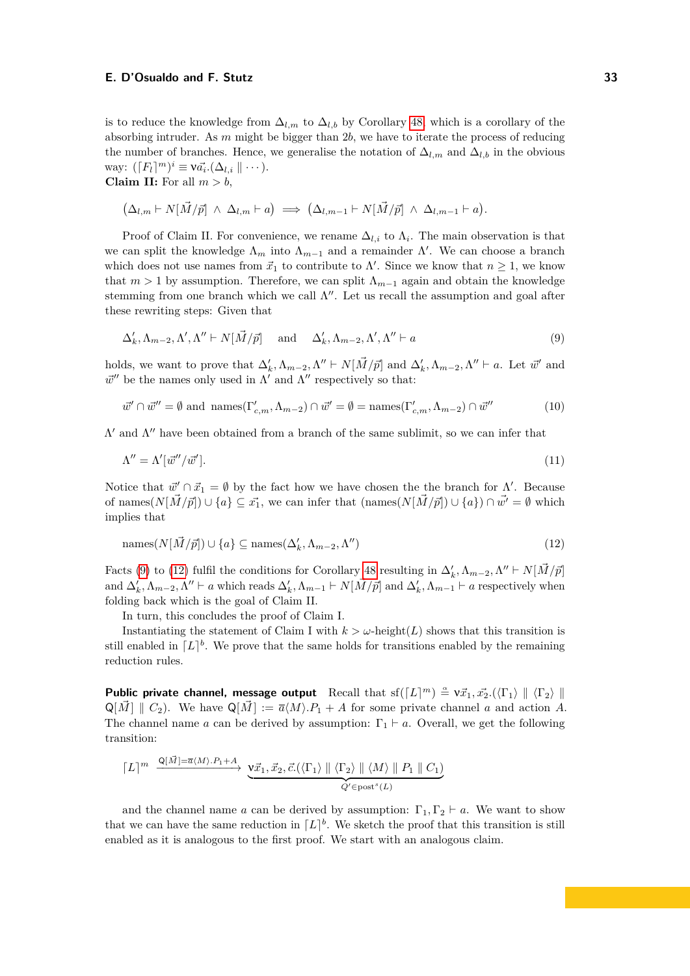is to reduce the knowledge from  $\Delta_{l,m}$  to  $\Delta_{l,b}$  by Corollary [48,](#page-25-2) which is a corollary of the absorbing intruder. As *m* might be bigger than 2*b*, we have to iterate the process of reducing the number of branches. Hence, we generalise the notation of  $\Delta_{l,m}$  and  $\Delta_{l,b}$  in the obvious way:  $(\lceil F_l \rceil^m)^i \equiv \mathsf{v} \vec{a_i}.(\Delta_{l,i} \parallel \cdots).$ **Claim II:** For all  $m > b$ ,

$$
\left(\Delta_{l,m}\vdash N[\vec{M}/\vec{p}]\;\wedge\;\Delta_{l,m}\vdash a\right)\;\Longrightarrow\; \left(\Delta_{l,m-1}\vdash N[\vec{M}/\vec{p}]\;\wedge\;\Delta_{l,m-1}\vdash a\right).
$$

Proof of Claim II. For convenience, we rename  $\Delta_{l,i}$  to  $\Lambda_i$ . The main observation is that we can split the knowledge  $\Lambda_m$  into  $\Lambda_{m-1}$  and a remainder  $\Lambda'$ . We can choose a branch which does not use names from  $\vec{x}_1$  to contribute to  $\Lambda'$ . Since we know that  $n \geq 1$ , we know that  $m > 1$  by assumption. Therefore, we can split  $\Lambda_{m-1}$  again and obtain the knowledge stemming from one branch which we call  $\Lambda''$ . Let us recall the assumption and goal after these rewriting steps: Given that

<span id="page-32-0"></span>
$$
\Delta'_k, \Lambda_{m-2}, \Lambda', \Lambda'' \vdash N[\vec{M}/\vec{p}] \quad \text{and} \quad \Delta'_k, \Lambda_{m-2}, \Lambda', \Lambda'' \vdash a \tag{9}
$$

holds, we want to prove that  $\Delta'_k$ ,  $\Lambda_{m-2}$ ,  $\Lambda'' \vdash N[\vec{M}/\vec{p}]$  and  $\Delta'_k$ ,  $\Lambda_{m-2}$ ,  $\Lambda'' \vdash a$ . Let  $\vec{w}'$  and  $\vec{w}''$  be the names only used in  $\Lambda'$  and  $\Lambda''$  respectively so that:

$$
\vec{w}' \cap \vec{w}'' = \emptyset \text{ and } \operatorname{names}(\Gamma'_{c,m}, \Lambda_{m-2}) \cap \vec{w}' = \emptyset = \operatorname{names}(\Gamma'_{c,m}, \Lambda_{m-2}) \cap \vec{w}'' \tag{10}
$$

 $Λ'$  and  $Λ''$  have been obtained from a branch of the same sublimit, so we can infer that

$$
\Lambda'' = \Lambda'[\vec{w}''/\vec{w}']. \tag{11}
$$

Notice that  $\vec{w}' \cap \vec{x}_1 = \emptyset$  by the fact how we have chosen the the branch for  $\Lambda'$ . Because of names $(N[\vec{M}/\vec{p}]) \cup \{a\} \subseteq \vec{x_1}$ , we can infer that  $(\text{names}(N[\vec{M}/\vec{p}]) \cup \{a\}) \cap \vec{w'} = \emptyset$  which implies that

<span id="page-32-1"></span>
$$
\text{names}(N[\vec{M}/\vec{p}]) \cup \{a\} \subseteq \text{names}(\Delta'_k, \Lambda_{m-2}, \Lambda'')
$$
\n(12)

Facts [\(9\)](#page-32-0) to [\(12\)](#page-32-1) fulfil the conditions for Corollary [48](#page-25-2) resulting in  $\Delta'_k$ ,  $\Lambda_{m-2}$ ,  $\Lambda'' \vdash N[\vec{M}/\vec{p}]$ and  $\Delta'_k$ ,  $\Lambda_{m-2}$ ,  $\Lambda'' \vdash a$  which reads  $\Delta'_k$ ,  $\Lambda_{m-1} \vdash N[\vec{M}/\vec{p}]$  and  $\Delta'_k$ ,  $\Lambda_{m-1} \vdash a$  respectively when folding back which is the goal of Claim II.

In turn, this concludes the proof of Claim I.

Instantiating the statement of Claim I with  $k > \omega$ -height(*L*) shows that this transition is still enabled in  $[L]$ <sup>b</sup>. We prove that the same holds for transitions enabled by the remaining reduction rules.

**Public private channel, message output** Recall that  $\text{sf}([L]^m) \triangleq \forall \vec{x}_1, \vec{x}_2. (\langle \Gamma_1 \rangle \parallel \langle \Gamma_2 \rangle \parallel$  $Q[\vec{M}] \parallel C_2$ . We have  $Q[\vec{M}] := \overline{a}(M) \cdot P_1 + A$  for some private channel *a* and action *A*. The channel name *a* can be derived by assumption:  $\Gamma_1 \vdash a$ . Overall, we get the following transition:

$$
\lceil L \rceil^m \xrightarrow{\mathsf{Q}[\vec{M}]=\overline{a}\langle M \rangle.P_1+A} \underbrace{\mathsf{v}\vec{x}_1,\vec{x}_2,\vec{c}.\big(\langle \Gamma_1 \rangle \parallel \langle \Gamma_2 \rangle \parallel \langle M \rangle \parallel P_1 \parallel C_1 \big)}_{Q' \in \text{post}^s(L)}
$$

and the channel name *a* can be derived by assumption:  $\Gamma_1, \Gamma_2 \vdash a$ . We want to show that we can have the same reduction in  $[L]^{b}$ . We sketch the proof that this transition is still enabled as it is analogous to the first proof. We start with an analogous claim.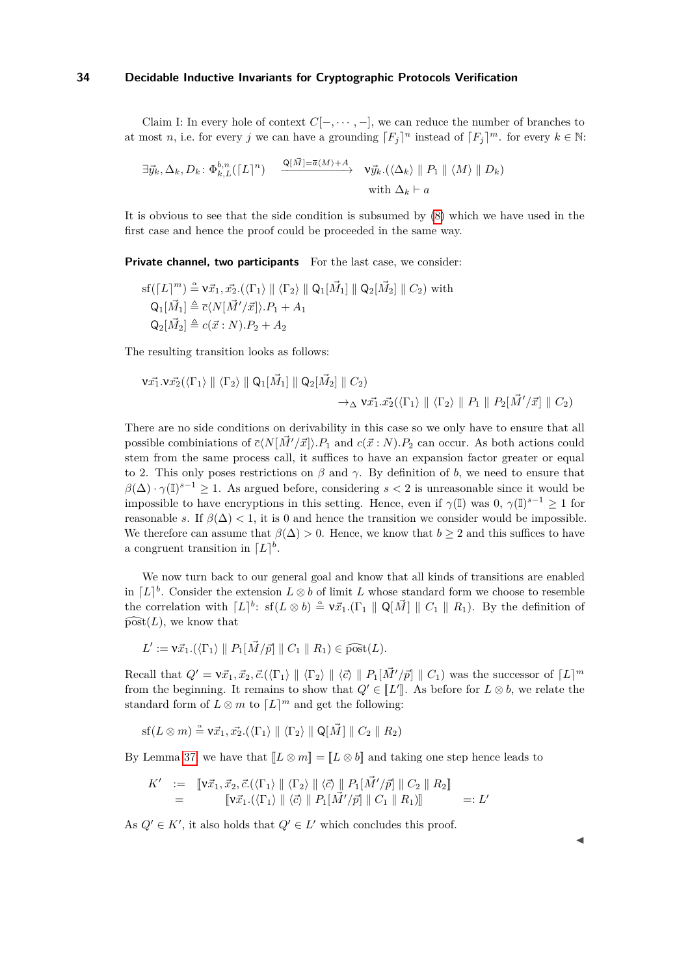Claim I: In every hole of context *C*[−*,* · · · *,* −], we can reduce the number of branches to at most *n*, i.e. for every *j* we can have a grounding  $[F_j]^n$  instead of  $[F_j]^m$ . for every  $k \in \mathbb{N}$ :

$$
\exists \vec{y}_k, \Delta_k, D_k \colon \Phi_{k,L}^{b,n}([\![L]\!]^n) \xrightarrow{\mathbb{Q}[\![\vec{M}]\!] = \overline{a}\langle M \rangle + A} \mathsf{v}\vec{y}_k.(\langle \Delta_k \rangle \parallel P_1 \parallel \langle M \rangle \parallel D_k)
$$
  
with  $\Delta_k \vdash a$ 

It is obvious to see that the side condition is subsumed by [\(8\)](#page-31-0) which we have used in the first case and hence the proof could be proceeded in the same way.

**Private channel, two participants** For the last case, we consider:

$$
\text{sf}(\lceil L\rceil^m) \triangleq \mathbf{v}\vec{x}_1, \vec{x}_2.(\langle \Gamma_1 \rangle \parallel \langle \Gamma_2 \rangle \parallel \mathbf{Q}_1[\vec{M}_1] \parallel \mathbf{Q}_2[\vec{M}_2] \parallel C_2) \text{ with}
$$
  
\n
$$
\mathbf{Q}_1[\vec{M}_1] \triangleq \overline{c}\langle N[\vec{M}'/\vec{x}] \rangle \cdot P_1 + A_1
$$
  
\n
$$
\mathbf{Q}_2[\vec{M}_2] \triangleq c(\vec{x}:N) \cdot P_2 + A_2
$$

The resulting transition looks as follows:

$$
\mathbf{v}\vec{x_1}.\mathbf{v}\vec{x_2}(\langle \Gamma_1 \rangle \parallel \langle \Gamma_2 \rangle \parallel \mathsf{Q}_1[\vec{M}_1] \parallel \mathsf{Q}_2[\vec{M}_2] \parallel C_2)
$$
  

$$
\rightarrow_{\Delta} \mathbf{v}\vec{x_1}.\vec{x_2}(\langle \Gamma_1 \rangle \parallel \langle \Gamma_2 \rangle \parallel P_1 \parallel P_2[\vec{M}'/\vec{x}] \parallel C_2)
$$

There are no side conditions on derivability in this case so we only have to ensure that all possible combiniations of  $\bar{c}\langle N|\vec{M}'/\vec{x}\rangle$ .  $P_1$  and  $c(\vec{x}:N)$ .  $P_2$  can occur. As both actions could stem from the same process call, it suffices to have an expansion factor greater or equal to 2. This only poses restrictions on  $\beta$  and  $\gamma$ . By definition of *b*, we need to ensure that  $\beta(\Delta) \cdot \gamma(\mathbb{I})^{s-1} \geq 1$ . As argued before, considering *s* < 2 is unreasonable since it would be impossible to have encryptions in this setting. Hence, even if  $\gamma(\mathbb{I})$  was  $0, \gamma(\mathbb{I})^{s-1} \geq 1$  for reasonable *s*. If  $\beta(\Delta) < 1$ , it is 0 and hence the transition we consider would be impossible. We therefore can assume that  $\beta(\Delta) > 0$ . Hence, we know that  $b \geq 2$  and this suffices to have a congruent transition in  $[L]^{b}$ .

We now turn back to our general goal and know that all kinds of transitions are enabled in  $[L]$ <sup>b</sup>. Consider the extension  $L \otimes b$  of limit *L* whose standard form we choose to resemble the correlation with  $[L]^b$ : sf( $L \otimes b$ )  $\stackrel{\alpha}{=} \nu \vec{x}_1 \cdot (\Gamma_1 \parallel \mathsf{Q}[\vec{M}] \parallel C_1 \parallel R_1)$ . By the definition of  $\widehat{\text{post}}(L)$ , we know that

$$
L' := \mathbf{V} \vec{x}_1.(\langle \Gamma_1 \rangle \parallel P_1[\vec{M}/\vec{p}] \parallel C_1 \parallel R_1) \in \widehat{\text{post}}(L).
$$

Recall that  $Q' = v\vec{x}_1, \vec{x}_2, \vec{c}.\langle \langle \Gamma_1 \rangle \parallel \langle \Gamma_2 \rangle \parallel \langle \vec{c} \rangle \parallel P_1[\vec{M}'/\vec{p}] \parallel C_1$  was the successor of  $[L]^m$ from the beginning. It remains to show that  $Q' \in [L']$ . As before for  $L \otimes b$ , we relate the standard form of  $L \otimes m$  to  $\lceil L \rceil^m$  and get the following:

$$
\mathrm{sf}(L\otimes m)\stackrel{\alpha}{=} \mathsf{V}\vec{x}_1, \vec{x_2}.(\langle \Gamma_1\rangle \parallel \langle \Gamma_2\rangle \parallel \mathsf{Q}[\vec{M}] \parallel C_2 \parallel R_2)
$$

By Lemma [37,](#page-19-5) we have that  $\llbracket L \otimes m \rrbracket = \llbracket L \otimes b \rrbracket$  and taking one step hence leads to

$$
K' := \llbracket \mathbf{V}\vec{x}_1, \vec{x}_2, \vec{c}.\langle \langle \Gamma_1 \rangle \parallel \langle \Gamma_2 \rangle \parallel \langle \vec{c} \rangle \parallel P_1[\vec{M}'/\vec{p}] \parallel C_2 \parallel R_2 \rrbracket
$$
  
= 
$$
\llbracket \mathbf{V}\vec{x}_1.(\langle \Gamma_1 \rangle \parallel \langle \vec{c} \rangle \parallel P_1[\vec{M}'/\vec{p}] \parallel C_1 \parallel R_1) \rrbracket =: L'
$$

As  $Q' \in K'$ , it also holds that  $Q' \in L'$  which concludes this proof.

J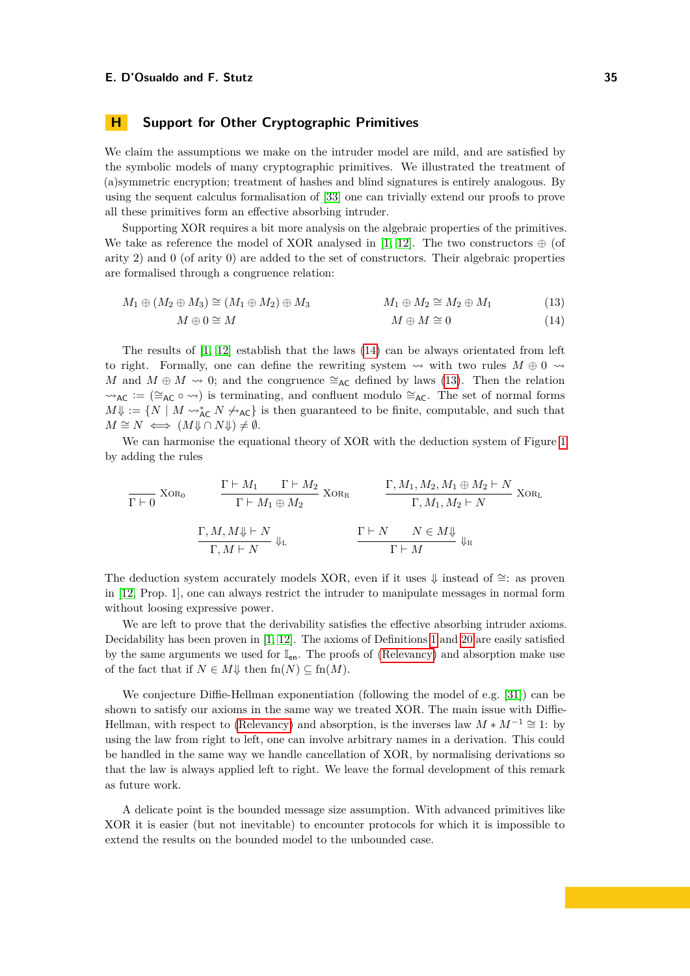# <span id="page-34-0"></span>**H Support for Other Cryptographic Primitives**

We claim the assumptions we make on the intruder model are mild, and are satisfied by the symbolic models of many cryptographic primitives. We illustrated the treatment of (a)symmetric encryption; treatment of hashes and blind signatures is entirely analogous. By using the sequent calculus formalisation of [\[33\]](#page-17-10) one can trivially extend our proofs to prove all these primitives form an effective absorbing intruder.

Supporting XOR requires a bit more analysis on the algebraic properties of the primitives. We take as reference the model of XOR analysed in [\[1,](#page-16-16) [12\]](#page-16-17). The two constructors  $\oplus$  (of arity 2) and 0 (of arity 0) are added to the set of constructors. Their algebraic properties are formalised through a congruence relation:

$$
M_1 \oplus (M_2 \oplus M_3) \cong (M_1 \oplus M_2) \oplus M_3 \qquad \qquad M_1 \oplus M_2 \cong M_2 \oplus M_1 \qquad (13)
$$

<span id="page-34-2"></span><span id="page-34-1"></span>
$$
M \oplus 0 \cong M \qquad \qquad M \oplus M \cong 0 \qquad \qquad (14)
$$

The results of  $[1, 12]$  $[1, 12]$  $[1, 12]$  establish that the laws  $(14)$  can be always orientated from left to right. Formally, one can define the rewriting system  $\rightsquigarrow$  with two rules  $M \oplus 0 \rightsquigarrow$ *M* and  $M \oplus M \rightsquigarrow 0$ ; and the congruence  $\cong_{AC}$  defined by laws [\(13\)](#page-34-2). Then the relation  $\sim$ <sub>AC</sub> := (≅<sub>AC</sub> ∘  $\sim$ ) is terminating, and confluent modulo ≅<sub>AC</sub>. The set of normal forms  $M\psi := \{N \mid M \leadsto_{AC}^* N \not\leadsto_{AC}\}$  is then guaranteed to be finite, computable, and such that  $M \cong N \iff (M \Downarrow \cap N \Downarrow) \neq \emptyset.$ 

We can harmonise the equational theory of XOR with the deduction system of Figure [1](#page-3-0) by adding the rules

$$
\frac{\Gamma \vdash M_1 \quad \Gamma \vdash M_2}{\Gamma \vdash 0} \text{ XOR}_0 \qquad \frac{\Gamma \vdash M_1 \quad \Gamma \vdash M_2}{\Gamma \vdash M_1 \oplus M_2} \text{ XOR}_R \qquad \frac{\Gamma, M_1, M_2, M_1 \oplus M_2 \vdash N}{\Gamma, M_1, M_2 \vdash N} \text{ XOR}_L
$$
\n
$$
\frac{\Gamma, M, M \Downarrow \vdash N}{\Gamma, M \vdash N} \Downarrow_L \qquad \frac{\Gamma \vdash N \qquad N \in M \Downarrow}{\Gamma \vdash M} \Downarrow_R
$$

The deduction system accurately models XOR, even if it uses  $\Downarrow$  instead of ≅: as proven in [\[12,](#page-16-17) Prop. 1], one can always restrict the intruder to manipulate messages in normal form without loosing expressive power.

We are left to prove that the derivability satisfies the effective absorbing intruder axioms. Decidability has been proven in [\[1,](#page-16-16) [12\]](#page-16-17). The axioms of Definitions [1](#page-2-7) and [20](#page-11-2) are easily satisfied by the same arguments we used for  $\mathbb{I}_{en}$ . The proofs of [\(Relevancy\)](#page-2-6) and absorption make use of the fact that if  $N \in M \downarrow$  then  $\text{fn}(N) \subseteq \text{fn}(M)$ .

We conjecture Diffie-Hellman exponentiation (following the model of e.g. [\[31\]](#page-17-13)) can be shown to satisfy our axioms in the same way we treated XOR. The main issue with Diffie-Hellman, with respect to [\(Relevancy\)](#page-2-6) and absorption, is the inverses law  $M * M^{-1} \cong 1$ : by using the law from right to left, one can involve arbitrary names in a derivation. This could be handled in the same way we handle cancellation of XOR, by normalising derivations so that the law is always applied left to right. We leave the formal development of this remark as future work.

A delicate point is the bounded message size assumption. With advanced primitives like XOR it is easier (but not inevitable) to encounter protocols for which it is impossible to extend the results on the bounded model to the unbounded case.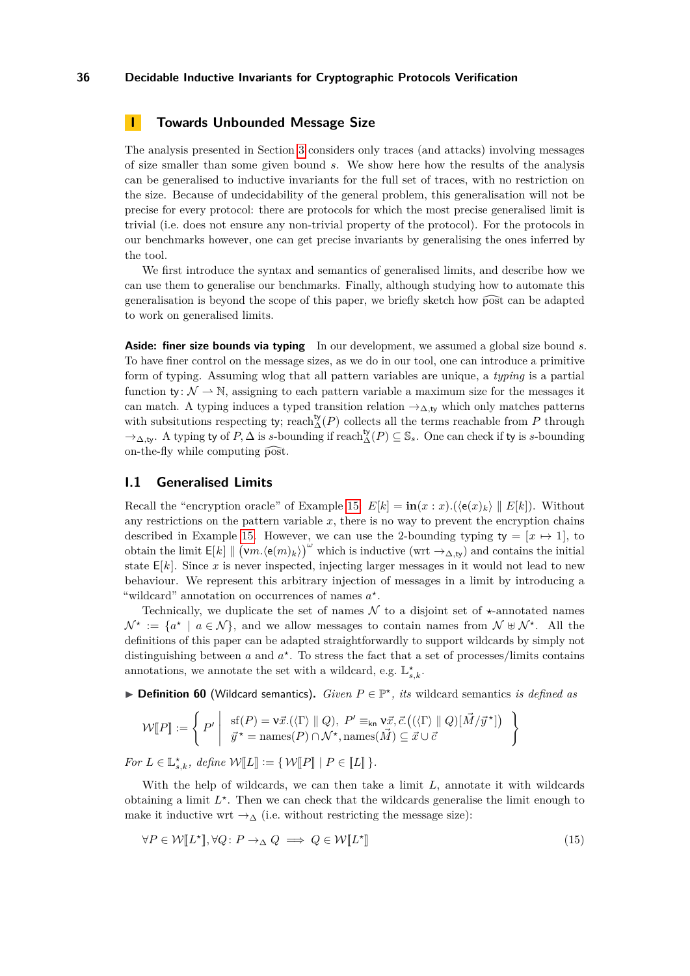# <span id="page-35-0"></span>**I Towards Unbounded Message Size**

The analysis presented in Section [3](#page-7-0) considers only traces (and attacks) involving messages of size smaller than some given bound *s*. We show here how the results of the analysis can be generalised to inductive invariants for the full set of traces, with no restriction on the size. Because of undecidability of the general problem, this generalisation will not be precise for every protocol: there are protocols for which the most precise generalised limit is trivial (i.e. does not ensure any non-trivial property of the protocol). For the protocols in our benchmarks however, one can get precise invariants by generalising the ones inferred by the tool.

We first introduce the syntax and semantics of generalised limits, and describe how we can use them to generalise our benchmarks. Finally, although studying how to automate this generalisation is beyond the scope of this paper, we briefly sketch how post can be adapted to work on generalised limits.

**Aside: finer size bounds via typing** In our development, we assumed a global size bound *s*. To have finer control on the message sizes, as we do in our tool, one can introduce a primitive form of typing. Assuming wlog that all pattern variables are unique, a *typing* is a partial function ty:  $\mathcal{N} \rightarrow \mathbb{N}$ , assigning to each pattern variable a maximum size for the messages it can match. A typing induces a typed transition relation →∆*,*ty which only matches patterns with subsitutions respecting ty; reach $\Delta(P)$  collects all the terms reachable from *P* through  $\rightarrow_{\Delta,\mathsf{ty}}$ . A typing ty of  $P$ ,  $\Delta$  is *s*-bounding if reach  $_{\Delta}^{\mathsf{ty}}(P) \subseteq \mathbb{S}_s$ . One can check if ty is *s*-bounding on-the-fly while computing post.

## **I.1 Generalised Limits**

Recall the "encryption oracle" of Example [15:](#page-7-2)  $E[k] = \mathbf{in}(x:x) \cdot (\langle e(x)_k \rangle || E[k])$ . Without any restrictions on the pattern variable  $x$ , there is no way to prevent the encryption chains described in Example [15.](#page-7-2) However, we can use the 2-bounding typing  $ty = [x \mapsto 1]$ , to obtain the limit  $E[k] \parallel (\mathsf{v}m.\langle \mathsf{e}(m)_k \rangle) \sim$  which is inductive (wrt  $\rightarrow_{\Delta,\mathsf{ty}}$ ) and contains the initial state  $E[k]$ . Since x is never inspected, injecting larger messages in it would not lead to new behaviour. We represent this arbitrary injection of messages in a limit by introducing a "wildcard" annotation on occurrences of names  $a^*$ .

Technically, we duplicate the set of names  $\mathcal N$  to a disjoint set of  $\star$ -annotated names  $\mathcal{N}^* := \{a^* \mid a \in \mathcal{N}\}\$ , and we allow messages to contain names from  $\mathcal{N} \oplus \mathcal{N}^*$ . All the definitions of this paper can be adapted straightforwardly to support wildcards by simply not distinguishing between  $a$  and  $a^*$ . To stress the fact that a set of processes/limits contains annotations, we annotate the set with a wildcard, e.g.  $\mathbb{L}_{s,k}^{\star}$ .

I **Definition 60** (Wildcard semantics)**.** *Given P* ∈ P *? , its* wildcard semantics *is defined as*

$$
\mathcal{W}[\![P]\!]:=\left\{\left.P'\middle|\begin{array}{l}\text{sf}(P)=\mathbf{v}\vec{x}.(\langle\Gamma\rangle\parallel Q),\ P' \equiv_{\mathsf{kn}} \mathbf{v}\vec{x},\vec{c}.\big((\langle\Gamma\rangle\parallel Q)[\vec{M}/\vec{y}^{\star}]\big)\\ \vec{y}^{\star}=\text{names}(P)\cap\mathcal{N}^{\star},\text{names}(\vec{M})\subseteq\vec{x}\cup\vec{c}\end{array}\right.\right\}
$$

*For*  $L \in \mathbb{L}_{s,k}^{\star}$ *, define*  $\mathcal{W}[\![L]\!] := {\mathcal{W}[\![P]\!]} \mid P \in [\![L]\!]$  }*.* 

With the help of wildcards, we can then take a limit *L*, annotate it with wildcards obtaining a limit  $L^*$ . Then we can check that the wildcards generalise the limit enough to make it inductive wrt  $\rightarrow_{\Delta}$  (i.e. without restricting the message size):

<span id="page-35-1"></span>
$$
\forall P \in \mathcal{W}[\![L^{\star}]\!], \forall Q \colon P \to_{\Delta} Q \implies Q \in \mathcal{W}[\![L^{\star}]\!]
$$
\n
$$
(15)
$$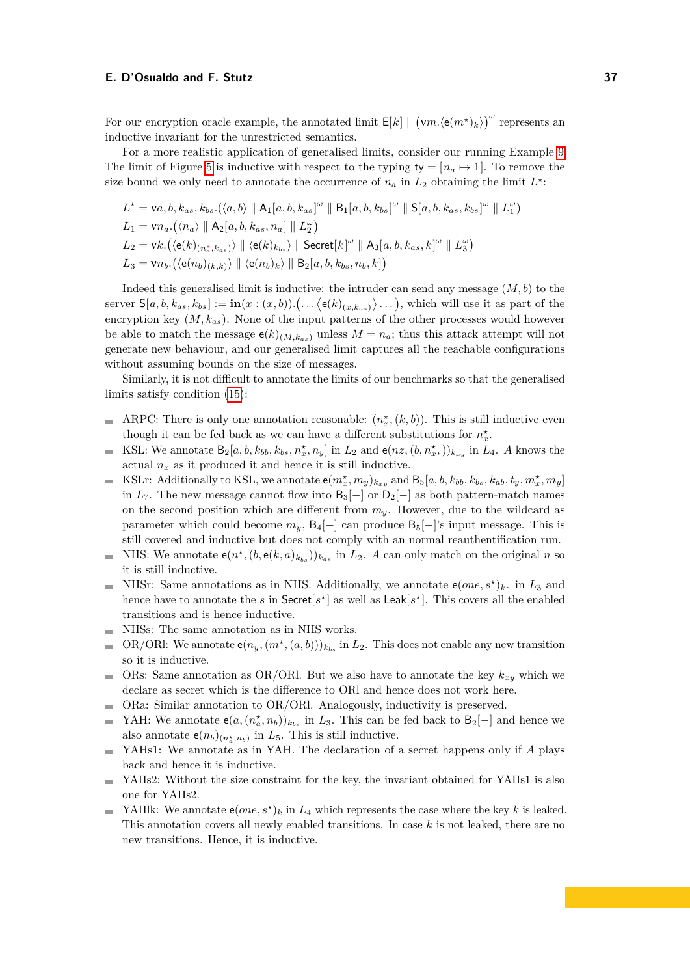For our encryption oracle example, the annotated limit  $E[k] \parallel (vm.(e(m^*)_k))^{\omega}$  represents an inductive invariant for the unrestricted semantics.

For a more realistic application of generalised limits, consider our running Example [9.](#page-5-0) The limit of Figure [5](#page-13-1) is inductive with respect to the typing  $ty = [n_a \mapsto 1]$ . To remove the size bound we only need to annotate the occurrence of  $n_a$  in  $L_2$  obtaining the limit  $L^*$ :

$$
L^* = \mathsf{va}, b, k_{as}, k_{bs}.(\langle a, b \rangle \parallel \mathsf{A}_1[a, b, k_{as}]^\omega \parallel \mathsf{B}_1[a, b, k_{bs}]^\omega \parallel \mathsf{S}[a, b, k_{as}, k_{bs}]^\omega \parallel L_1^\omega)
$$
  
\n
$$
L_1 = \mathsf{v}n_a.(\langle n_a \rangle \parallel \mathsf{A}_2[a, b, k_{as}, n_a] \parallel L_2^\omega)
$$
  
\n
$$
L_2 = \mathsf{v}k.(\langle e(k)_{(n_a^*, k_{as})} \rangle \parallel \langle e(k)_{k_{bs}} \rangle \parallel \mathsf{Secret}[k]^\omega \parallel \mathsf{A}_3[a, b, k_{as}, k]^\omega \parallel L_3^\omega)
$$
  
\n
$$
L_3 = \mathsf{v}n_b.(\langle e(n_b)_{(k,k)} \rangle \parallel \langle e(n_b)_k \rangle \parallel \mathsf{B}_2[a, b, k_{bs}, n_b, k])
$$

Indeed this generalised limit is inductive: the intruder can send any message (*M, b*) to the  $\text{server } S[a, b, k_{as}, k_{bs}] := \text{in}(x : (x, b)) \cdot ( \dots \langle \mathsf{e}(k)_{(x, k_{as})} \rangle \dots ),$  which will use it as part of the encryption key (*M, kas*). None of the input patterns of the other processes would however be able to match the message  $e(k)_{(M,k_{as})}$  unless  $M = n_a$ ; thus this attack attempt will not generate new behaviour, and our generalised limit captures all the reachable configurations without assuming bounds on the size of messages.

Similarly, it is not difficult to annotate the limits of our benchmarks so that the generalised limits satisfy condition [\(15\)](#page-35-1):

- ARPC: There is only one annotation reasonable:  $(n_x^{\star}, (k, b))$ . This is still inductive even though it can be fed back as we can have a different substitutions for  $n_x^{\star}$ .
- KSL: We annotate  $B_2[a, b, k_{bb}, k_{bs}, n_x^{\star}, n_y]$  in  $L_2$  and  $e(nz, (b, n_x^{\star}))_{k_{xy}}$  in  $L_4$ . A knows the  $\blacksquare$ actual  $n_x$  as it produced it and hence it is still inductive.
- KSLr: Additionally to KSL, we annotate  $e(m_x^{\star}, m_y)_{k_{xy}}$  and  $B_5[a, b, k_{bb}, k_{bs}, k_{ab}, t_y, m_x^{\star}, m_y]$  $\overline{\phantom{a}}$ in  $L_7$ . The new message cannot flow into  $B_3[-]$  or  $D_2[-]$  as both pattern-match names on the second position which are different from  $m_y$ . However, due to the wildcard as parameter which could become  $m_y$ ,  $B_4[-]$  can produce  $B_5[-]$ 's input message. This is still covered and inductive but does not comply with an normal reauthentification run.
- NHS: We annotate  $e(n^*, (b, e(k, a)_{k_{bs}}))_{k_{as}}$  in  $L_2$ . *A* can only match on the original *n* so  $\mathbf{r}$ it is still inductive.
- NHSr: Same annotations as in NHS. Additionally, we annotate  $e(one, s^*)_k$ . in  $L_3$  and  $\sim$ hence have to annotate the *s* in  $Sercet[s<sup>*</sup>]$  as well as  $Leak[s<sup>*</sup>]$ . This covers all the enabled transitions and is hence inductive.
- NHSs: The same annotation as in NHS works.
- OR/ORI: We annotate  $e(n_y, (m^*, (a, b)))_{k_{bs}}$  in  $L_2$ . This does not enable any new transition  $\overline{\phantom{a}}$ so it is inductive.
- ORs: Same annotation as OR/ORl. But we also have to annotate the key *kxy* which we  $\overline{\phantom{a}}$ declare as secret which is the difference to ORl and hence does not work here.
- ORa: Similar annotation to OR/ORl. Analogously, inductivity is preserved.  $\sim$
- YAH: We annotate  $e(a,(n_a^*,n_b))_{k_{bs}}$  in  $L_3$ . This can be fed back to  $B_2[-]$  and hence we  $\blacksquare$ also annotate  $e(n_b)_{(n_a^*, n_b)}$  in  $L_5$ . This is still inductive.
- YAHs1: We annotate as in YAH. The declaration of a secret happens only if *A* plays back and hence it is inductive.
- YAHs2: Without the size constraint for the key, the invariant obtained for YAHs1 is also  $\sim$ one for YAHs2.
- YAHlk: We annotate  $e(one, s^*)_k$  in  $L_4$  which represents the case where the key *k* is leaked. This annotation covers all newly enabled transitions. In case *k* is not leaked, there are no new transitions. Hence, it is inductive.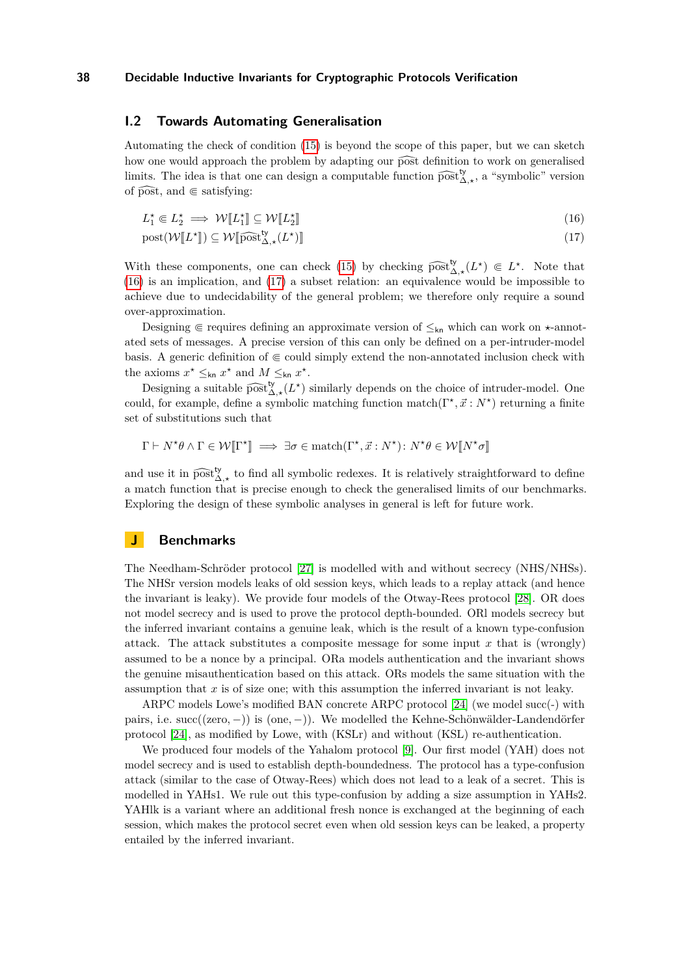## **I.2 Towards Automating Generalisation**

Automating the check of condition [\(15\)](#page-35-1) is beyond the scope of this paper, but we can sketch how one would approach the problem by adapting our post definition to work on generalised limits. The idea is that one can design a computable function  $\widehat{\text{post}}_{\Delta,\star}^{\mathsf{ty}},$  a "symbolic" version of post, and  $\in$  satisfying:

<span id="page-37-0"></span>
$$
L_1^* \Subset L_2^* \implies \mathcal{W}[\![L_1^*]\!] \subseteq \mathcal{W}[\![L_2^*]\!]
$$
\n
$$
(16)
$$

<span id="page-37-1"></span> $\text{post}(\mathcal{W}[L^*]) \subseteq \mathcal{W}[\widehat{\text{post}}_{\Delta,\star}^{\mathsf{ty}}(L^*)]$  $\left(17\right)$ 

With these components, one can check [\(15\)](#page-35-1) by checking  $\widehat{\text{post}}_{\Delta,\star}^{\mathsf{ty}}(L^{\star}) \in L^{\star}$ . Note that (16) is an implication and (17) a subset relation an equivalence mould be impossible to [\(16\)](#page-37-0) is an implication, and [\(17\)](#page-37-1) a subset relation: an equivalence would be impossible to achieve due to undecidability of the general problem; we therefore only require a sound over-approximation.

Designing  $\in$  requires defining an approximate version of  $\leq_{kn}$  which can work on  $\star$ -annotated sets of messages. A precise version of this can only be defined on a per-intruder-model basis. A generic definition of  $\in$  could simply extend the non-annotated inclusion check with the axioms  $x^* \leq_{kn} x^*$  and  $M \leq_{kn} x^*$ .

Designing a suitable  $\widehat{\text{post}}_{\lambda,\star}^{\text{ty}}(L^{\star})$  similarly depends on the choice of intruder-model. One could, for example, define a symbolic matching function match( $\Gamma^*, \vec{x} : N^*$ ) returning a finite set of substitutions such that

$$
\Gamma \vdash N^{\star}\theta \land \Gamma \in \mathcal{W}[\![\Gamma^{\star}]\!] \implies \exists \sigma \in \text{match}(\Gamma^{\star}, \vec{x} : N^{\star}) : N^{\star}\theta \in \mathcal{W}[\![N^{\star}\sigma]\!]
$$

and use it in  $\widehat{post}_{\Delta,\star}^{\mathbf{b}}$  to find all symbolic redexes. It is relatively straightforward to define a match function that is precise enough to check the generalised limits of our benchmarks. Exploring the design of these symbolic analyses in general is left for future work.

# **J Benchmarks**

The Needham-Schröder protocol [\[27\]](#page-17-14) is modelled with and without secrecy (NHS/NHSs). The NHSr version models leaks of old session keys, which leads to a replay attack (and hence the invariant is leaky). We provide four models of the Otway-Rees protocol [\[28\]](#page-17-15). OR does not model secrecy and is used to prove the protocol depth-bounded. ORl models secrecy but the inferred invariant contains a genuine leak, which is the result of a known type-confusion attack. The attack substitutes a composite message for some input *x* that is (wrongly) assumed to be a nonce by a principal. ORa models authentication and the invariant shows the genuine misauthentication based on this attack. ORs models the same situation with the assumption that *x* is of size one; with this assumption the inferred invariant is not leaky.

ARPC models Lowe's modified BAN concrete ARPC protocol [\[24\]](#page-17-16) (we model succ(-) with pairs, i.e. succ((zero*,* −)) is (one*,* −)). We modelled the Kehne-Schönwälder-Landendörfer protocol [\[24\]](#page-17-16), as modified by Lowe, with (KSLr) and without (KSL) re-authentication.

We produced four models of the Yahalom protocol [\[9\]](#page-16-18). Our first model (YAH) does not model secrecy and is used to establish depth-boundedness. The protocol has a type-confusion attack (similar to the case of Otway-Rees) which does not lead to a leak of a secret. This is modelled in YAHs1. We rule out this type-confusion by adding a size assumption in YAHs2. YAHlk is a variant where an additional fresh nonce is exchanged at the beginning of each session, which makes the protocol secret even when old session keys can be leaked, a property entailed by the inferred invariant.